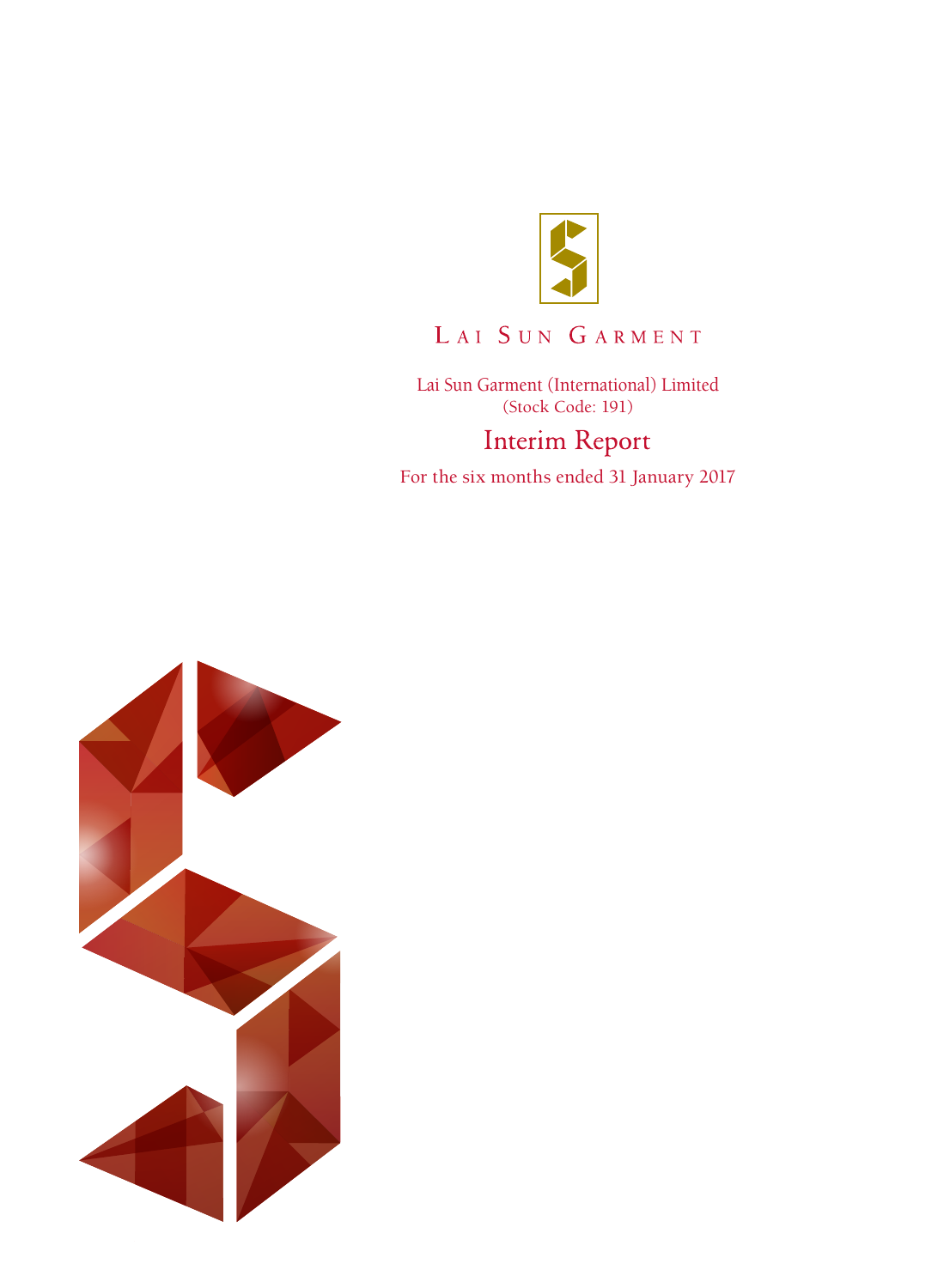

# LAI SUN GARMENT

Lai Sun Garment (International) Limited (Stock Code: 191)**Interim Report** 

For the six months ended 31 January 2017

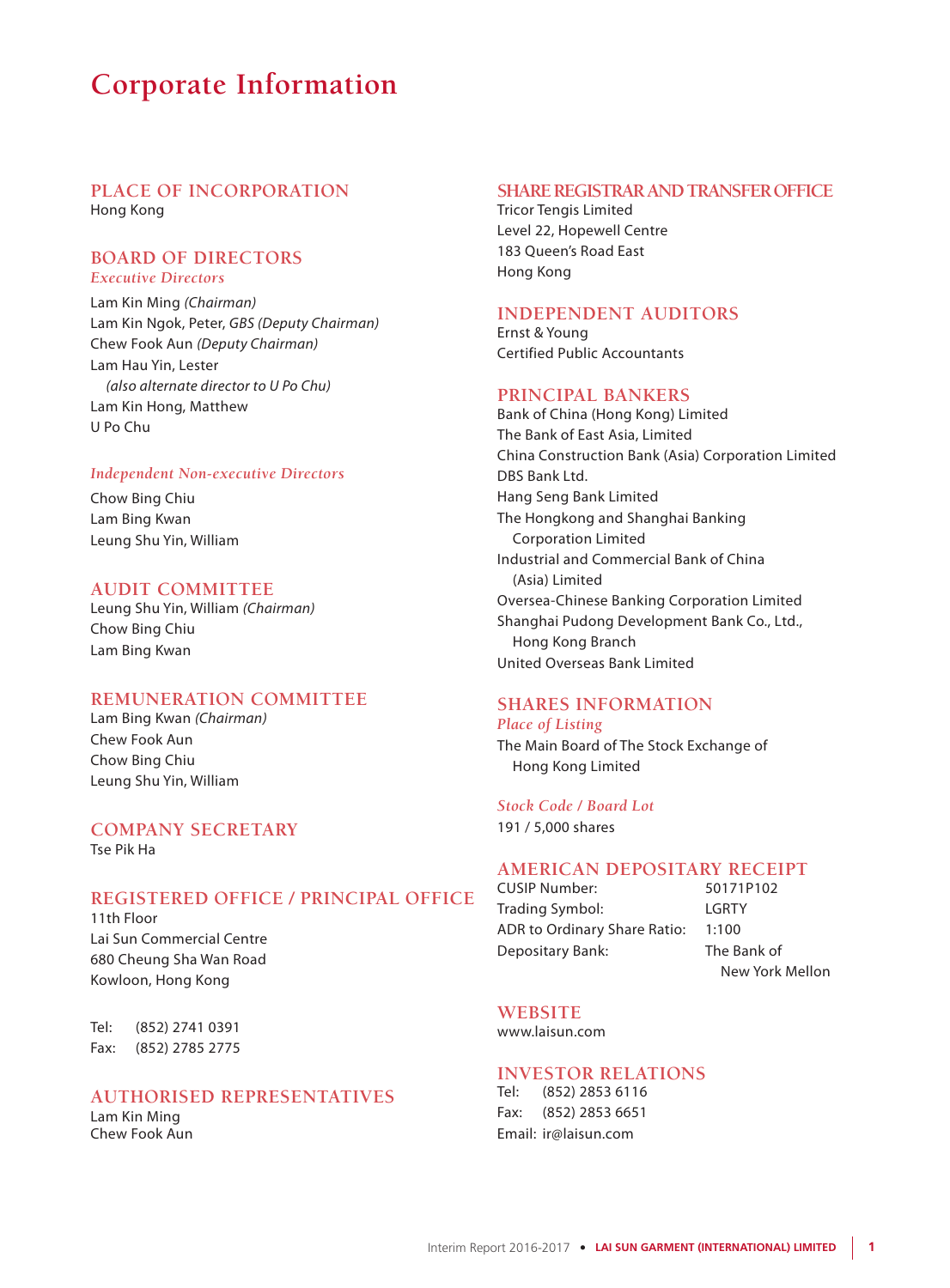## **Corporate Information**

### **PLACE OF INCORPORATION** Hong Kong

### **BOARD OF DIRECTORS** *Executive Directors*

Lam Kin Ming *(Chairman)* Lam Kin Ngok, Peter, *GBS (Deputy Chairman)* Chew Fook Aun *(Deputy Chairman)* Lam Hau Yin, Lester *(also alternate director to U Po Chu)* Lam Kin Hong, Matthew U Po Chu

### *Independent Non-executive Directors*

Chow Bing Chiu Lam Bing Kwan Leung Shu Yin, William

### **AUDIT COMMITTEE**

Leung Shu Yin, William *(Chairman)* Chow Bing Chiu Lam Bing Kwan

### **REMUNERATION COMMITTEE**

Lam Bing Kwan *(Chairman)* Chew Fook Aun Chow Bing Chiu Leung Shu Yin, William

### **COMPANY SECRETARY** Tse Pik Ha

### **REGISTERED OFFICE / PRINCIPAL OFFICE**

11th Floor Lai Sun Commercial Centre 680 Cheung Sha Wan Road Kowloon, Hong Kong

Tel: (852) 2741 0391 Fax: (852) 2785 2775

### **AUTHORISED REPRESENTATIVES**

Lam Kin Ming Chew Fook Aun

### **SHARE REGISTRAR AND TRANSFER OFFICE**

Tricor Tengis Limited Level 22, Hopewell Centre 183 Queen's Road East Hong Kong

### **INDEPENDENT AUDITORS**

Ernst & Young Certified Public Accountants

### **PRINCIPAL BANKERS**

Bank of China (Hong Kong) Limited The Bank of East Asia, Limited China Construction Bank (Asia) Corporation Limited DBS Bank Ltd. Hang Seng Bank Limited The Hongkong and Shanghai Banking Corporation Limited Industrial and Commercial Bank of China (Asia) Limited Oversea-Chinese Banking Corporation Limited Shanghai Pudong Development Bank Co., Ltd., Hong Kong Branch United Overseas Bank Limited

### **SHARES INFORMATION** *Place of Listing*

The Main Board of The Stock Exchange of Hong Kong Limited

### *Stock Code / Board Lot*

191 / 5,000 shares

### **AMERICAN DEPOSITARY RECEIPT**

CUSIP Number: 50171P102 Trading Symbol: LGRTY ADR to Ordinary Share Ratio: 1:100 Depositary Bank: The Bank of

New York Mellon

### **WEBSITE**

www.laisun.com

### **INVESTOR RELATIONS**

Tel: (852) 2853 6116 Fax: (852) 2853 6651 Email: ir@laisun.com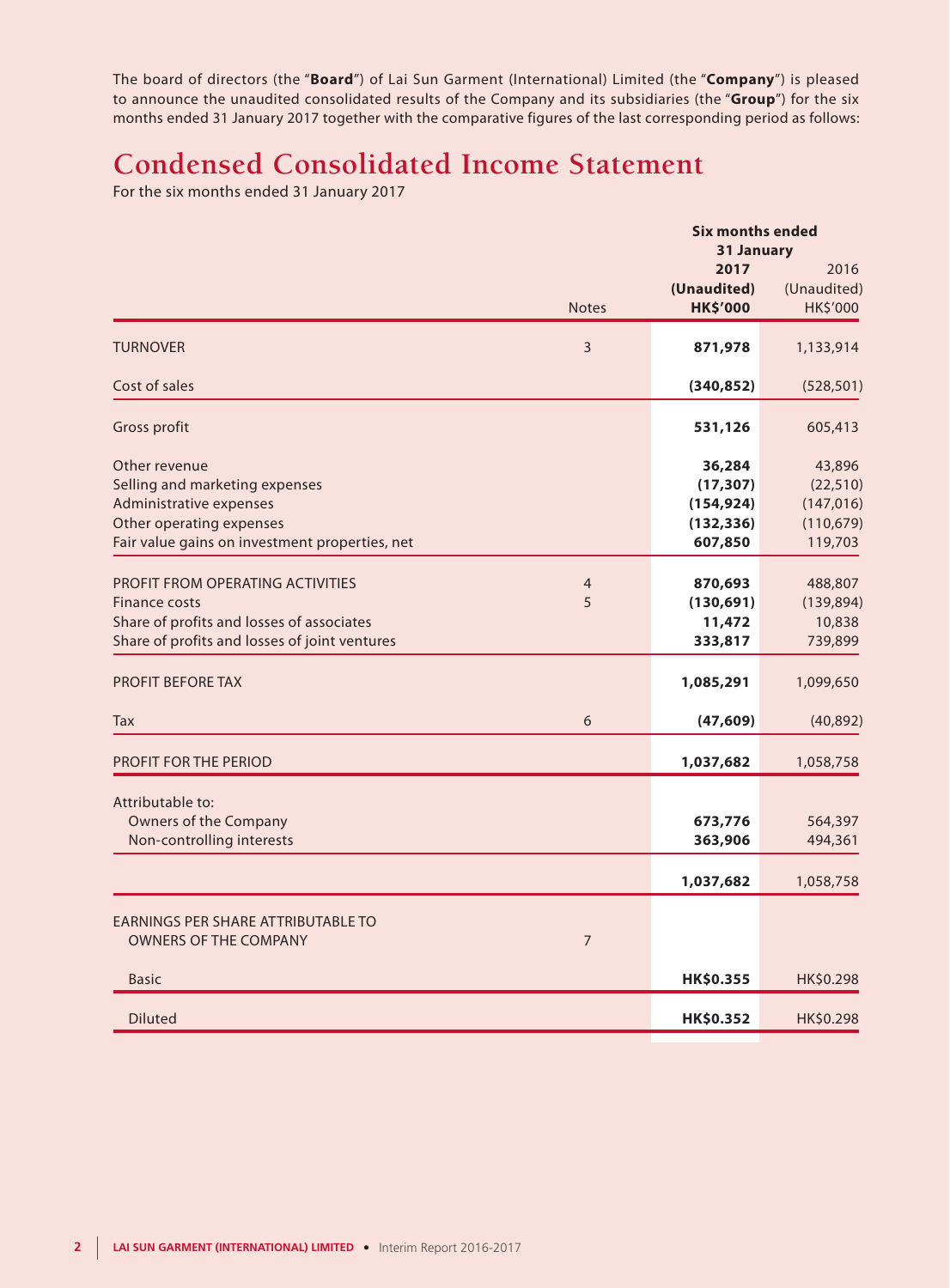The board of directors (the "**Board**") of Lai Sun Garment (International) Limited (the "**Company**") is pleased to announce the unaudited consolidated results of the Company and its subsidiaries (the "**Group**") for the six months ended 31 January 2017 together with the comparative figures of the last corresponding period as follows:

# **Condensed Consolidated Income Statement**

For the six months ended 31 January 2017

|                                                | <b>Six months ended</b> |                 |             |  |  |  |
|------------------------------------------------|-------------------------|-----------------|-------------|--|--|--|
|                                                |                         | 31 January      |             |  |  |  |
|                                                |                         | 2017            | 2016        |  |  |  |
|                                                |                         | (Unaudited)     | (Unaudited) |  |  |  |
|                                                | <b>Notes</b>            | <b>HK\$'000</b> | HK\$'000    |  |  |  |
| <b>TURNOVER</b>                                | 3                       | 871,978         | 1,133,914   |  |  |  |
| Cost of sales                                  |                         | (340, 852)      | (528, 501)  |  |  |  |
| Gross profit                                   |                         | 531,126         | 605,413     |  |  |  |
| Other revenue                                  |                         | 36,284          | 43,896      |  |  |  |
| Selling and marketing expenses                 |                         | (17, 307)       | (22, 510)   |  |  |  |
| Administrative expenses                        |                         | (154, 924)      | (147, 016)  |  |  |  |
| Other operating expenses                       |                         | (132, 336)      | (110, 679)  |  |  |  |
| Fair value gains on investment properties, net |                         | 607,850         | 119,703     |  |  |  |
| <b>PROFIT FROM OPERATING ACTIVITIES</b>        |                         |                 |             |  |  |  |
|                                                | 4                       | 870,693         | 488,807     |  |  |  |
| <b>Finance costs</b>                           | 5                       | (130, 691)      | (139, 894)  |  |  |  |
| Share of profits and losses of associates      |                         | 11,472          | 10,838      |  |  |  |
| Share of profits and losses of joint ventures  |                         | 333,817         | 739,899     |  |  |  |
| <b>PROFIT BEFORE TAX</b>                       |                         | 1,085,291       | 1,099,650   |  |  |  |
| Tax                                            | 6                       | (47, 609)       | (40, 892)   |  |  |  |
| <b>PROFIT FOR THE PERIOD</b>                   |                         | 1,037,682       | 1,058,758   |  |  |  |
|                                                |                         |                 |             |  |  |  |
| Attributable to:                               |                         |                 |             |  |  |  |
| Owners of the Company                          |                         | 673,776         | 564,397     |  |  |  |
| Non-controlling interests                      |                         | 363,906         | 494,361     |  |  |  |
|                                                |                         | 1,037,682       | 1,058,758   |  |  |  |
| <b>EARNINGS PER SHARE ATTRIBUTABLE TO</b>      |                         |                 |             |  |  |  |
| <b>OWNERS OF THE COMPANY</b>                   | $\overline{7}$          |                 |             |  |  |  |
| <b>Basic</b>                                   |                         | HK\$0.355       | HK\$0.298   |  |  |  |
|                                                |                         |                 |             |  |  |  |
| <b>Diluted</b>                                 |                         | HK\$0.352       | HK\$0.298   |  |  |  |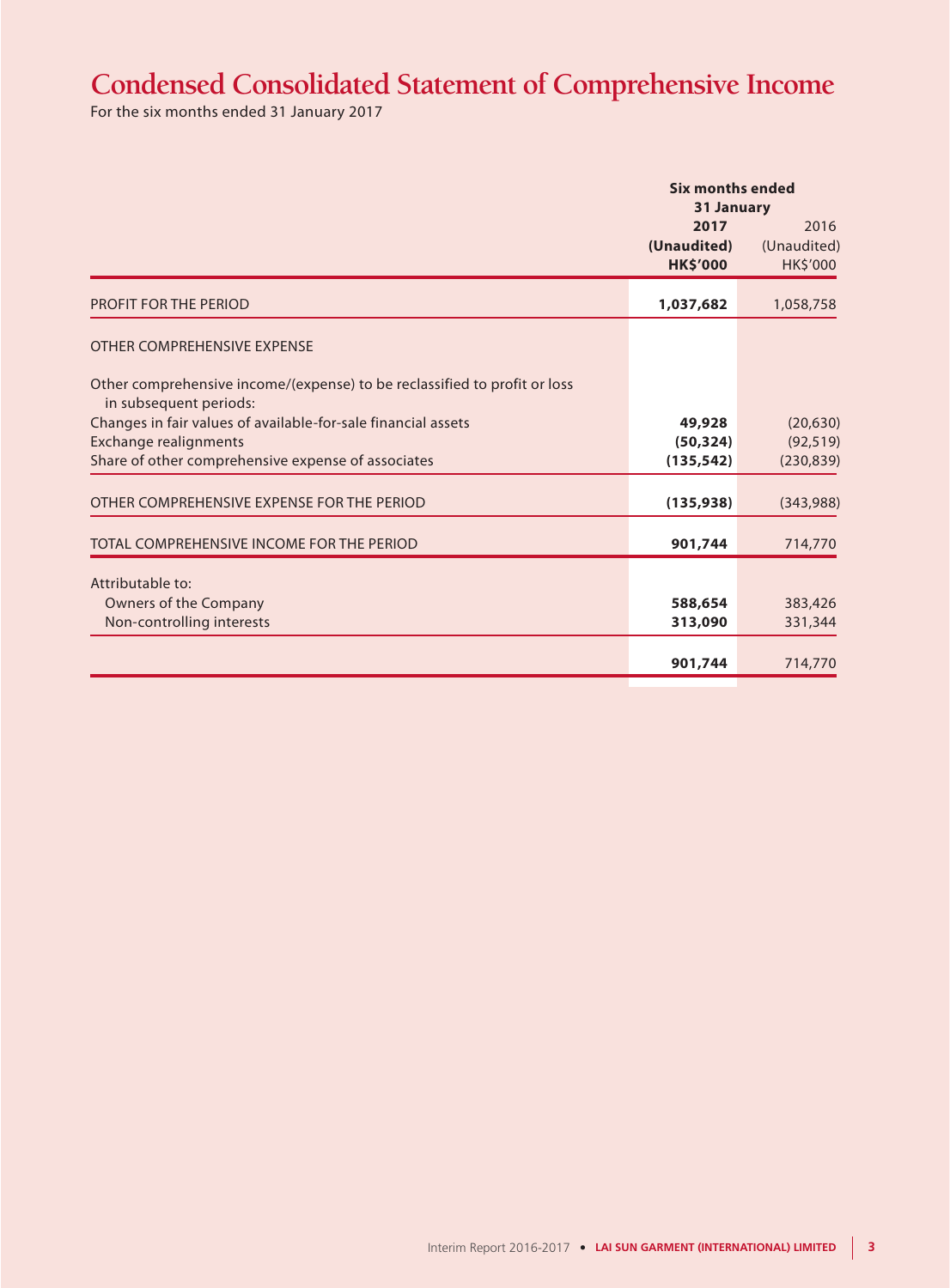# **Condensed Consolidated Statement of Comprehensive Income**

For the six months ended 31 January 2017

|                                                                                                     |                                        | <b>Six months ended</b><br><b>31 January</b> |  |  |  |
|-----------------------------------------------------------------------------------------------------|----------------------------------------|----------------------------------------------|--|--|--|
|                                                                                                     | 2017<br>(Unaudited)<br><b>HK\$'000</b> | 2016<br>(Unaudited)<br>HK\$'000              |  |  |  |
| <b>PROFIT FOR THE PERIOD</b>                                                                        | 1,037,682                              | 1,058,758                                    |  |  |  |
| OTHER COMPREHENSIVE EXPENSE                                                                         |                                        |                                              |  |  |  |
| Other comprehensive income/(expense) to be reclassified to profit or loss<br>in subsequent periods: |                                        |                                              |  |  |  |
| Changes in fair values of available-for-sale financial assets                                       | 49,928                                 | (20, 630)                                    |  |  |  |
| <b>Exchange realignments</b>                                                                        | (50, 324)                              | (92, 519)                                    |  |  |  |
| Share of other comprehensive expense of associates                                                  | (135, 542)                             | (230, 839)                                   |  |  |  |
| OTHER COMPREHENSIVE EXPENSE FOR THE PERIOD                                                          | (135, 938)                             | (343,988)                                    |  |  |  |
| TOTAL COMPREHENSIVE INCOME FOR THE PERIOD                                                           | 901,744                                | 714,770                                      |  |  |  |
| Attributable to:                                                                                    |                                        |                                              |  |  |  |
| Owners of the Company                                                                               | 588,654                                | 383,426                                      |  |  |  |
| Non-controlling interests                                                                           | 313,090                                | 331,344                                      |  |  |  |
|                                                                                                     |                                        |                                              |  |  |  |
|                                                                                                     | 901,744                                | 714,770                                      |  |  |  |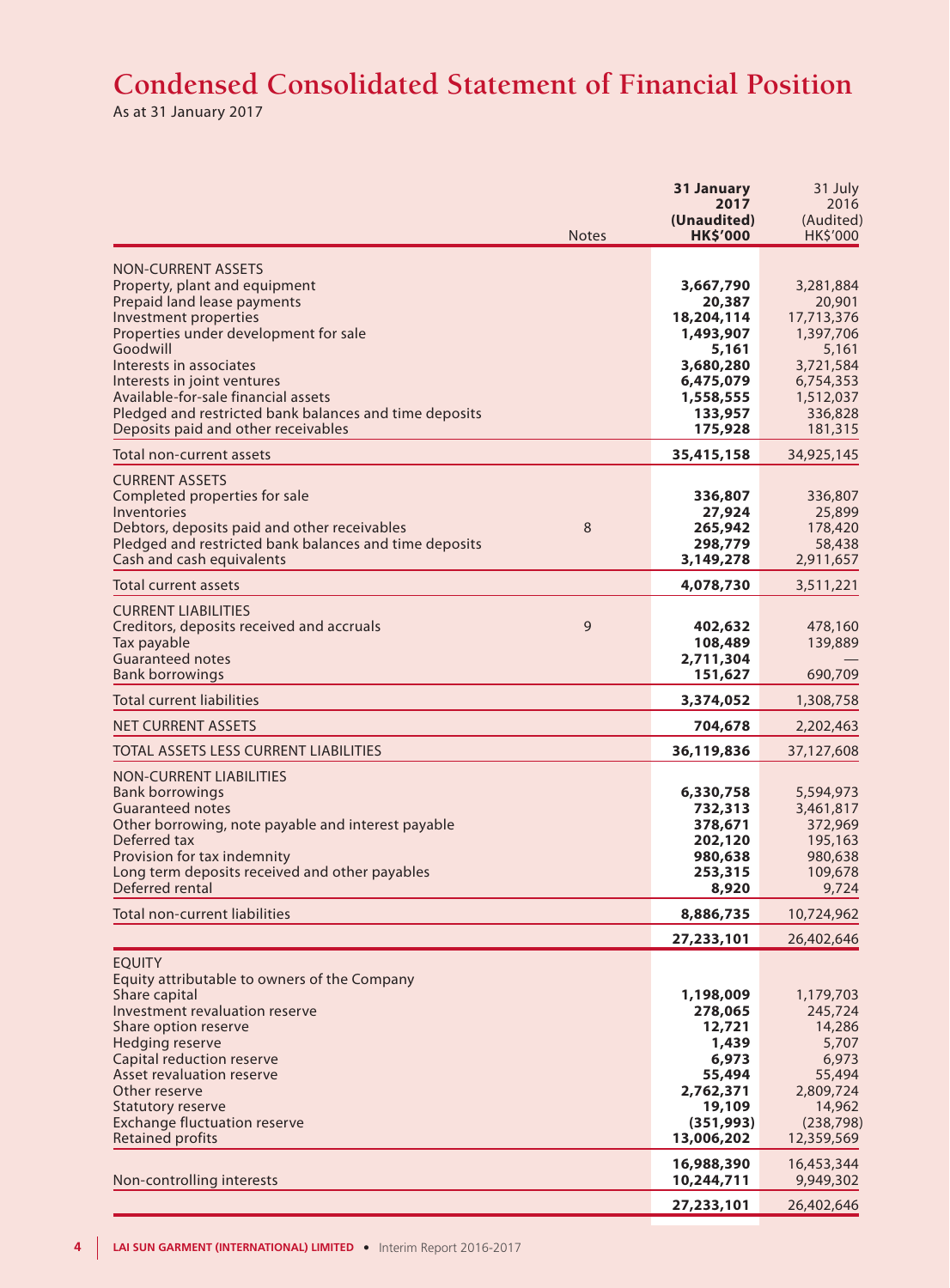# **Condensed Consolidated Statement of Financial Position**

As at 31 January 2017

| <b>Notes</b>                                                                                                                                                                                                                                                                                                                                                              | 31 January<br>2017<br>(Unaudited)<br><b>HK\$'000</b>                                                                 | 31 July<br>2016<br>(Audited)<br>HK\$'000                                                                             |
|---------------------------------------------------------------------------------------------------------------------------------------------------------------------------------------------------------------------------------------------------------------------------------------------------------------------------------------------------------------------------|----------------------------------------------------------------------------------------------------------------------|----------------------------------------------------------------------------------------------------------------------|
| <b>NON-CURRENT ASSETS</b><br>Property, plant and equipment<br>Prepaid land lease payments<br>Investment properties<br>Properties under development for sale<br>Goodwill<br>Interests in associates<br>Interests in joint ventures<br>Available-for-sale financial assets<br>Pledged and restricted bank balances and time deposits<br>Deposits paid and other receivables | 3,667,790<br>20,387<br>18,204,114<br>1,493,907<br>5,161<br>3,680,280<br>6,475,079<br>1,558,555<br>133,957<br>175,928 | 3,281,884<br>20,901<br>17,713,376<br>1,397,706<br>5,161<br>3,721,584<br>6,754,353<br>1,512,037<br>336,828<br>181,315 |
| Total non-current assets                                                                                                                                                                                                                                                                                                                                                  | 35,415,158                                                                                                           | 34,925,145                                                                                                           |
| <b>CURRENT ASSETS</b><br>Completed properties for sale<br>Inventories<br>8<br>Debtors, deposits paid and other receivables<br>Pledged and restricted bank balances and time deposits<br>Cash and cash equivalents                                                                                                                                                         | 336,807<br>27,924<br>265,942<br>298,779<br>3,149,278                                                                 | 336,807<br>25,899<br>178,420<br>58,438<br>2,911,657                                                                  |
| <b>Total current assets</b>                                                                                                                                                                                                                                                                                                                                               | 4,078,730                                                                                                            | 3,511,221                                                                                                            |
| <b>CURRENT LIABILITIES</b><br>9<br>Creditors, deposits received and accruals<br>Tax payable<br><b>Guaranteed notes</b><br><b>Bank borrowings</b>                                                                                                                                                                                                                          | 402,632<br>108,489<br>2,711,304<br>151,627                                                                           | 478,160<br>139,889<br>690,709                                                                                        |
| <b>Total current liabilities</b>                                                                                                                                                                                                                                                                                                                                          | 3,374,052                                                                                                            | 1,308,758                                                                                                            |
| <b>NET CURRENT ASSETS</b>                                                                                                                                                                                                                                                                                                                                                 | 704,678                                                                                                              | 2,202,463                                                                                                            |
| TOTAL ASSETS LESS CURRENT LIABILITIES                                                                                                                                                                                                                                                                                                                                     | 36,119,836                                                                                                           | 37,127,608                                                                                                           |
| <b>NON-CURRENT LIABILITIES</b><br><b>Bank borrowings</b><br><b>Guaranteed notes</b><br>Other borrowing, note payable and interest payable<br>Deferred tax<br>Provision for tax indemnity<br>Long term deposits received and other payables<br>Deferred rental                                                                                                             | 6,330,758<br>732,313<br>378,671<br>202,120<br>980,638<br>253,315<br>8,920                                            | 5,594,973<br>3,461,817<br>372,969<br>195,163<br>980,638<br>109,678<br>9,724                                          |
| Total non-current liabilities                                                                                                                                                                                                                                                                                                                                             | 8,886,735                                                                                                            | 10,724,962                                                                                                           |
|                                                                                                                                                                                                                                                                                                                                                                           | 27,233,101                                                                                                           | 26,402,646                                                                                                           |
| <b>EQUITY</b><br>Equity attributable to owners of the Company<br>Share capital<br>Investment revaluation reserve<br>Share option reserve<br>Hedging reserve<br>Capital reduction reserve<br>Asset revaluation reserve<br>Other reserve<br>Statutory reserve<br><b>Exchange fluctuation reserve</b><br><b>Retained profits</b>                                             | 1,198,009<br>278,065<br>12,721<br>1,439<br>6,973<br>55,494<br>2,762,371<br>19,109<br>(351, 993)<br>13,006,202        | 1,179,703<br>245,724<br>14,286<br>5,707<br>6,973<br>55,494<br>2,809,724<br>14,962<br>(238, 798)<br>12,359,569        |
| Non-controlling interests                                                                                                                                                                                                                                                                                                                                                 | 16,988,390<br>10,244,711                                                                                             | 16,453,344<br>9,949,302                                                                                              |
|                                                                                                                                                                                                                                                                                                                                                                           | 27,233,101                                                                                                           | 26,402,646                                                                                                           |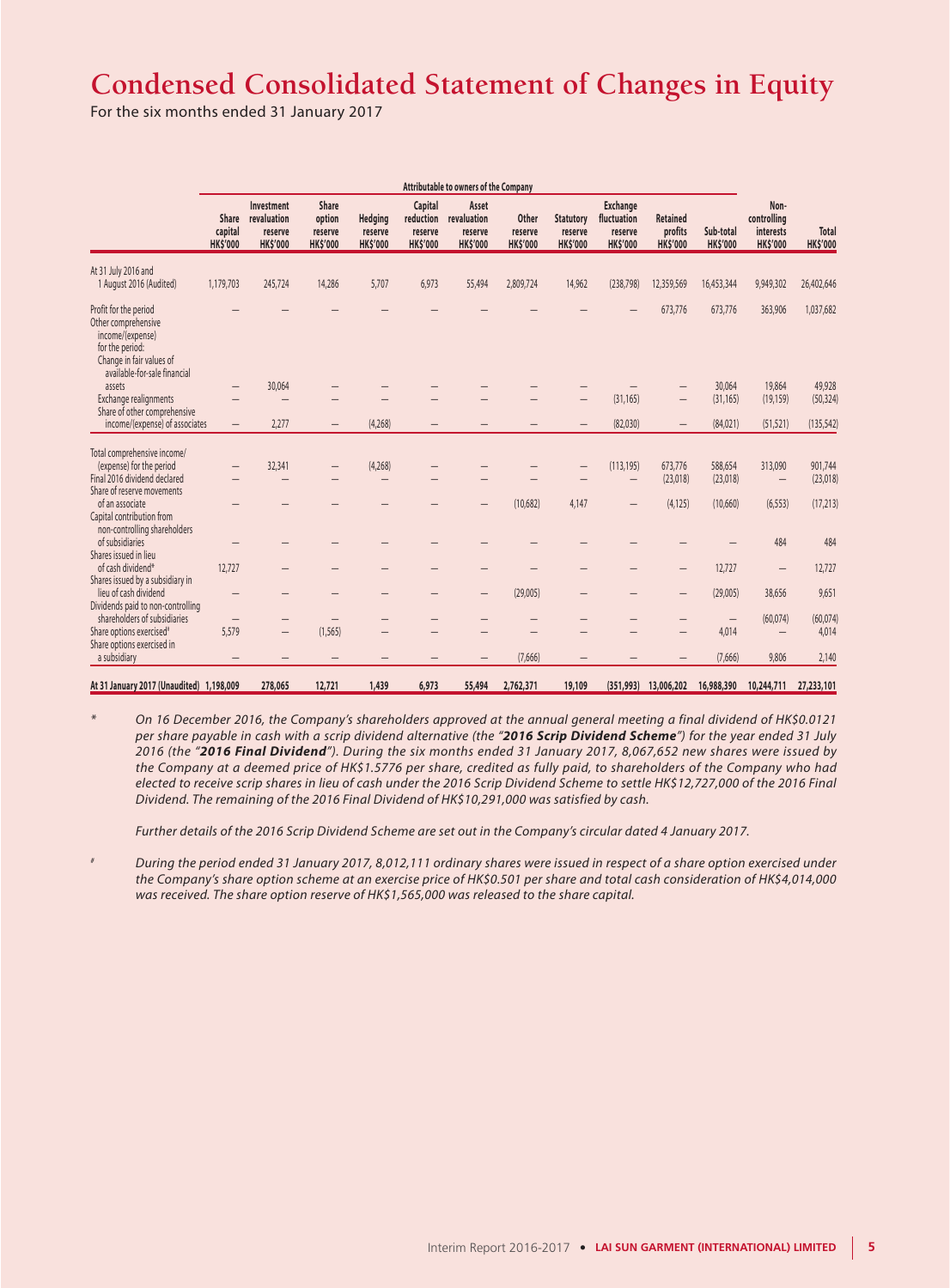# **Condensed Consolidated Statement of Changes in Equity**

For the six months ended 31 January 2017

|                                                                                                                                                 | Attributable to owners of the Company      |                                                         |                                               |                                       |                                                    |                                                    |                                     |                                                |                                                              |                                        |                              |                                                     |                          |
|-------------------------------------------------------------------------------------------------------------------------------------------------|--------------------------------------------|---------------------------------------------------------|-----------------------------------------------|---------------------------------------|----------------------------------------------------|----------------------------------------------------|-------------------------------------|------------------------------------------------|--------------------------------------------------------------|----------------------------------------|------------------------------|-----------------------------------------------------|--------------------------|
|                                                                                                                                                 | <b>Share</b><br>capital<br><b>HK\$'000</b> | Investment<br>revaluation<br>reserve<br><b>HK\$'000</b> | Share<br>option<br>reserve<br><b>HK\$'000</b> | Hedging<br>reserve<br><b>HK\$'000</b> | Capital<br>reduction<br>reserve<br><b>HK\$'000</b> | Asset<br>revaluation<br>reserve<br><b>HK\$'000</b> | Other<br>reserve<br><b>HK\$'000</b> | <b>Statutory</b><br>reserve<br><b>HK\$'000</b> | <b>Exchange</b><br>fluctuation<br>reserve<br><b>HK\$'000</b> | Retained<br>profits<br><b>HK\$'000</b> | Sub-total<br><b>HK\$'000</b> | Non-<br>controlling<br>interests<br><b>HK\$'000</b> | Total<br><b>HK\$'000</b> |
| At 31 July 2016 and<br>1 August 2016 (Audited)                                                                                                  | 1,179,703                                  | 245,724                                                 | 14,286                                        | 5,707                                 | 6.973                                              | 55,494                                             | 2,809,724                           | 14,962                                         | (238,798)                                                    | 12,359,569                             | 16,453,344                   | 9,949,302                                           | 26,402,646               |
| Profit for the period<br>Other comprehensive<br>income/(expense)<br>for the period:<br>Change in fair values of<br>available-for-sale financial |                                            |                                                         |                                               |                                       |                                                    |                                                    |                                     |                                                |                                                              | 673,776                                | 673,776                      | 363,906                                             | 1,037,682                |
| assets                                                                                                                                          |                                            | 30,064                                                  |                                               |                                       |                                                    |                                                    |                                     |                                                |                                                              |                                        | 30,064                       | 19,864                                              | 49,928                   |
| Exchange realignments                                                                                                                           |                                            |                                                         |                                               |                                       |                                                    |                                                    |                                     |                                                | (31, 165)                                                    |                                        | (31, 165)                    | (19, 159)                                           | (50, 324)                |
| Share of other comprehensive<br>income/(expense) of associates                                                                                  | $\overline{\phantom{0}}$                   | 2,277                                                   | $\qquad \qquad -$                             | (4,268)                               |                                                    |                                                    |                                     |                                                | (82,030)                                                     |                                        | (84,021)                     | (51, 521)                                           | (135, 542)               |
| Total comprehensive income/                                                                                                                     |                                            |                                                         |                                               |                                       |                                                    |                                                    |                                     |                                                |                                                              |                                        |                              |                                                     |                          |
| (expense) for the period                                                                                                                        |                                            | 32,341                                                  |                                               | (4,268)                               |                                                    |                                                    |                                     |                                                | (113, 195)                                                   | 673,776                                | 588,654                      | 313,090                                             | 901,744                  |
| Final 2016 dividend declared                                                                                                                    |                                            |                                                         |                                               | $\overline{\phantom{0}}$              |                                                    |                                                    |                                     |                                                | —                                                            | (23,018)                               | (23,018)                     | $\qquad \qquad -$                                   | (23,018)                 |
| Share of reserve movements                                                                                                                      |                                            |                                                         |                                               |                                       |                                                    |                                                    |                                     |                                                |                                                              |                                        |                              |                                                     |                          |
| of an associate<br>Capital contribution from                                                                                                    |                                            |                                                         |                                               |                                       |                                                    |                                                    | (10,682)                            | 4,147                                          | —                                                            | (4, 125)                               | (10,660)                     | (6, 553)                                            | (17, 213)                |
| non-controlling shareholders<br>of subsidiaries                                                                                                 |                                            |                                                         |                                               |                                       |                                                    |                                                    |                                     |                                                |                                                              |                                        |                              | 484                                                 | 484                      |
| Shares issued in lieu                                                                                                                           |                                            |                                                         |                                               |                                       |                                                    |                                                    |                                     |                                                |                                                              |                                        |                              |                                                     |                          |
| of cash dividend*                                                                                                                               | 12.727                                     |                                                         |                                               |                                       |                                                    |                                                    |                                     |                                                |                                                              |                                        | 12,727                       | $\qquad \qquad -$                                   | 12,727                   |
| Shares issued by a subsidiary in                                                                                                                |                                            |                                                         |                                               |                                       |                                                    |                                                    |                                     |                                                |                                                              |                                        |                              |                                                     |                          |
| lieu of cash dividend                                                                                                                           | -                                          | -                                                       |                                               |                                       |                                                    | $\qquad \qquad -$                                  | (29,005)                            |                                                |                                                              | —                                      | (29,005)                     | 38,656                                              | 9,651                    |
| Dividends paid to non-controlling<br>shareholders of subsidiaries                                                                               |                                            |                                                         |                                               |                                       |                                                    |                                                    |                                     |                                                |                                                              |                                        |                              |                                                     |                          |
|                                                                                                                                                 | 5,579                                      | -                                                       | (1, 565)                                      |                                       |                                                    |                                                    |                                     |                                                |                                                              |                                        | $\qquad \qquad -$<br>4,014   | (60, 074)                                           | (60, 074)                |
| Share options exercised <sup>#</sup><br>Share options exercised in                                                                              |                                            | -                                                       |                                               |                                       |                                                    |                                                    |                                     |                                                |                                                              |                                        |                              |                                                     | 4,014                    |
| a subsidiary                                                                                                                                    | -                                          |                                                         | -                                             |                                       |                                                    |                                                    | (7,666)                             |                                                |                                                              |                                        | (7,666)                      | 9,806                                               | 2,140                    |
| At 31 January 2017 (Unaudited) 1,198,009                                                                                                        |                                            | 278,065                                                 | 12,721                                        | 1,439                                 | 6,973                                              | 55,494                                             | 2,762,371                           | 19,109                                         | (351, 993)                                                   | 13,006,202                             | 16,988,390                   | 10,244,711                                          | 27,233,101               |

*\* On 16 December 2016, the Company's shareholders approved at the annual general meeting a final dividend of HK\$0.0121 per share payable in cash with a scrip dividend alternative (the "2016 Scrip Dividend Scheme") for the year ended 31 July 2016 (the "2016 Final Dividend"). During the six months ended 31 January 2017, 8,067,652 new shares were issued by the Company at a deemed price of HK\$1.5776 per share, credited as fully paid, to shareholders of the Company who had elected to receive scrip shares in lieu of cash under the 2016 Scrip Dividend Scheme to settle HK\$12,727,000 of the 2016 Final Dividend. The remaining of the 2016 Final Dividend of HK\$10,291,000 was satisfied by cash.*

*Further details of the 2016 Scrip Dividend Scheme are set out in the Company's circular dated 4 January 2017.*

*# During the period ended 31 January 2017, 8,012,111 ordinary shares were issued in respect of a share option exercised under the Company's share option scheme at an exercise price of HK\$0.501 per share and total cash consideration of HK\$4,014,000 was received. The share option reserve of HK\$1,565,000 was released to the share capital.*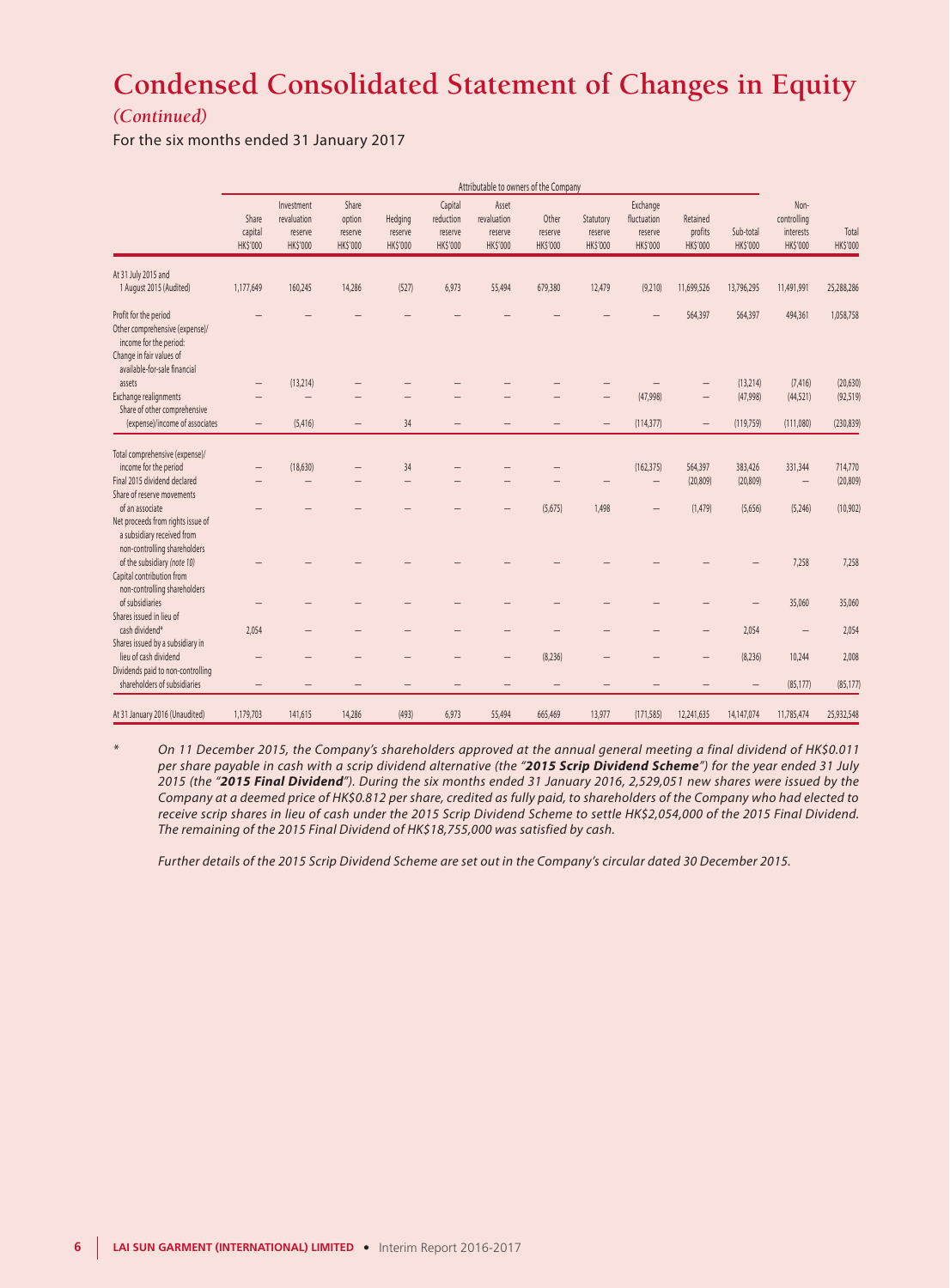# **Condensed Consolidated Statement of Changes in Equity**

### *(Continued)*

For the six months ended 31 January 2017

|                                                                                                                                               |                                     |                                                  |                                               |                                |                                             |                                             | Attributable to owners of the Company |                                  |                                                |                                 |                       |                                              |                      |
|-----------------------------------------------------------------------------------------------------------------------------------------------|-------------------------------------|--------------------------------------------------|-----------------------------------------------|--------------------------------|---------------------------------------------|---------------------------------------------|---------------------------------------|----------------------------------|------------------------------------------------|---------------------------------|-----------------------|----------------------------------------------|----------------------|
|                                                                                                                                               | Share<br>capital<br><b>HK\$'000</b> | Investment<br>revaluation<br>reserve<br>HK\$'000 | Share<br>option<br>reserve<br><b>HK\$'000</b> | Hedging<br>reserve<br>HK\$'000 | Capital<br>reduction<br>reserve<br>HK\$'000 | Asset<br>revaluation<br>reserve<br>HK\$'000 | Other<br>reserve<br><b>HK\$'000</b>   | Statutory<br>reserve<br>HK\$'000 | Exchange<br>fluctuation<br>reserve<br>HK\$'000 | Retained<br>profits<br>HK\$'000 | Sub-total<br>HK\$'000 | Non-<br>controlling<br>interests<br>HK\$'000 | Total<br>HK\$'000    |
| At 31 July 2015 and<br>1 August 2015 (Audited)                                                                                                | 1,177,649                           | 160,245                                          | 14,286                                        | (527)                          | 6,973                                       | 55,494                                      | 679,380                               | 12,479                           | (9,210)                                        | 11,699,526                      | 13,796,295            | 11,491,991                                   | 25,288,286           |
| Profit for the period<br>Other comprehensive (expense)/<br>income for the period:<br>Change in fair values of<br>available-for-sale financial |                                     |                                                  |                                               |                                |                                             |                                             |                                       |                                  |                                                | 564,397                         | 564,397               | 494,361                                      | 1,058,758            |
| assets                                                                                                                                        | -                                   | (13, 214)                                        |                                               |                                |                                             |                                             |                                       |                                  |                                                |                                 | (13, 214)             | (7, 416)                                     | (20, 630)            |
| Exchange realignments                                                                                                                         |                                     |                                                  |                                               |                                |                                             |                                             |                                       |                                  | (47,998)                                       |                                 | (47,998)              | (44, 521)                                    | (92, 519)            |
| Share of other comprehensive<br>(expense)/income of associates                                                                                |                                     |                                                  |                                               | 34                             |                                             |                                             |                                       |                                  |                                                |                                 |                       |                                              |                      |
|                                                                                                                                               | $\overline{\phantom{0}}$            | (5, 416)                                         | $\overline{\phantom{0}}$                      |                                |                                             |                                             |                                       |                                  | (114, 377)                                     | $\qquad \qquad -$               | (119, 759)            | (111,080)                                    | (230, 839)           |
| Total comprehensive (expense)/<br>income for the period<br>Final 2015 dividend declared<br>Share of reserve movements                         |                                     | (18, 630)<br>-                                   |                                               | 34                             |                                             |                                             |                                       |                                  | (162, 375)<br>$\overline{\phantom{m}}$         | 564,397<br>(20, 809)            | 383,426<br>(20, 809)  | 331,344<br>$\qquad \qquad -$                 | 714,770<br>(20, 809) |
| of an associate                                                                                                                               |                                     |                                                  |                                               |                                |                                             |                                             | (5,675)                               | 1,498                            | $\overline{\phantom{m}}$                       | (1,479)                         | (5,656)               | (5,246)                                      | (10, 902)            |
| Net proceeds from rights issue of<br>a subsidiary received from<br>non-controlling shareholders<br>of the subsidiary (note 10)                |                                     |                                                  |                                               |                                |                                             |                                             |                                       |                                  |                                                |                                 |                       | 7,258                                        | 7,258                |
| Capital contribution from<br>non-controlling shareholders<br>of subsidiaries                                                                  |                                     |                                                  |                                               |                                |                                             |                                             |                                       |                                  |                                                |                                 |                       |                                              | 35,060               |
| Shares issued in lieu of                                                                                                                      |                                     |                                                  |                                               |                                |                                             |                                             |                                       |                                  |                                                |                                 | -                     | 35,060                                       |                      |
| cash dividend*                                                                                                                                | 2,054                               |                                                  |                                               |                                |                                             |                                             |                                       |                                  |                                                |                                 | 2,054                 |                                              | 2,054                |
| Shares issued by a subsidiary in                                                                                                              |                                     |                                                  |                                               |                                |                                             |                                             |                                       |                                  |                                                |                                 |                       |                                              |                      |
| lieu of cash dividend<br>Dividends paid to non-controlling                                                                                    |                                     |                                                  |                                               |                                |                                             |                                             | (8,236)                               |                                  |                                                |                                 | (8,236)               | 10,244                                       | 2,008                |
| shareholders of subsidiaries                                                                                                                  | $\qquad \qquad -$                   |                                                  |                                               |                                | -                                           |                                             | $\overline{\phantom{0}}$              |                                  |                                                |                                 | $\qquad \qquad -$     | (85, 177)                                    | (85, 177)            |
| At 31 January 2016 (Unaudited)                                                                                                                | 1,179,703                           | 141,615                                          | 14,286                                        | (493)                          | 6,973                                       | 55,494                                      | 665,469                               | 13,977                           | (171, 585)                                     | 12,241,635                      | 14,147,074            | 11,785,474                                   | 25,932,548           |

*\* On 11 December 2015, the Company's shareholders approved at the annual general meeting a final dividend of HK\$0.011 per share payable in cash with a scrip dividend alternative (the "2015 Scrip Dividend Scheme") for the year ended 31 July 2015 (the "2015 Final Dividend"). During the six months ended 31 January 2016, 2,529,051 new shares were issued by the Company at a deemed price of HK\$0.812 per share, credited as fully paid, to shareholders of the Company who had elected to receive scrip shares in lieu of cash under the 2015 Scrip Dividend Scheme to settle HK\$2,054,000 of the 2015 Final Dividend. The remaining of the 2015 Final Dividend of HK\$18,755,000 was satisfied by cash.*

*Further details of the 2015 Scrip Dividend Scheme are set out in the Company's circular dated 30 December 2015.*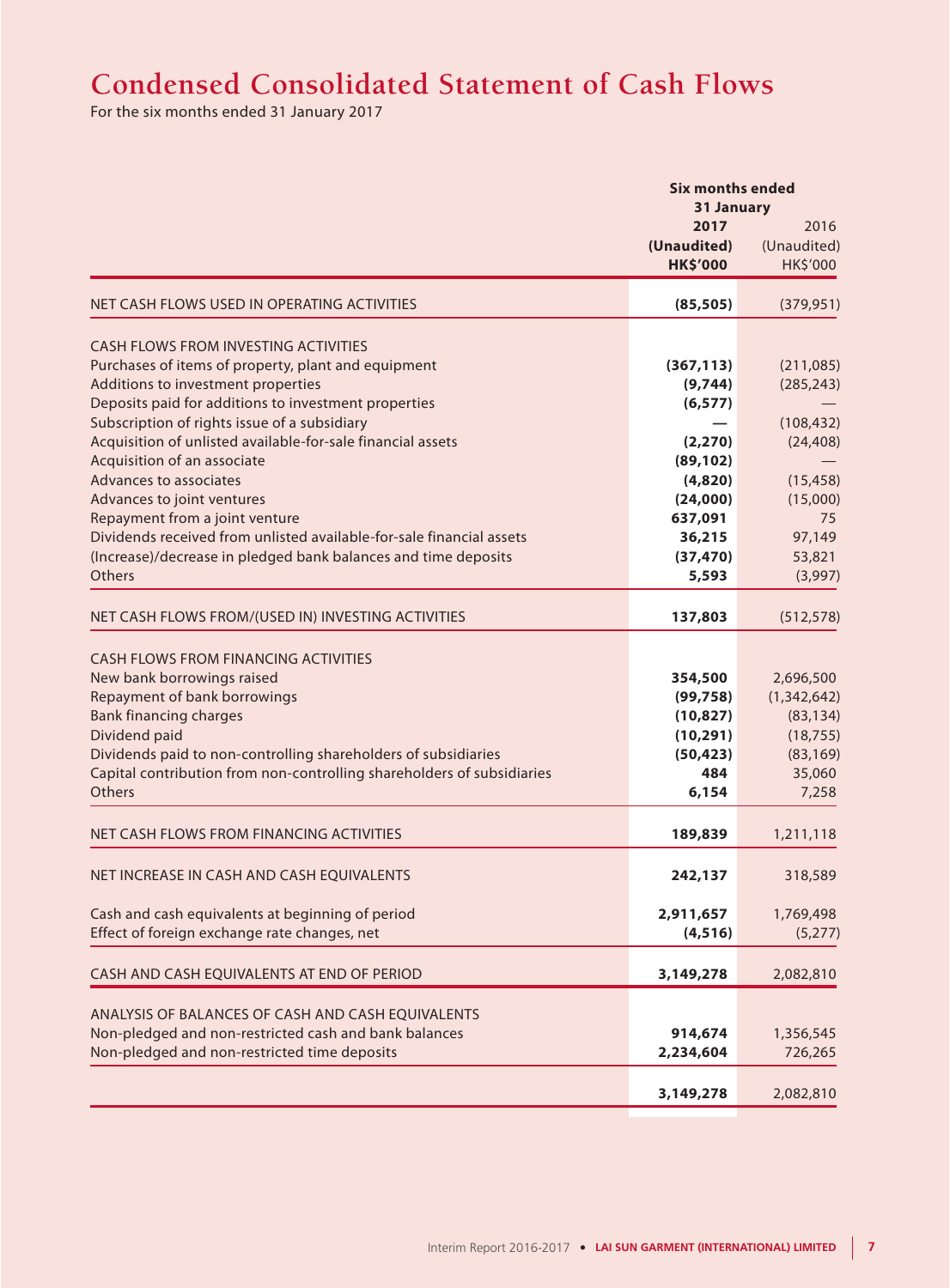# **Condensed Consolidated Statement of Cash Flows**

For the six months ended 31 January 2017

|                                                                                                                                                                                                                                                                                                                                                                                                                                                                                                                                                                                              | <b>Six months ended</b><br>31 January                                                                                        |                                                                                                                  |
|----------------------------------------------------------------------------------------------------------------------------------------------------------------------------------------------------------------------------------------------------------------------------------------------------------------------------------------------------------------------------------------------------------------------------------------------------------------------------------------------------------------------------------------------------------------------------------------------|------------------------------------------------------------------------------------------------------------------------------|------------------------------------------------------------------------------------------------------------------|
|                                                                                                                                                                                                                                                                                                                                                                                                                                                                                                                                                                                              | 2017<br>(Unaudited)<br><b>HK\$'000</b>                                                                                       | 2016<br>(Unaudited)<br>HK\$'000                                                                                  |
| NET CASH FLOWS USED IN OPERATING ACTIVITIES                                                                                                                                                                                                                                                                                                                                                                                                                                                                                                                                                  | (85, 505)                                                                                                                    | (379, 951)                                                                                                       |
| <b>CASH FLOWS FROM INVESTING ACTIVITIES</b><br>Purchases of items of property, plant and equipment<br>Additions to investment properties<br>Deposits paid for additions to investment properties<br>Subscription of rights issue of a subsidiary<br>Acquisition of unlisted available-for-sale financial assets<br>Acquisition of an associate<br>Advances to associates<br>Advances to joint ventures<br>Repayment from a joint venture<br>Dividends received from unlisted available-for-sale financial assets<br>(Increase)/decrease in pledged bank balances and time deposits<br>Others | (367, 113)<br>(9,744)<br>(6, 577)<br>(2, 270)<br>(89, 102)<br>(4,820)<br>(24,000)<br>637,091<br>36,215<br>(37, 470)<br>5,593 | (211,085)<br>(285, 243)<br>(108, 432)<br>(24, 408)<br>(15, 458)<br>(15,000)<br>75<br>97,149<br>53,821<br>(3,997) |
| NET CASH FLOWS FROM/(USED IN) INVESTING ACTIVITIES                                                                                                                                                                                                                                                                                                                                                                                                                                                                                                                                           | 137,803                                                                                                                      | (512, 578)                                                                                                       |
| <b>CASH FLOWS FROM FINANCING ACTIVITIES</b><br>New bank borrowings raised<br>Repayment of bank borrowings<br><b>Bank financing charges</b><br>Dividend paid<br>Dividends paid to non-controlling shareholders of subsidiaries<br>Capital contribution from non-controlling shareholders of subsidiaries<br>Others                                                                                                                                                                                                                                                                            | 354,500<br>(99, 758)<br>(10, 827)<br>(10, 291)<br>(50, 423)<br>484<br>6,154                                                  | 2,696,500<br>(1, 342, 642)<br>(83, 134)<br>(18, 755)<br>(83, 169)<br>35,060<br>7,258                             |
| NET CASH FLOWS FROM FINANCING ACTIVITIES                                                                                                                                                                                                                                                                                                                                                                                                                                                                                                                                                     | 189,839                                                                                                                      | 1,211,118                                                                                                        |
| NET INCREASE IN CASH AND CASH EQUIVALENTS<br>Cash and cash equivalents at beginning of period<br>Effect of foreign exchange rate changes, net                                                                                                                                                                                                                                                                                                                                                                                                                                                | 242,137<br>2,911,657<br>(4, 516)                                                                                             | 318,589<br>1,769,498<br>(5,277)                                                                                  |
| CASH AND CASH EQUIVALENTS AT END OF PERIOD                                                                                                                                                                                                                                                                                                                                                                                                                                                                                                                                                   | 3,149,278                                                                                                                    | 2,082,810                                                                                                        |
| ANALYSIS OF BALANCES OF CASH AND CASH EQUIVALENTS<br>Non-pledged and non-restricted cash and bank balances<br>Non-pledged and non-restricted time deposits                                                                                                                                                                                                                                                                                                                                                                                                                                   | 914,674<br>2,234,604                                                                                                         | 1,356,545<br>726,265                                                                                             |
|                                                                                                                                                                                                                                                                                                                                                                                                                                                                                                                                                                                              | 3,149,278                                                                                                                    | 2,082,810                                                                                                        |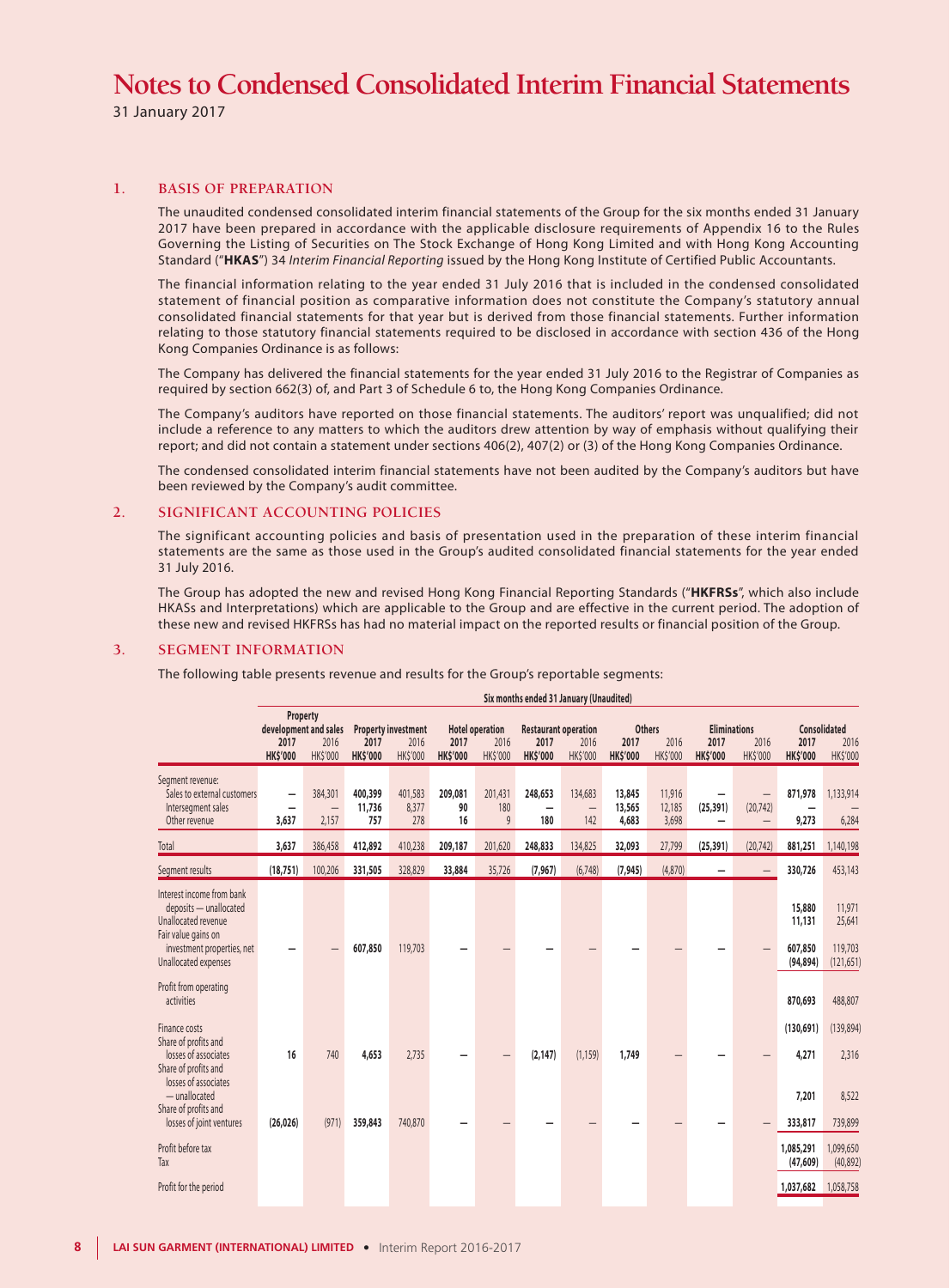31 January 2017

#### **1. BASIS OF PREPARATION**

The unaudited condensed consolidated interim financial statements of the Group for the six months ended 31 January 2017 have been prepared in accordance with the applicable disclosure requirements of Appendix 16 to the Rules Governing the Listing of Securities on The Stock Exchange of Hong Kong Limited and with Hong Kong Accounting Standard ("**HKAS**") 34 *Interim Financial Reporting* issued by the Hong Kong Institute of Certified Public Accountants.

The financial information relating to the year ended 31 July 2016 that is included in the condensed consolidated statement of financial position as comparative information does not constitute the Company's statutory annual consolidated financial statements for that year but is derived from those financial statements. Further information relating to those statutory financial statements required to be disclosed in accordance with section 436 of the Hong Kong Companies Ordinance is as follows:

The Company has delivered the financial statements for the year ended 31 July 2016 to the Registrar of Companies as required by section 662(3) of, and Part 3 of Schedule 6 to, the Hong Kong Companies Ordinance.

The Company's auditors have reported on those financial statements. The auditors' report was unqualified; did not include a reference to any matters to which the auditors drew attention by way of emphasis without qualifying their report; and did not contain a statement under sections 406(2), 407(2) or (3) of the Hong Kong Companies Ordinance.

The condensed consolidated interim financial statements have not been audited by the Company's auditors but have been reviewed by the Company's audit committee.

#### **2. SIGNIFICANT ACCOUNTING POLICIES**

The significant accounting policies and basis of presentation used in the preparation of these interim financial statements are the same as those used in the Group's audited consolidated financial statements for the year ended 31 July 2016.

The Group has adopted the new and revised Hong Kong Financial Reporting Standards ("**HKFRSs**", which also include HKASs and Interpretations) which are applicable to the Group and are effective in the current period. The adoption of these new and revised HKFRSs has had no material impact on the reported results or financial position of the Group.

 $\mathbf{r}$  and  $\mathbf{r}$ 

#### **3. SEGMENT INFORMATION**

The following table presents revenue and results for the Group's reportable segments:

|                                                                                                                                                         |                                   |                                                              |                          |                                                |                         |                                            | Six months ended 31 January (Unaudited)                |                         |                           |                                   |                                                |                                |                                          |                                           |
|---------------------------------------------------------------------------------------------------------------------------------------------------------|-----------------------------------|--------------------------------------------------------------|--------------------------|------------------------------------------------|-------------------------|--------------------------------------------|--------------------------------------------------------|-------------------------|---------------------------|-----------------------------------|------------------------------------------------|--------------------------------|------------------------------------------|-------------------------------------------|
|                                                                                                                                                         | 2017<br><b>HK\$'000</b>           | Property<br>development and sales<br>2016<br><b>HK\$'000</b> | 2017<br><b>HK\$'000</b>  | <b>Property investment</b><br>2016<br>HK\$'000 | 2017<br><b>HK\$'000</b> | <b>Hotel operation</b><br>2016<br>HK\$'000 | <b>Restaurant operation</b><br>2017<br><b>HK\$'000</b> | 2016<br><b>HK\$'000</b> | 2017<br><b>HK\$'000</b>   | <b>Others</b><br>2016<br>HK\$'000 | <b>Eliminations</b><br>2017<br><b>HK\$'000</b> | 2016<br><b>HK\$'000</b>        | 2017<br><b>HK\$'000</b>                  | <b>Consolidated</b><br>2016<br>HK\$'000   |
| Segment revenue:<br>Sales to external customers<br>Intersegment sales<br>Other revenue                                                                  | $\overline{\phantom{0}}$<br>3,637 | 384,301<br>$\qquad \qquad -$<br>2,157                        | 400,399<br>11,736<br>757 | 401,583<br>8,377<br>278                        | 209,081<br>90<br>16     | 201,431<br>180<br>9                        | 248,653<br>180                                         | 134,683<br>—<br>142     | 13,845<br>13,565<br>4,683 | 11,916<br>12,185<br>3,698         | (25, 391)                                      | $\qquad \qquad -$<br>(20, 742) | 871,978<br>9,273                         | 1,133,914<br>6,284                        |
| Total                                                                                                                                                   | 3,637                             | 386,458                                                      | 412,892                  | 410,238                                        | 209,187                 | 201,620                                    | 248,833                                                | 134,825                 | 32,093                    | 27,799                            | (25, 391)                                      | (20, 742)                      | 881,251                                  | 1,140,198                                 |
| Segment results                                                                                                                                         | (18, 751)                         | 100,206                                                      | 331,505                  | 328,829                                        | 33,884                  | 35,726                                     | (7, 967)                                               | (6,748)                 | (7, 945)                  | (4,870)                           |                                                | $\qquad \qquad -$              | 330,726                                  | 453,143                                   |
| Interest income from bank<br>deposits - unallocated<br>Unallocated revenue<br>Fair value gains on<br>investment properties, net<br>Unallocated expenses |                                   |                                                              | 607,850                  | 119,703                                        |                         |                                            |                                                        |                         |                           |                                   |                                                |                                | 15,880<br>11,131<br>607,850<br>(94, 894) | 11,971<br>25,641<br>119,703<br>(121, 651) |
| Profit from operating<br>activities                                                                                                                     |                                   |                                                              |                          |                                                |                         |                                            |                                                        |                         |                           |                                   |                                                |                                | 870,693                                  | 488,807                                   |
| Finance costs<br>Share of profits and<br>losses of associates<br>Share of profits and<br>losses of associates                                           | 16                                | 740                                                          | 4,653                    | 2,735                                          |                         |                                            | (2, 147)                                               | (1, 159)                | 1,749                     |                                   |                                                |                                | (130, 691)<br>4,271                      | (139, 894)<br>2,316                       |
| $-$ unallocated<br>Share of profits and<br>losses of joint ventures                                                                                     | (26.026)                          | (971)                                                        | 359,843                  | 740,870                                        |                         |                                            |                                                        |                         |                           |                                   |                                                |                                | 7,201<br>333,817                         | 8,522<br>739,899                          |
| Profit before tax<br>Tax                                                                                                                                |                                   |                                                              |                          |                                                |                         |                                            |                                                        |                         |                           |                                   |                                                |                                | 1,085,291<br>(47, 609)                   | 1,099,650<br>(40,892)                     |
| Profit for the period                                                                                                                                   |                                   |                                                              |                          |                                                |                         |                                            |                                                        |                         |                           |                                   |                                                |                                | 1,037,682                                | 1,058,758                                 |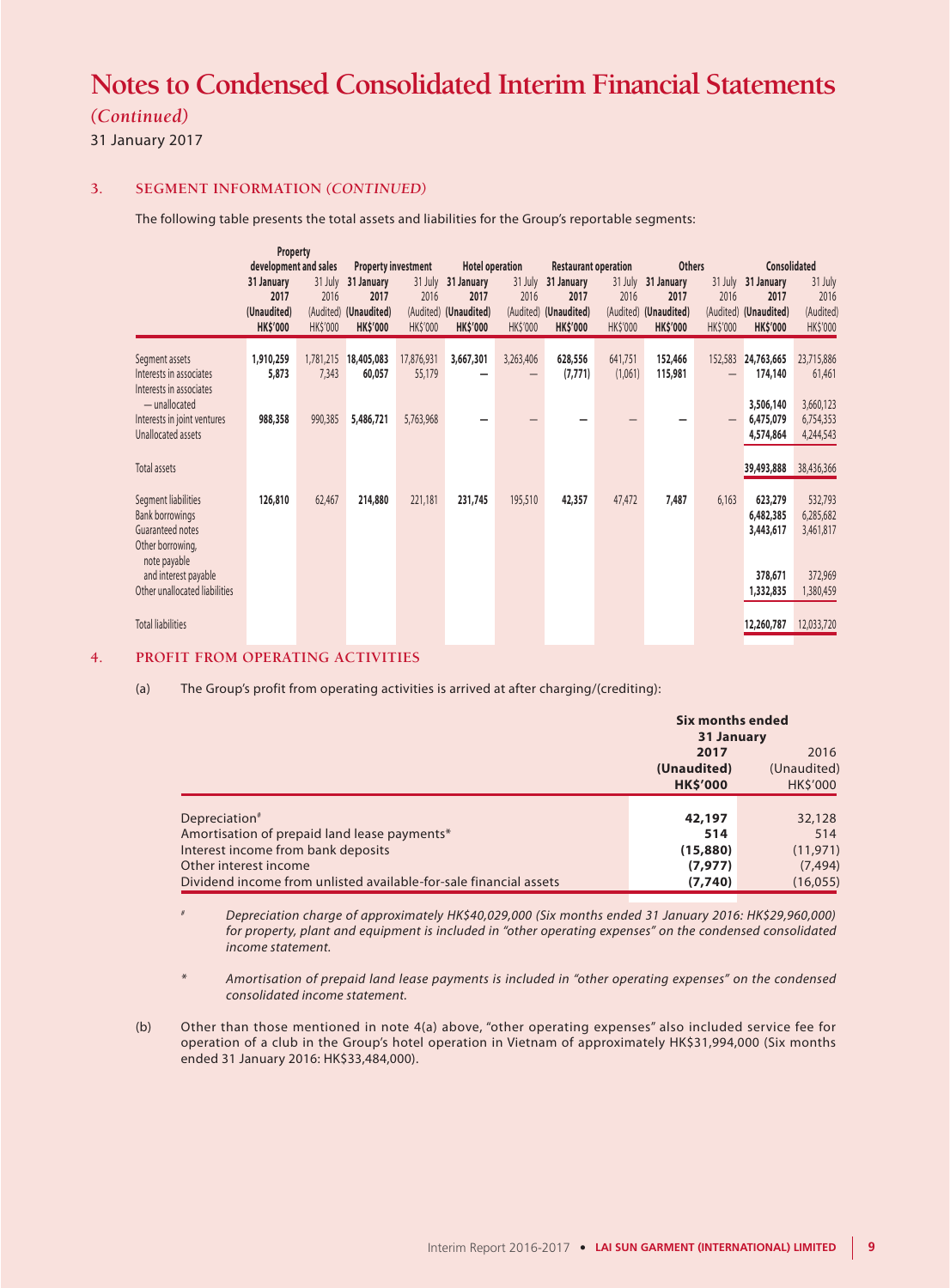### *(Continued)*

31 January 2017

### **3. SEGMENT INFORMATION** *(CONTINUED)*

The following table presents the total assets and liabilities for the Group's reportable segments:

|                                                                                                       | <b>Property</b>                                      |                             |                                                                |                             |                                                                |                             |                                                                |                         |                                                                        |                                                 |                                                      |                                          |
|-------------------------------------------------------------------------------------------------------|------------------------------------------------------|-----------------------------|----------------------------------------------------------------|-----------------------------|----------------------------------------------------------------|-----------------------------|----------------------------------------------------------------|-------------------------|------------------------------------------------------------------------|-------------------------------------------------|------------------------------------------------------|------------------------------------------|
|                                                                                                       | development and sales                                |                             | <b>Property investment</b>                                     |                             | <b>Hotel operation</b>                                         |                             | <b>Restaurant operation</b>                                    |                         | <b>Others</b>                                                          |                                                 | <b>Consolidated</b>                                  |                                          |
|                                                                                                       | 31 January<br>2017<br>(Unaudited)<br><b>HK\$'000</b> | 31 July<br>2016<br>HK\$'000 | 31 January<br>2017<br>(Audited) (Unaudited)<br><b>HK\$'000</b> | 31 July<br>2016<br>HK\$'000 | 31 January<br>2017<br>(Audited) (Unaudited)<br><b>HK\$'000</b> | 31 July<br>2016<br>HK\$'000 | 31 January<br>2017<br>(Audited) (Unaudited)<br><b>HK\$'000</b> | 2016<br><b>HK\$'000</b> | 31 July 31 January<br>2017<br>(Audited) (Unaudited)<br><b>HK\$'000</b> | 31 July<br>2016<br>(Audited)<br><b>HK\$'000</b> | 31 January<br>2017<br>(Unaudited)<br><b>HK\$'000</b> | 31 July<br>2016<br>(Audited)<br>HK\$'000 |
| Segment assets<br>Interests in associates<br>Interests in associates                                  | 1,910,259<br>5,873                                   | 1,781,215<br>7,343          | 18,405,083<br>60,057                                           | 17,876,931<br>55,179        | 3,667,301                                                      | 3,263,406<br>-              | 628,556<br>(7, 771)                                            | 641,751<br>(1,061)      | 152,466<br>115,981                                                     | 152,583                                         | 24,763,665<br>174,140                                | 23,715,886<br>61,461                     |
| $-$ unallocated<br>Interests in joint ventures<br>Unallocated assets                                  | 988,358                                              | 990,385                     | 5,486,721                                                      | 5,763,968                   |                                                                |                             |                                                                |                         |                                                                        |                                                 | 3,506,140<br>6,475,079<br>4,574,864                  | 3,660,123<br>6,754,353<br>4,244,543      |
| Total assets                                                                                          |                                                      |                             |                                                                |                             |                                                                |                             |                                                                |                         |                                                                        |                                                 | 39,493,888                                           | 38,436,366                               |
| Segment liabilities<br><b>Bank borrowings</b><br>Guaranteed notes<br>Other borrowing,<br>note payable | 126,810                                              | 62,467                      | 214,880                                                        | 221,181                     | 231,745                                                        | 195,510                     | 42,357                                                         | 47,472                  | 7,487                                                                  | 6,163                                           | 623,279<br>6,482,385<br>3,443,617                    | 532,793<br>6,285,682<br>3,461,817        |
| and interest payable<br>Other unallocated liabilities                                                 |                                                      |                             |                                                                |                             |                                                                |                             |                                                                |                         |                                                                        |                                                 | 378,671<br>1,332,835                                 | 372,969<br>1,380,459                     |
| <b>Total liabilities</b>                                                                              |                                                      |                             |                                                                |                             |                                                                |                             |                                                                |                         |                                                                        |                                                 | 12,260,787                                           | 12,033,720                               |

### **4. PROFIT FROM OPERATING ACTIVITIES**

(a) The Group's profit from operating activities is arrived at after charging/(crediting):

|                                                                   | <b>Six months ended</b><br>31 January |                                |  |  |
|-------------------------------------------------------------------|---------------------------------------|--------------------------------|--|--|
|                                                                   | 2016<br>2017                          |                                |  |  |
|                                                                   | (Unaudited)<br><b>HK\$'000</b>        | (Unaudited)<br><b>HK\$'000</b> |  |  |
|                                                                   |                                       |                                |  |  |
| Depreciation <sup>#</sup>                                         | 42,197                                | 32,128                         |  |  |
| Amortisation of prepaid land lease payments*                      | 514                                   | 514                            |  |  |
| Interest income from bank deposits                                | (15,880)                              | (11, 971)                      |  |  |
| Other interest income                                             | (7, 977)                              | (7, 494)                       |  |  |
| Dividend income from unlisted available-for-sale financial assets | (7,740)                               | (16, 055)                      |  |  |

*# Depreciation charge of approximately HK\$40,029,000 (Six months ended 31 January 2016: HK\$29,960,000) for property, plant and equipment is included in "other operating expenses" on the condensed consolidated income statement.*

*\* Amortisation of prepaid land lease payments is included in "other operating expenses" on the condensed consolidated income statement.*

(b) Other than those mentioned in note 4(a) above, "other operating expenses" also included service fee for operation of a club in the Group's hotel operation in Vietnam of approximately HK\$31,994,000 (Six months ended 31 January 2016: HK\$33,484,000).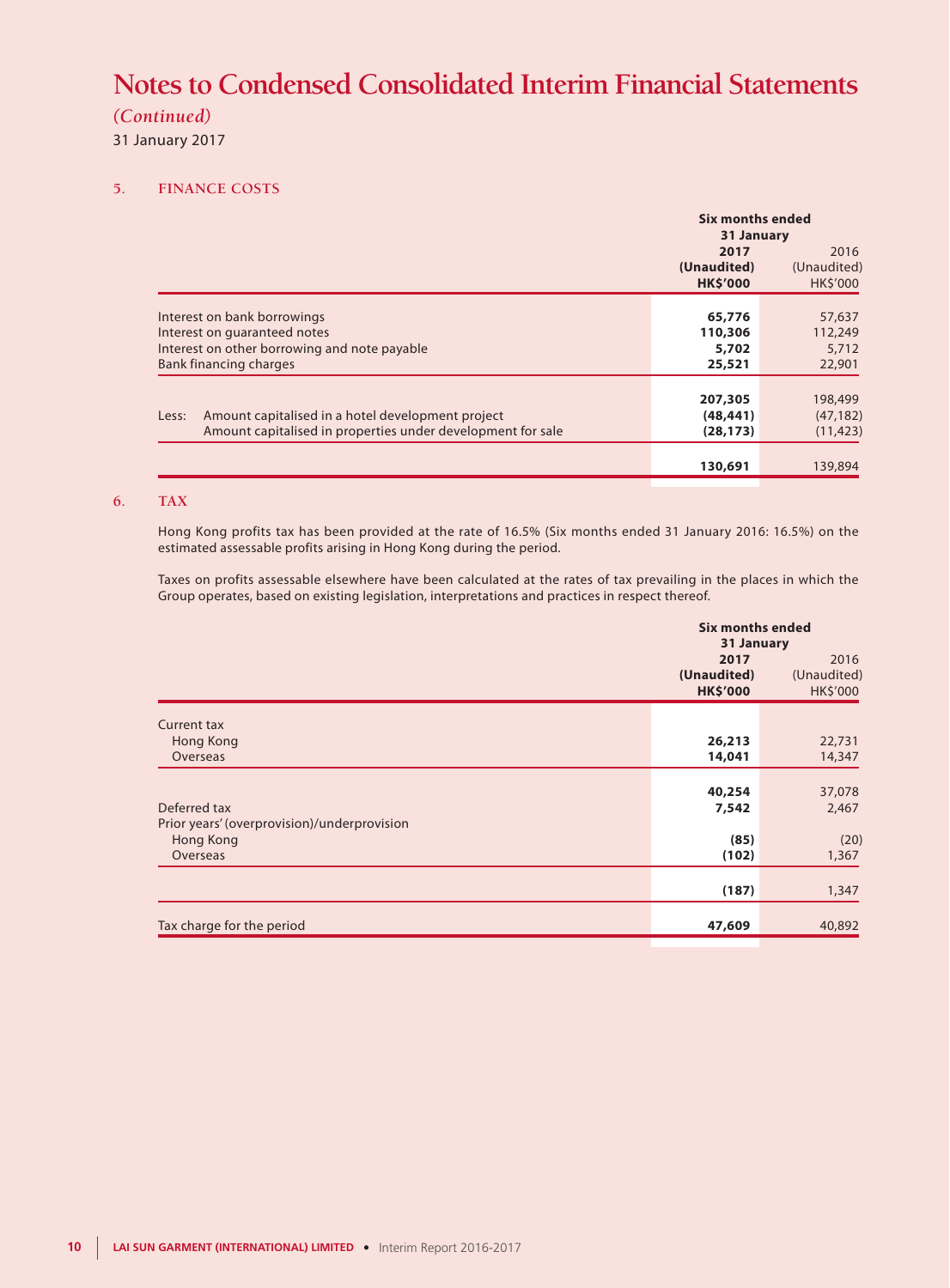### *(Continued)*

31 January 2017

### **5. FINANCE COSTS**

|                 | <b>Six months ended</b><br>31 January     |  |  |  |
|-----------------|-------------------------------------------|--|--|--|
| 2017            | 2016                                      |  |  |  |
| (Unaudited)     | (Unaudited)                               |  |  |  |
| <b>HK\$'000</b> | <b>HK\$'000</b>                           |  |  |  |
|                 |                                           |  |  |  |
|                 | 57,637                                    |  |  |  |
|                 | 112,249                                   |  |  |  |
| 5,702           | 5,712                                     |  |  |  |
| 25,521          | 22,901                                    |  |  |  |
|                 | 198,499                                   |  |  |  |
|                 | (47, 182)                                 |  |  |  |
| (28, 173)       | (11, 423)                                 |  |  |  |
| 130,691         | 139,894                                   |  |  |  |
|                 | 65,776<br>110,306<br>207,305<br>(48, 441) |  |  |  |

### **6. TAX**

Hong Kong profits tax has been provided at the rate of 16.5% (Six months ended 31 January 2016: 16.5%) on the estimated assessable profits arising in Hong Kong during the period.

Taxes on profits assessable elsewhere have been calculated at the rates of tax prevailing in the places in which the Group operates, based on existing legislation, interpretations and practices in respect thereof.

|                                             | <b>Six months ended</b><br>31 January |                         |  |  |
|---------------------------------------------|---------------------------------------|-------------------------|--|--|
|                                             | 2017                                  | 2016                    |  |  |
|                                             | (Unaudited)<br><b>HK\$'000</b>        | (Unaudited)<br>HK\$'000 |  |  |
| <b>Current tax</b>                          |                                       |                         |  |  |
| Hong Kong                                   | 26,213                                | 22,731                  |  |  |
| Overseas                                    | 14,041                                | 14,347                  |  |  |
|                                             |                                       |                         |  |  |
|                                             | 40,254                                | 37,078                  |  |  |
| Deferred tax                                | 7,542                                 | 2,467                   |  |  |
| Prior years' (overprovision)/underprovision | (85)                                  |                         |  |  |
| Hong Kong<br>Overseas                       | (102)                                 | (20)                    |  |  |
|                                             |                                       | 1,367                   |  |  |
|                                             | (187)                                 | 1,347                   |  |  |
|                                             |                                       |                         |  |  |
| Tax charge for the period                   | 47,609                                | 40,892                  |  |  |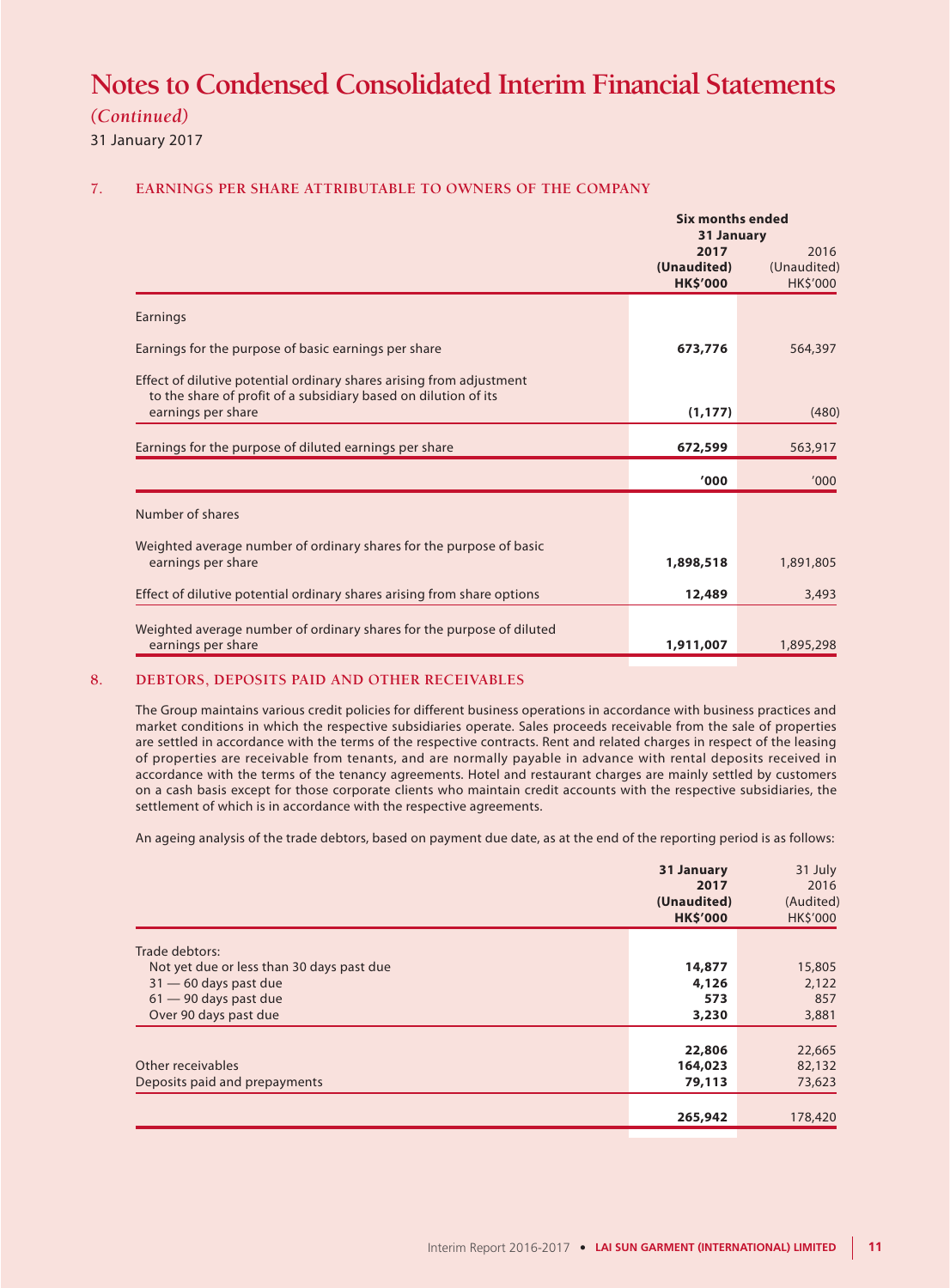*(Continued)*

31 January 2017

### **7. EARNINGS PER SHARE ATTRIBUTABLE TO OWNERS OF THE COMPANY**

|                                                                                                                                                               |                                        | <b>Six months ended</b><br>31 January  |  |  |  |
|---------------------------------------------------------------------------------------------------------------------------------------------------------------|----------------------------------------|----------------------------------------|--|--|--|
|                                                                                                                                                               | 2017<br>(Unaudited)<br><b>HK\$'000</b> | 2016<br>(Unaudited)<br><b>HK\$'000</b> |  |  |  |
| Earnings                                                                                                                                                      |                                        |                                        |  |  |  |
| Earnings for the purpose of basic earnings per share                                                                                                          | 673,776                                | 564,397                                |  |  |  |
| Effect of dilutive potential ordinary shares arising from adjustment<br>to the share of profit of a subsidiary based on dilution of its<br>earnings per share | (1, 177)                               | (480)                                  |  |  |  |
|                                                                                                                                                               |                                        |                                        |  |  |  |
| Earnings for the purpose of diluted earnings per share                                                                                                        | 672,599                                | 563,917                                |  |  |  |
|                                                                                                                                                               | '000                                   | '000                                   |  |  |  |
| Number of shares                                                                                                                                              |                                        |                                        |  |  |  |
| Weighted average number of ordinary shares for the purpose of basic                                                                                           |                                        |                                        |  |  |  |
| earnings per share                                                                                                                                            | 1,898,518                              | 1,891,805                              |  |  |  |
| Effect of dilutive potential ordinary shares arising from share options                                                                                       | 12,489                                 | 3,493                                  |  |  |  |
|                                                                                                                                                               |                                        |                                        |  |  |  |
| Weighted average number of ordinary shares for the purpose of diluted<br>earnings per share                                                                   | 1,911,007                              | 1,895,298                              |  |  |  |

#### **8. DEBTORS, DEPOSITS PAID AND OTHER RECEIVABLES**

The Group maintains various credit policies for different business operations in accordance with business practices and market conditions in which the respective subsidiaries operate. Sales proceeds receivable from the sale of properties are settled in accordance with the terms of the respective contracts. Rent and related charges in respect of the leasing of properties are receivable from tenants, and are normally payable in advance with rental deposits received in accordance with the terms of the tenancy agreements. Hotel and restaurant charges are mainly settled by customers on a cash basis except for those corporate clients who maintain credit accounts with the respective subsidiaries, the settlement of which is in accordance with the respective agreements.

An ageing analysis of the trade debtors, based on payment due date, as at the end of the reporting period is as follows:

|                                                             | 31 January<br>2017<br>(Unaudited)<br><b>HK\$'000</b> | 31 July<br>2016<br>(Audited)<br>HK\$'000 |
|-------------------------------------------------------------|------------------------------------------------------|------------------------------------------|
|                                                             |                                                      |                                          |
| Trade debtors:<br>Not yet due or less than 30 days past due | 14,877                                               | 15,805                                   |
|                                                             |                                                      |                                          |
| $31 - 60$ days past due                                     | 4,126                                                | 2,122                                    |
| $61 - 90$ days past due                                     | 573                                                  | 857                                      |
| Over 90 days past due                                       | 3,230                                                | 3,881                                    |
|                                                             |                                                      |                                          |
|                                                             | 22,806                                               | 22,665                                   |
| Other receivables                                           | 164,023                                              | 82,132                                   |
| Deposits paid and prepayments                               | 79,113                                               | 73,623                                   |
|                                                             |                                                      |                                          |
|                                                             | 265,942                                              | 178,420                                  |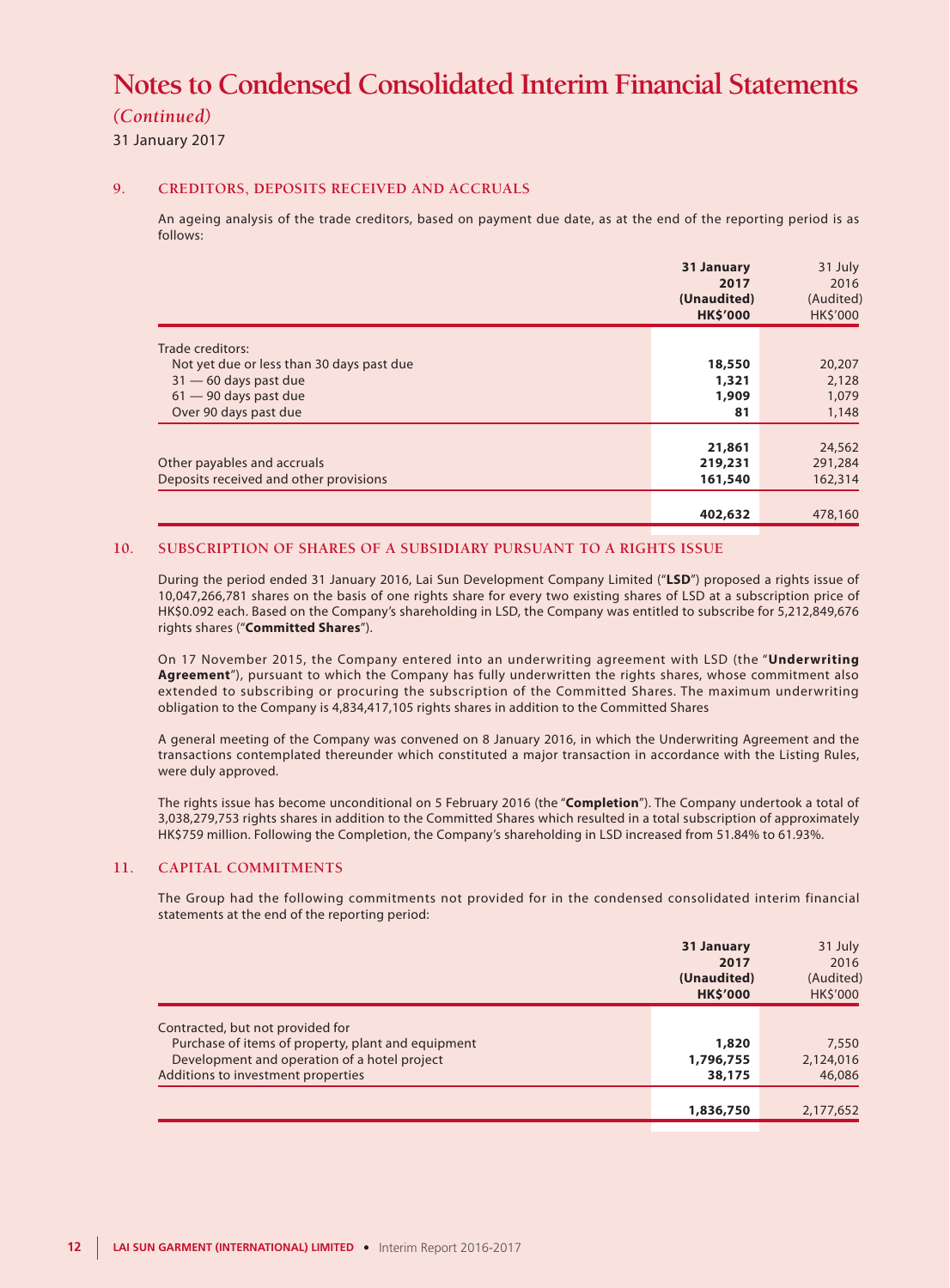### *(Continued)*

31 January 2017

#### **9. CREDITORS, DEPOSITS RECEIVED AND ACCRUALS**

An ageing analysis of the trade creditors, based on payment due date, as at the end of the reporting period is as follows:

|                                           | 31 January<br>2017<br>(Unaudited)<br><b>HK\$'000</b> | 31 July<br>2016<br>(Audited)<br><b>HK\$'000</b> |
|-------------------------------------------|------------------------------------------------------|-------------------------------------------------|
| Trade creditors:                          |                                                      |                                                 |
| Not yet due or less than 30 days past due | 18,550                                               | 20,207                                          |
| $31 - 60$ days past due                   | 1,321                                                | 2,128                                           |
| $61 - 90$ days past due                   | 1,909                                                | 1,079                                           |
| Over 90 days past due                     | 81                                                   | 1,148                                           |
|                                           |                                                      |                                                 |
|                                           | 21,861                                               | 24,562                                          |
| Other payables and accruals               | 219,231                                              | 291,284                                         |
| Deposits received and other provisions    | 161,540                                              | 162,314                                         |
|                                           |                                                      |                                                 |
|                                           | 402,632                                              | 478,160                                         |

#### **10. SUBSCRIPTION OF SHARES OF A SUBSIDIARY PURSUANT TO A RIGHTS ISSUE**

During the period ended 31 January 2016, Lai Sun Development Company Limited ("**LSD**") proposed a rights issue of 10,047,266,781 shares on the basis of one rights share for every two existing shares of LSD at a subscription price of HK\$0.092 each. Based on the Company's shareholding in LSD, the Company was entitled to subscribe for 5,212,849,676 rights shares ("**Committed Shares**").

On 17 November 2015, the Company entered into an underwriting agreement with LSD (the "**Underwriting Agreement**"), pursuant to which the Company has fully underwritten the rights shares, whose commitment also extended to subscribing or procuring the subscription of the Committed Shares. The maximum underwriting obligation to the Company is 4,834,417,105 rights shares in addition to the Committed Shares

A general meeting of the Company was convened on 8 January 2016, in which the Underwriting Agreement and the transactions contemplated thereunder which constituted a major transaction in accordance with the Listing Rules, were duly approved.

The rights issue has become unconditional on 5 February 2016 (the "**Completion**"). The Company undertook a total of 3,038,279,753 rights shares in addition to the Committed Shares which resulted in a total subscription of approximately HK\$759 million. Following the Completion, the Company's shareholding in LSD increased from 51.84% to 61.93%.

#### **11. CAPITAL COMMITMENTS**

The Group had the following commitments not provided for in the condensed consolidated interim financial statements at the end of the reporting period:

| 31 January<br>2017<br>(Unaudited)<br><b>HK\$'000</b>        | 2016<br>(Audited)<br><b>HK\$'000</b> |
|-------------------------------------------------------------|--------------------------------------|
| Contracted, but not provided for                            |                                      |
| Purchase of items of property, plant and equipment<br>1,820 | 7,550                                |
| Development and operation of a hotel project<br>1,796,755   | 2,124,016                            |
| Additions to investment properties<br>38,175                | 46,086                               |
|                                                             |                                      |
| 1,836,750                                                   | 2,177,652                            |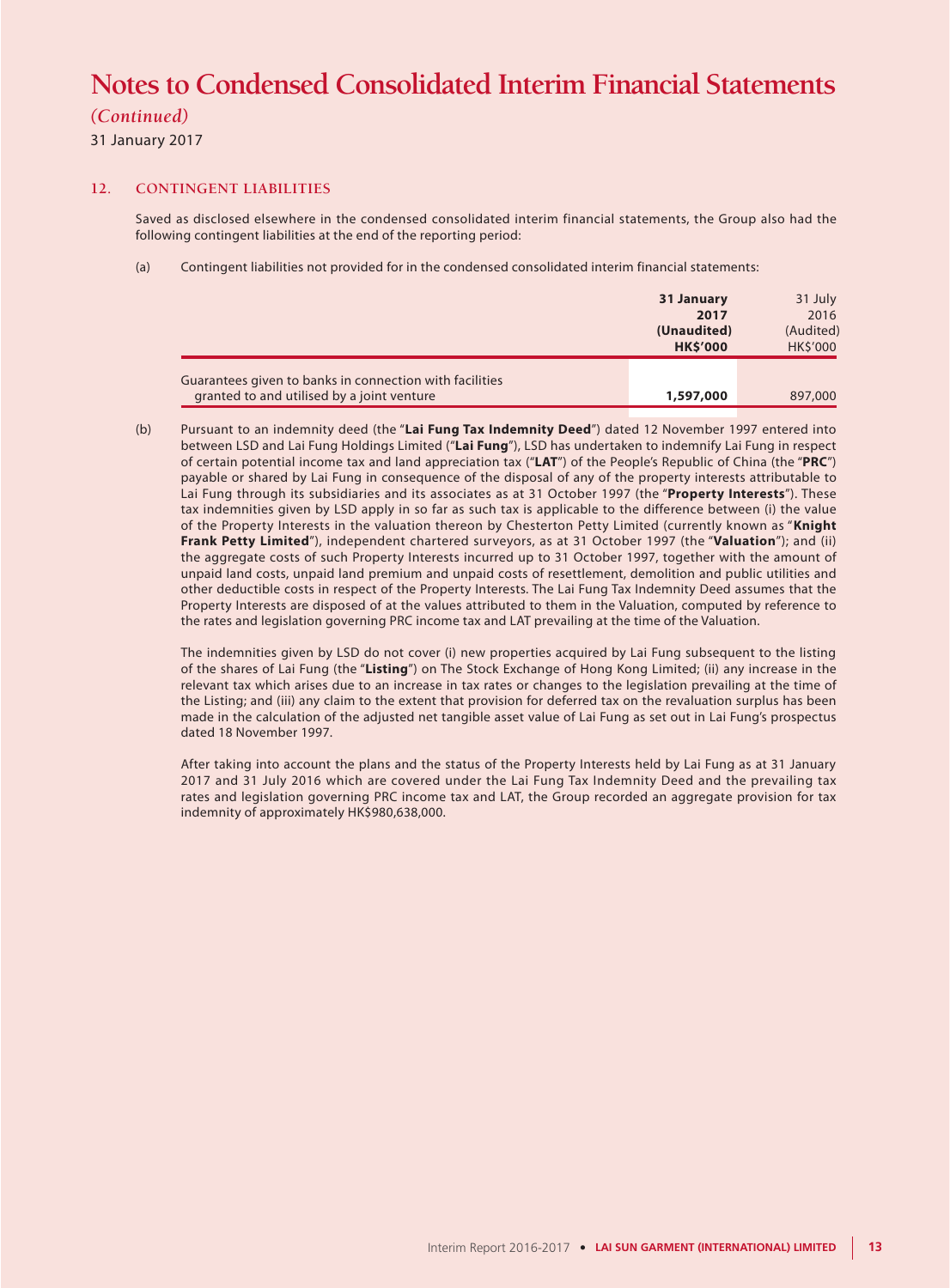### *(Continued)*

31 January 2017

#### **12. CONTINGENT LIABILITIES**

Saved as disclosed elsewhere in the condensed consolidated interim financial statements, the Group also had the following contingent liabilities at the end of the reporting period:

(a) Contingent liabilities not provided for in the condensed consolidated interim financial statements:

|                                                                                                       | 31 January<br>2017<br>(Unaudited)<br><b>HK\$'000</b> | 31 July<br>2016<br>(Audited)<br>HK\$'000 |
|-------------------------------------------------------------------------------------------------------|------------------------------------------------------|------------------------------------------|
| Guarantees given to banks in connection with facilities<br>granted to and utilised by a joint venture | 1,597,000                                            | 897,000                                  |

(b) Pursuant to an indemnity deed (the "**Lai Fung Tax Indemnity Deed**") dated 12 November 1997 entered into between LSD and Lai Fung Holdings Limited ("**Lai Fung**"), LSD has undertaken to indemnify Lai Fung in respect of certain potential income tax and land appreciation tax ("**LAT**") of the People's Republic of China (the "**PRC**") payable or shared by Lai Fung in consequence of the disposal of any of the property interests attributable to Lai Fung through its subsidiaries and its associates as at 31 October 1997 (the "**Property Interests**"). These tax indemnities given by LSD apply in so far as such tax is applicable to the difference between (i) the value of the Property Interests in the valuation thereon by Chesterton Petty Limited (currently known as "**Knight Frank Petty Limited**"), independent chartered surveyors, as at 31 October 1997 (the "**Valuation**"); and (ii) the aggregate costs of such Property Interests incurred up to 31 October 1997, together with the amount of unpaid land costs, unpaid land premium and unpaid costs of resettlement, demolition and public utilities and other deductible costs in respect of the Property Interests. The Lai Fung Tax Indemnity Deed assumes that the Property Interests are disposed of at the values attributed to them in the Valuation, computed by reference to the rates and legislation governing PRC income tax and LAT prevailing at the time of the Valuation.

The indemnities given by LSD do not cover (i) new properties acquired by Lai Fung subsequent to the listing of the shares of Lai Fung (the "**Listing**") on The Stock Exchange of Hong Kong Limited; (ii) any increase in the relevant tax which arises due to an increase in tax rates or changes to the legislation prevailing at the time of the Listing; and (iii) any claim to the extent that provision for deferred tax on the revaluation surplus has been made in the calculation of the adjusted net tangible asset value of Lai Fung as set out in Lai Fung's prospectus dated 18 November 1997.

After taking into account the plans and the status of the Property Interests held by Lai Fung as at 31 January 2017 and 31 July 2016 which are covered under the Lai Fung Tax Indemnity Deed and the prevailing tax rates and legislation governing PRC income tax and LAT, the Group recorded an aggregate provision for tax indemnity of approximately HK\$980,638,000.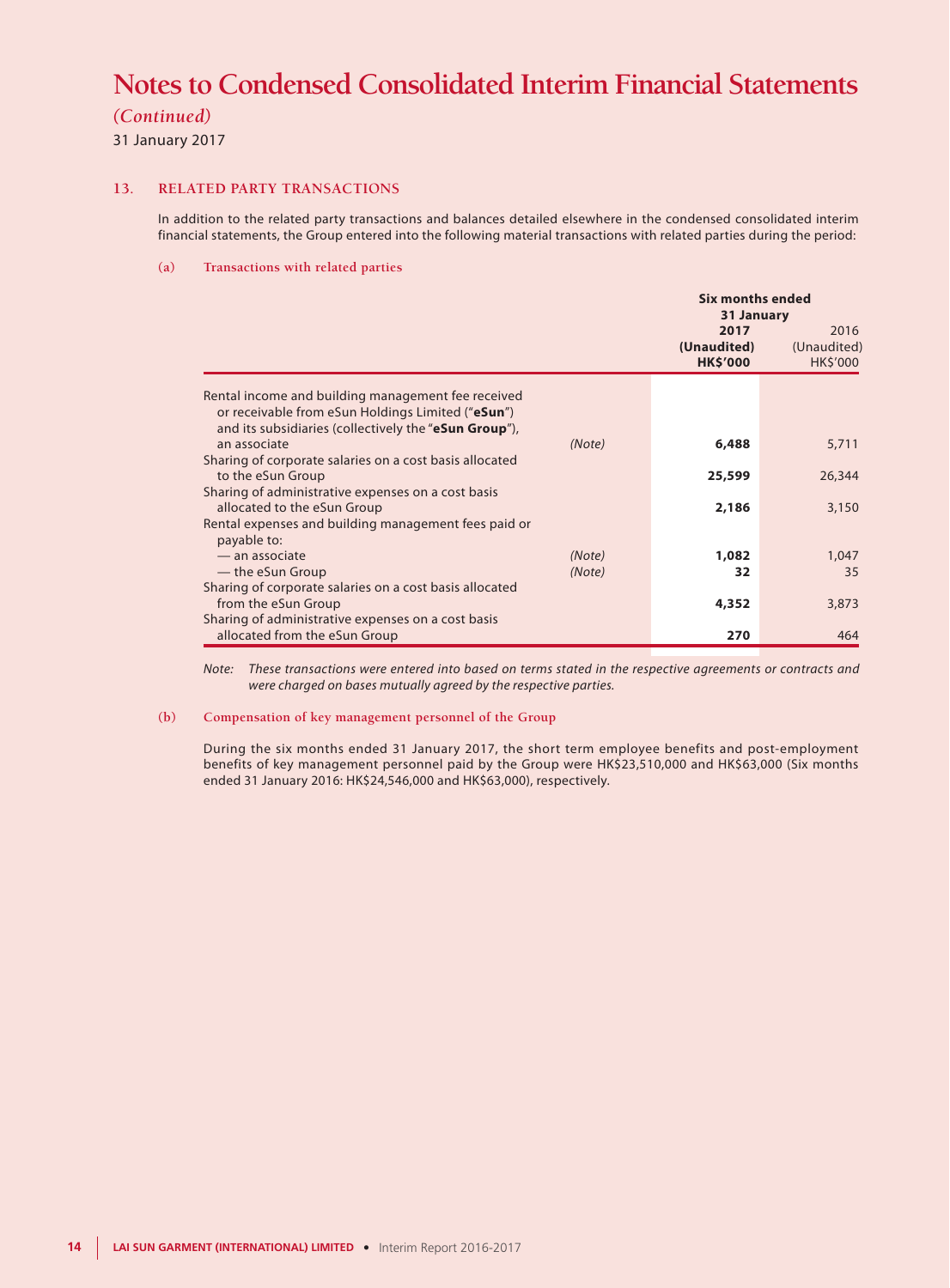*(Continued)*

31 January 2017

#### **13. RELATED PARTY TRANSACTIONS**

In addition to the related party transactions and balances detailed elsewhere in the condensed consolidated interim financial statements, the Group entered into the following material transactions with related parties during the period:

#### **(a) Transactions with related parties**

|                                                                                                                                                                  |                  | <b>Six months ended</b><br>31 January  |                                 |  |
|------------------------------------------------------------------------------------------------------------------------------------------------------------------|------------------|----------------------------------------|---------------------------------|--|
|                                                                                                                                                                  |                  | 2017<br>(Unaudited)<br><b>HK\$'000</b> | 2016<br>(Unaudited)<br>HK\$'000 |  |
| Rental income and building management fee received<br>or receivable from eSun Holdings Limited ("eSun")<br>and its subsidiaries (collectively the "eSun Group"), |                  |                                        |                                 |  |
| an associate                                                                                                                                                     | (Note)           | 6,488                                  | 5,711                           |  |
| Sharing of corporate salaries on a cost basis allocated<br>to the eSun Group                                                                                     |                  | 25,599                                 | 26,344                          |  |
| Sharing of administrative expenses on a cost basis<br>allocated to the eSun Group                                                                                |                  | 2,186                                  | 3,150                           |  |
| Rental expenses and building management fees paid or<br>payable to:                                                                                              |                  |                                        |                                 |  |
| - an associate<br>— the eSun Group                                                                                                                               | (Note)<br>(Note) | 1,082<br>32                            | 1,047<br>35                     |  |
| Sharing of corporate salaries on a cost basis allocated<br>from the eSun Group                                                                                   |                  | 4,352                                  | 3,873                           |  |
| Sharing of administrative expenses on a cost basis<br>allocated from the eSun Group                                                                              |                  | 270                                    | 464                             |  |

*Note: These transactions were entered into based on terms stated in the respective agreements or contracts and were charged on bases mutually agreed by the respective parties.*

#### **(b) Compensation of key management personnel of the Group**

During the six months ended 31 January 2017, the short term employee benefits and post-employment benefits of key management personnel paid by the Group were HK\$23,510,000 and HK\$63,000 (Six months ended 31 January 2016: HK\$24,546,000 and HK\$63,000), respectively.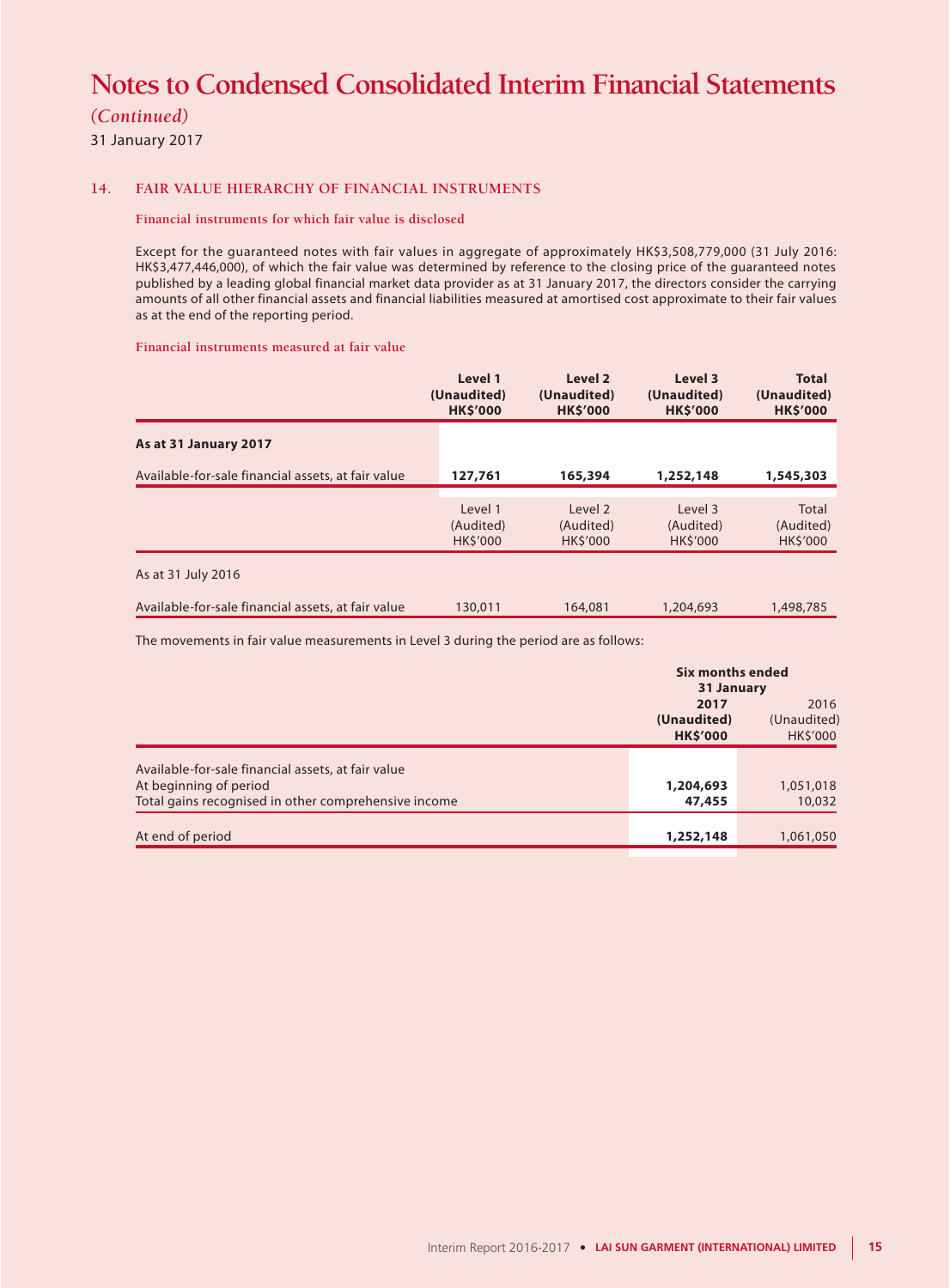*(Continued)*

31 January 2017

#### **14. FAIR VALUE HIERARCHY OF FINANCIAL INSTRUMENTS**

#### **Financial instruments for which fair value is disclosed**

Except for the guaranteed notes with fair values in aggregate of approximately HK\$3,508,779,000 (31 July 2016: HK\$3,477,446,000), of which the fair value was determined by reference to the closing price of the guaranteed notes published by a leading global financial market data provider as at 31 January 2017, the directors consider the carrying amounts of all other financial assets and financial liabilities measured at amortised cost approximate to their fair values as at the end of the reporting period.

**Financial instruments measured at fair value**

|                                                    | Level 1<br>(Unaudited)<br><b>HK\$'000</b> | Level 2<br>(Unaudited)<br><b>HK\$'000</b> | Level 3<br>(Unaudited)<br><b>HK\$'000</b> | <b>Total</b><br>(Unaudited)<br><b>HK\$'000</b> |
|----------------------------------------------------|-------------------------------------------|-------------------------------------------|-------------------------------------------|------------------------------------------------|
| As at 31 January 2017                              |                                           |                                           |                                           |                                                |
| Available-for-sale financial assets, at fair value | 127,761                                   | 165,394                                   | 1,252,148                                 | 1,545,303                                      |
|                                                    |                                           |                                           |                                           |                                                |
|                                                    | Level 1                                   | Level 2                                   | Level 3                                   | Total                                          |
|                                                    | (Audited)                                 | (Audited)                                 | (Audited)                                 | (Audited)                                      |
|                                                    | <b>HKS'000</b>                            | <b>HKS'000</b>                            | <b>HKS'000</b>                            | <b>HKS'000</b>                                 |
| As at 31 July 2016                                 |                                           |                                           |                                           |                                                |
| Available-for-sale financial assets, at fair value | 130,011                                   | 164,081                                   | 1,204,693                                 | 1,498,785                                      |

The movements in fair value measurements in Level 3 during the period are as follows:

|                                                      | Six months ended |                |  |
|------------------------------------------------------|------------------|----------------|--|
|                                                      | 31 January       |                |  |
|                                                      | 2017             | 2016           |  |
|                                                      | (Unaudited)      | (Unaudited)    |  |
|                                                      | <b>HK\$'000</b>  | <b>HKS'000</b> |  |
|                                                      |                  |                |  |
| Available-for-sale financial assets, at fair value   |                  |                |  |
| At beginning of period                               | 1,204,693        | 1,051,018      |  |
| Total gains recognised in other comprehensive income | 47,455           | 10,032         |  |
|                                                      |                  |                |  |
| At end of period                                     | 1,252,148        | 1,061,050      |  |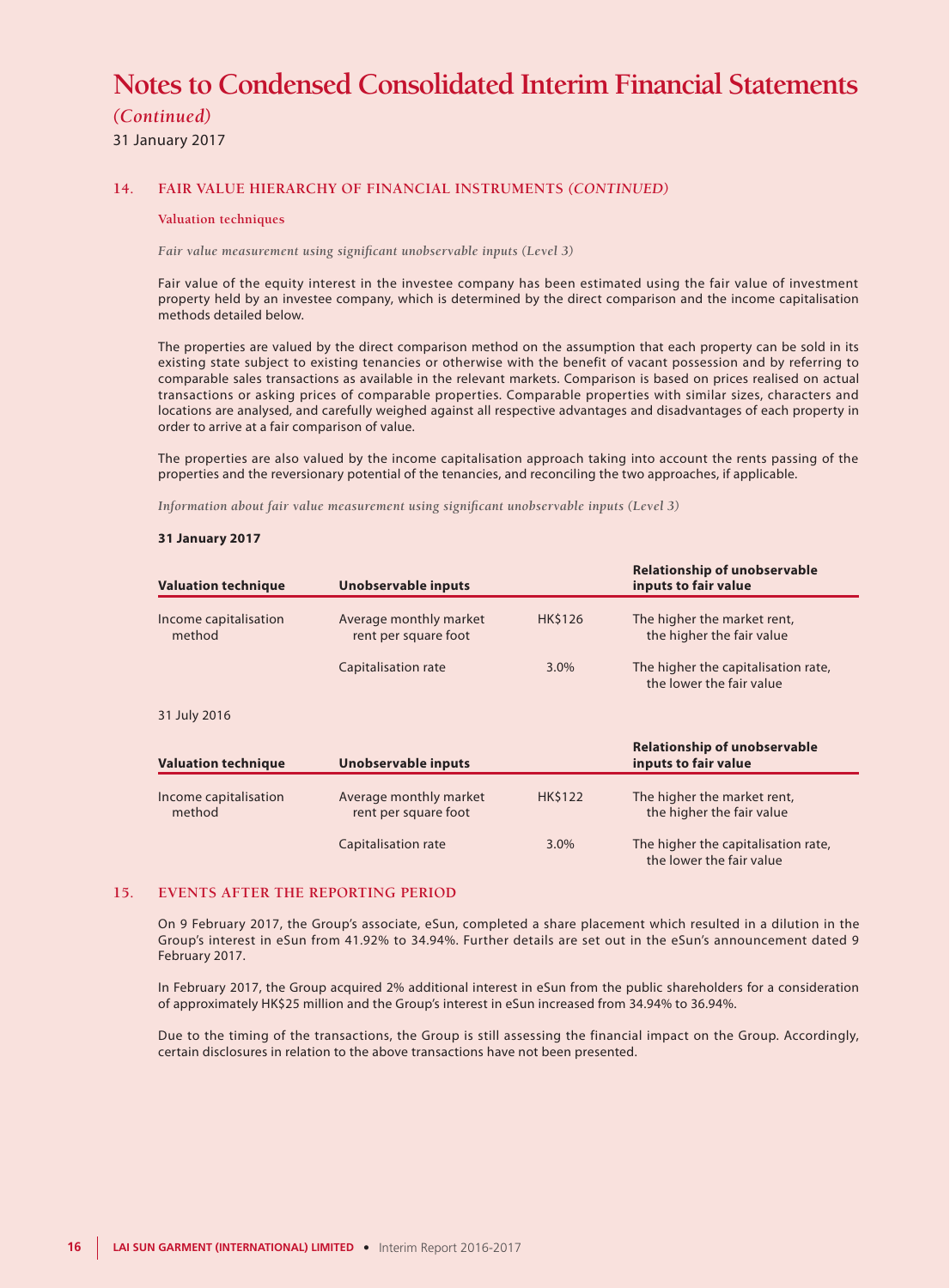*(Continued)*

31 January 2017

#### **14. FAIR VALUE HIERARCHY OF FINANCIAL INSTRUMENTS** *(CONTINUED)*

#### **Valuation techniques**

*Fair value measurement using significant unobservable inputs (Level 3)*

Fair value of the equity interest in the investee company has been estimated using the fair value of investment property held by an investee company, which is determined by the direct comparison and the income capitalisation methods detailed below.

The properties are valued by the direct comparison method on the assumption that each property can be sold in its existing state subject to existing tenancies or otherwise with the benefit of vacant possession and by referring to comparable sales transactions as available in the relevant markets. Comparison is based on prices realised on actual transactions or asking prices of comparable properties. Comparable properties with similar sizes, characters and locations are analysed, and carefully weighed against all respective advantages and disadvantages of each property in order to arrive at a fair comparison of value.

The properties are also valued by the income capitalisation approach taking into account the rents passing of the properties and the reversionary potential of the tenancies, and reconciling the two approaches, if applicable.

*Information about fair value measurement using significant unobservable inputs (Level 3)*

#### **31 January 2017**

| <b>Valuation technique</b>      | Unobservable inputs                            |                | <b>Relationship of unobservable</b><br>inputs to fair value     |
|---------------------------------|------------------------------------------------|----------------|-----------------------------------------------------------------|
| Income capitalisation<br>method | Average monthly market<br>rent per square foot | <b>HK\$126</b> | The higher the market rent,<br>the higher the fair value        |
|                                 | Capitalisation rate                            | $3.0\%$        | The higher the capitalisation rate,<br>the lower the fair value |
| 31 July 2016                    |                                                |                |                                                                 |
| <b>Valuation technique</b>      | <b>Unobservable inputs</b>                     |                | <b>Relationship of unobservable</b><br>inputs to fair value     |
| Income capitalisation<br>method | Average monthly market<br>rent per square foot | <b>HK\$122</b> | The higher the market rent,<br>the higher the fair value        |
|                                 | Capitalisation rate                            | 3.0%           | The higher the capitalisation rate,<br>the lower the fair value |

#### **15. EVENTS AFTER THE REPORTING PERIOD**

On 9 February 2017, the Group's associate, eSun, completed a share placement which resulted in a dilution in the Group's interest in eSun from 41.92% to 34.94%. Further details are set out in the eSun's announcement dated 9 February 2017.

In February 2017, the Group acquired 2% additional interest in eSun from the public shareholders for a consideration of approximately HK\$25 million and the Group's interest in eSun increased from 34.94% to 36.94%.

Due to the timing of the transactions, the Group is still assessing the financial impact on the Group. Accordingly, certain disclosures in relation to the above transactions have not been presented.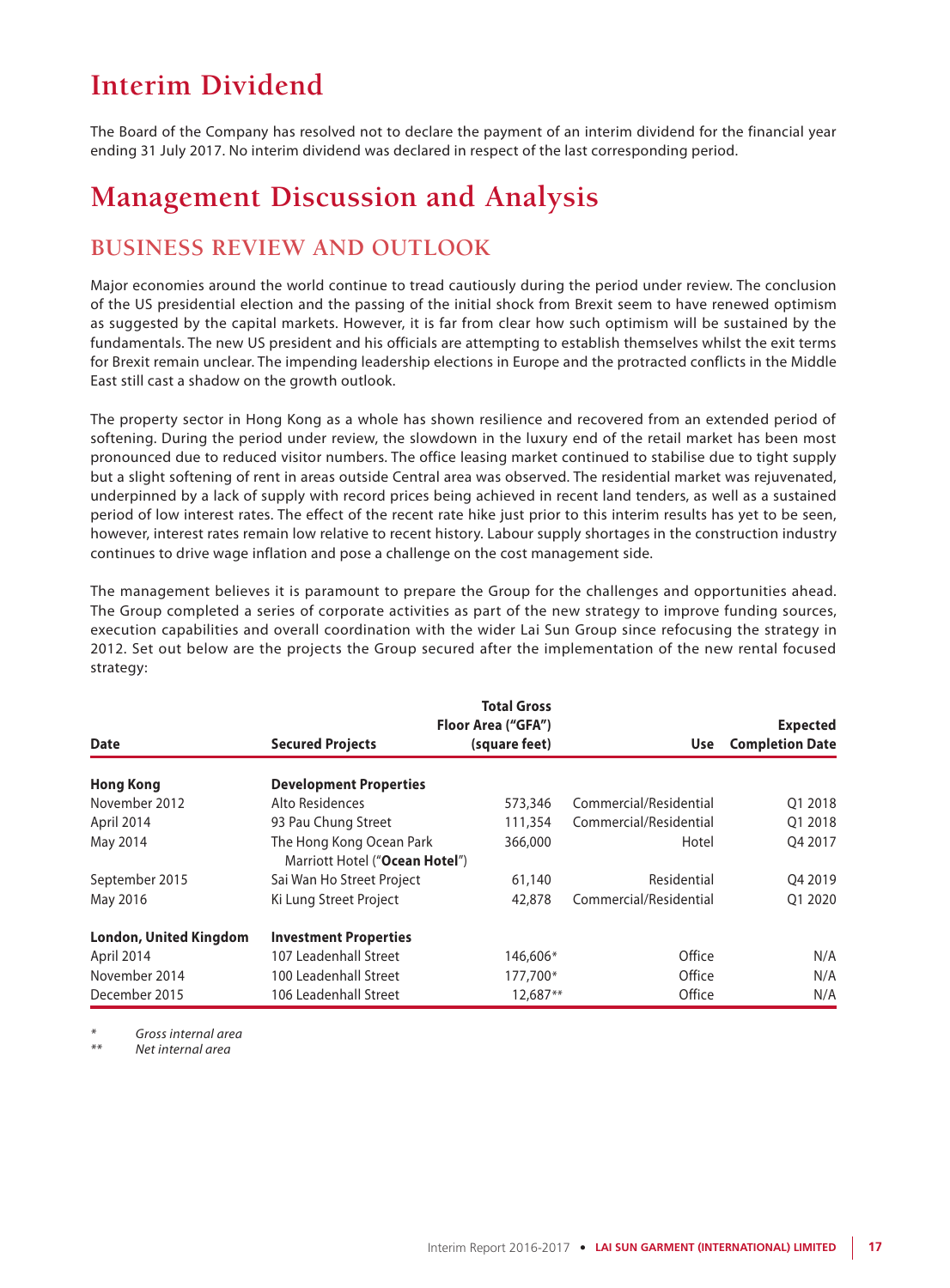# **Interim Dividend**

The Board of the Company has resolved not to declare the payment of an interim dividend for the financial year ending 31 July 2017. No interim dividend was declared in respect of the last corresponding period.

## **Management Discussion and Analysis**

## **BUSINESS REVIEW AND OUTLOOK**

Major economies around the world continue to tread cautiously during the period under review. The conclusion of the US presidential election and the passing of the initial shock from Brexit seem to have renewed optimism as suggested by the capital markets. However, it is far from clear how such optimism will be sustained by the fundamentals. The new US president and his officials are attempting to establish themselves whilst the exit terms for Brexit remain unclear. The impending leadership elections in Europe and the protracted conflicts in the Middle East still cast a shadow on the growth outlook.

The property sector in Hong Kong as a whole has shown resilience and recovered from an extended period of softening. During the period under review, the slowdown in the luxury end of the retail market has been most pronounced due to reduced visitor numbers. The office leasing market continued to stabilise due to tight supply but a slight softening of rent in areas outside Central area was observed. The residential market was rejuvenated, underpinned by a lack of supply with record prices being achieved in recent land tenders, as well as a sustained period of low interest rates. The effect of the recent rate hike just prior to this interim results has yet to be seen, however, interest rates remain low relative to recent history. Labour supply shortages in the construction industry continues to drive wage inflation and pose a challenge on the cost management side.

The management believes it is paramount to prepare the Group for the challenges and opportunities ahead. The Group completed a series of corporate activities as part of the new strategy to improve funding sources, execution capabilities and overall coordination with the wider Lai Sun Group since refocusing the strategy in 2012. Set out below are the projects the Group secured after the implementation of the new rental focused strategy:

|                               |                                                            | <b>Total Gross</b>                  |                        |                                           |
|-------------------------------|------------------------------------------------------------|-------------------------------------|------------------------|-------------------------------------------|
| Date                          | <b>Secured Projects</b>                                    | Floor Area ("GFA")<br>(square feet) | <b>Use</b>             | <b>Expected</b><br><b>Completion Date</b> |
| <b>Hong Kong</b>              | <b>Development Properties</b>                              |                                     |                        |                                           |
| November 2012                 | Alto Residences                                            | 573,346                             | Commercial/Residential | Q1 2018                                   |
| April 2014                    | 93 Pau Chung Street                                        | 111,354                             | Commercial/Residential | 01 2018                                   |
| May 2014                      | The Hong Kong Ocean Park<br>Marriott Hotel ("Ocean Hotel") | 366,000                             | Hotel                  | O4 2017                                   |
| September 2015                | Sai Wan Ho Street Project                                  | 61,140                              | Residential            | 04 2019                                   |
| May 2016                      | Ki Lung Street Project                                     | 42,878                              | Commercial/Residential | 01 20 20                                  |
| <b>London, United Kingdom</b> | <b>Investment Properties</b>                               |                                     |                        |                                           |
| April 2014                    | 107 Leadenhall Street                                      | 146,606*                            | Office                 | N/A                                       |
| November 2014                 | 100 Leadenhall Street                                      | 177,700*                            | Office                 | N/A                                       |
| December 2015                 | 106 Leadenhall Street                                      | 12.687**                            | Office                 | N/A                                       |

*\* Gross internal area*

*\*\* Net internal area*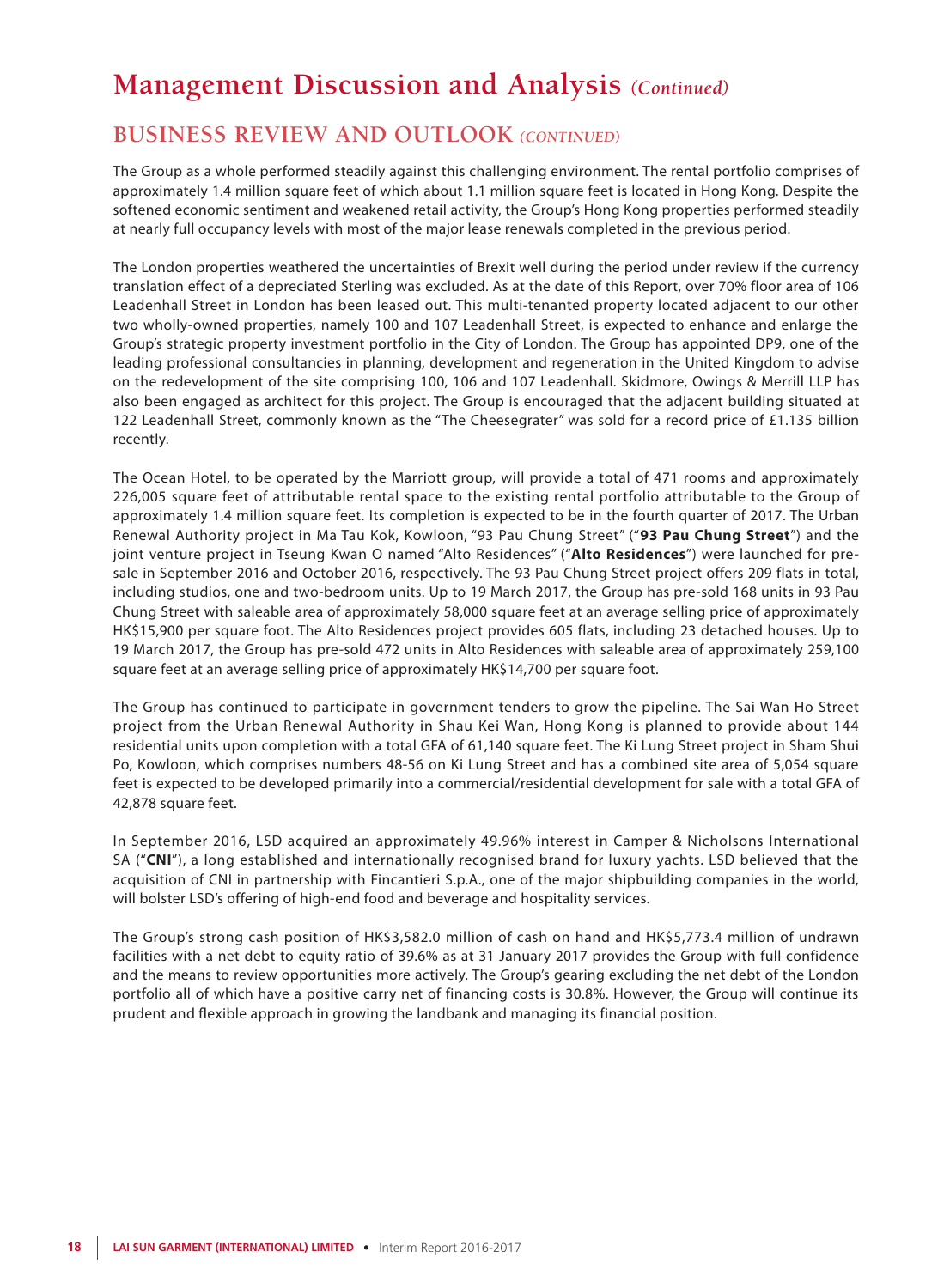## **BUSINESS REVIEW AND OUTLOOK** *(CONTINUED)*

The Group as a whole performed steadily against this challenging environment. The rental portfolio comprises of approximately 1.4 million square feet of which about 1.1 million square feet is located in Hong Kong. Despite the softened economic sentiment and weakened retail activity, the Group's Hong Kong properties performed steadily at nearly full occupancy levels with most of the major lease renewals completed in the previous period.

The London properties weathered the uncertainties of Brexit well during the period under review if the currency translation effect of a depreciated Sterling was excluded. As at the date of this Report, over 70% floor area of 106 Leadenhall Street in London has been leased out. This multi-tenanted property located adjacent to our other two wholly-owned properties, namely 100 and 107 Leadenhall Street, is expected to enhance and enlarge the Group's strategic property investment portfolio in the City of London. The Group has appointed DP9, one of the leading professional consultancies in planning, development and regeneration in the United Kingdom to advise on the redevelopment of the site comprising 100, 106 and 107 Leadenhall. Skidmore, Owings & Merrill LLP has also been engaged as architect for this project. The Group is encouraged that the adjacent building situated at 122 Leadenhall Street, commonly known as the "The Cheesegrater" was sold for a record price of £1.135 billion recently.

The Ocean Hotel, to be operated by the Marriott group, will provide a total of 471 rooms and approximately 226,005 square feet of attributable rental space to the existing rental portfolio attributable to the Group of approximately 1.4 million square feet. Its completion is expected to be in the fourth quarter of 2017. The Urban Renewal Authority project in Ma Tau Kok, Kowloon, "93 Pau Chung Street" ("**93 Pau Chung Street**") and the joint venture project in Tseung Kwan O named "Alto Residences" ("**Alto Residences**") were launched for presale in September 2016 and October 2016, respectively. The 93 Pau Chung Street project offers 209 flats in total, including studios, one and two-bedroom units. Up to 19 March 2017, the Group has pre-sold 168 units in 93 Pau Chung Street with saleable area of approximately 58,000 square feet at an average selling price of approximately HK\$15,900 per square foot. The Alto Residences project provides 605 flats, including 23 detached houses. Up to 19 March 2017, the Group has pre-sold 472 units in Alto Residences with saleable area of approximately 259,100 square feet at an average selling price of approximately HK\$14,700 per square foot.

The Group has continued to participate in government tenders to grow the pipeline. The Sai Wan Ho Street project from the Urban Renewal Authority in Shau Kei Wan, Hong Kong is planned to provide about 144 residential units upon completion with a total GFA of 61,140 square feet. The Ki Lung Street project in Sham Shui Po, Kowloon, which comprises numbers 48-56 on Ki Lung Street and has a combined site area of 5,054 square feet is expected to be developed primarily into a commercial/residential development for sale with a total GFA of 42,878 square feet.

In September 2016, LSD acquired an approximately 49.96% interest in Camper & Nicholsons International SA ("**CNI**"), a long established and internationally recognised brand for luxury yachts. LSD believed that the acquisition of CNI in partnership with Fincantieri S.p.A., one of the major shipbuilding companies in the world, will bolster LSD's offering of high-end food and beverage and hospitality services.

The Group's strong cash position of HK\$3,582.0 million of cash on hand and HK\$5,773.4 million of undrawn facilities with a net debt to equity ratio of 39.6% as at 31 January 2017 provides the Group with full confidence and the means to review opportunities more actively. The Group's gearing excluding the net debt of the London portfolio all of which have a positive carry net of financing costs is 30.8%. However, the Group will continue its prudent and flexible approach in growing the landbank and managing its financial position.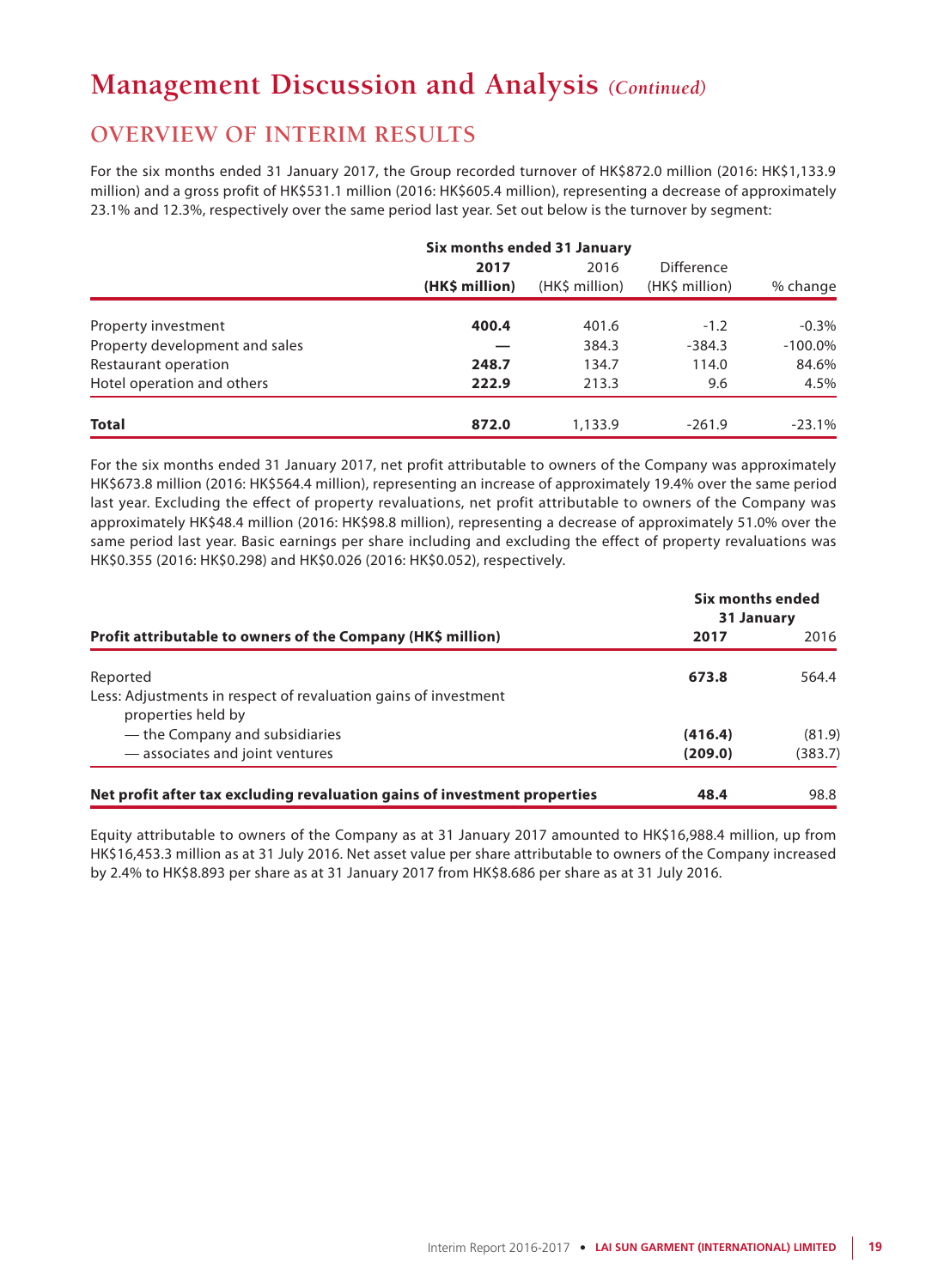## **OVERVIEW OF INTERIM RESULTS**

For the six months ended 31 January 2017, the Group recorded turnover of HK\$872.0 million (2016: HK\$1,133.9 million) and a gross profit of HK\$531.1 million (2016: HK\$605.4 million), representing a decrease of approximately 23.1% and 12.3%, respectively over the same period last year. Set out below is the turnover by segment:

|                                | Six months ended 31 January |                        |                              |            |  |
|--------------------------------|-----------------------------|------------------------|------------------------------|------------|--|
|                                | 2017<br>(HK\$ million)      | 2016<br>(HK\$ million) | Difference<br>(HK\$ million) | % change   |  |
| Property investment            | 400.4                       | 401.6                  | $-1.2$                       | $-0.3%$    |  |
| Property development and sales |                             | 384.3                  | $-384.3$                     | $-100.0\%$ |  |
| Restaurant operation           | 248.7                       | 134.7                  | 114.0                        | 84.6%      |  |
| Hotel operation and others     | 222.9                       | 213.3                  | 9.6                          | 4.5%       |  |
| <b>Total</b>                   | 872.0                       | 1,133.9                | $-261.9$                     | $-23.1%$   |  |

For the six months ended 31 January 2017, net profit attributable to owners of the Company was approximately HK\$673.8 million (2016: HK\$564.4 million), representing an increase of approximately 19.4% over the same period last year. Excluding the effect of property revaluations, net profit attributable to owners of the Company was approximately HK\$48.4 million (2016: HK\$98.8 million), representing a decrease of approximately 51.0% over the same period last year. Basic earnings per share including and excluding the effect of property revaluations was HK\$0.355 (2016: HK\$0.298) and HK\$0.026 (2016: HK\$0.052), respectively.

|                                                                                       | Six months ended<br>31 January |         |
|---------------------------------------------------------------------------------------|--------------------------------|---------|
| Profit attributable to owners of the Company (HK\$ million)                           | 2017                           | 2016    |
| Reported                                                                              | 673.8                          | 564.4   |
| Less: Adjustments in respect of revaluation gains of investment<br>properties held by |                                |         |
| — the Company and subsidiaries                                                        | (416.4)                        | (81.9)  |
| - associates and joint ventures                                                       | (209.0)                        | (383.7) |
| Net profit after tax excluding revaluation gains of investment properties             | 48.4                           | 98.8    |

Equity attributable to owners of the Company as at 31 January 2017 amounted to HK\$16,988.4 million, up from HK\$16,453.3 million as at 31 July 2016. Net asset value per share attributable to owners of the Company increased by 2.4% to HK\$8.893 per share as at 31 January 2017 from HK\$8.686 per share as at 31 July 2016.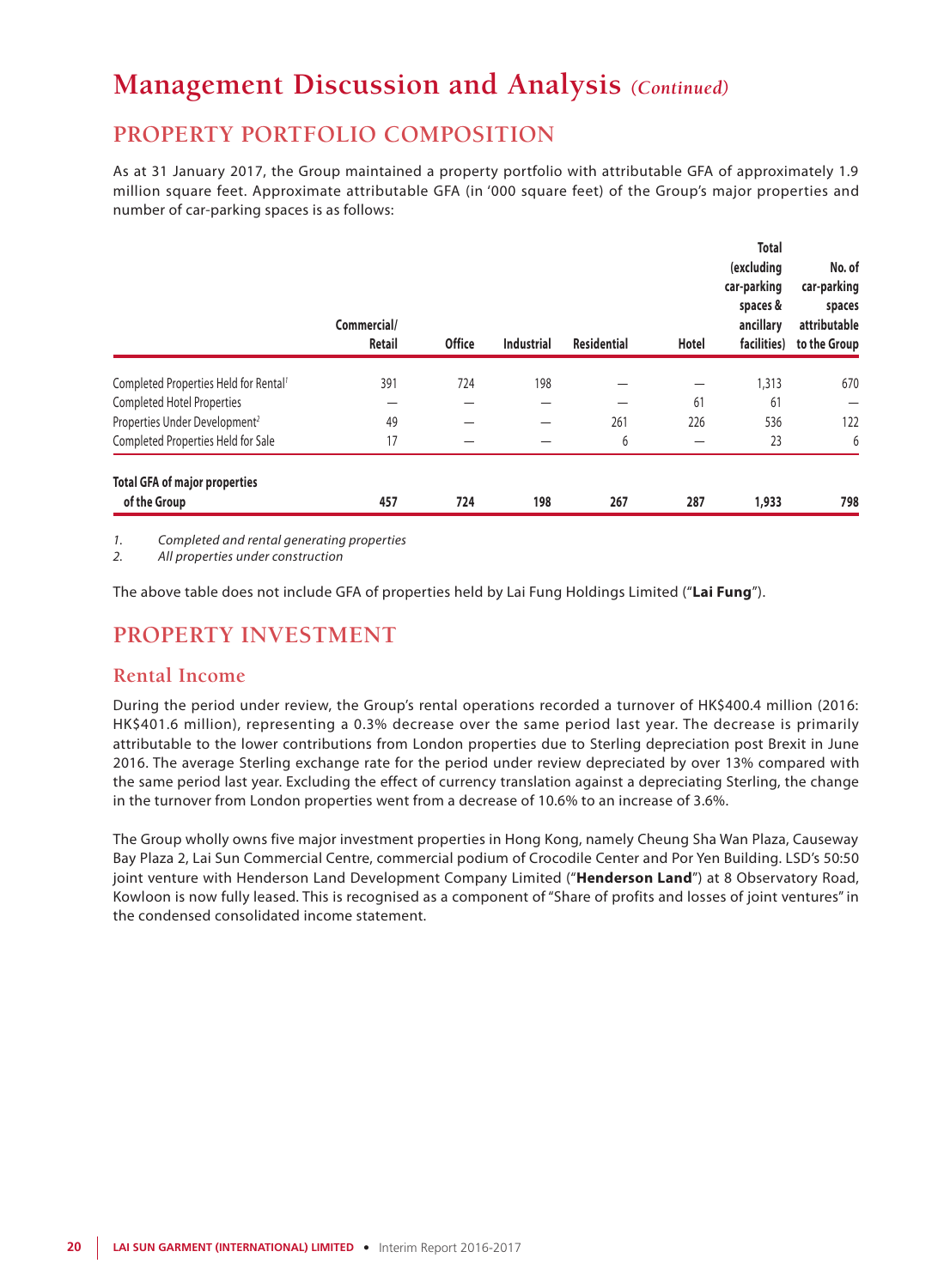## **PROPERTY PORTFOLIO COMPOSITION**

As at 31 January 2017, the Group maintained a property portfolio with attributable GFA of approximately 1.9 million square feet. Approximate attributable GFA (in '000 square feet) of the Group's major properties and number of car-parking spaces is as follows:

|                                                      | Commercial/<br><b>Retail</b> | <b>Office</b> | <b>Industrial</b> | <b>Residential</b> | Hotel | <b>Total</b><br>(excluding<br>car-parking<br>spaces &<br>ancillary<br>facilities) | No. of<br>car-parking<br>spaces<br>attributable<br>to the Group |
|------------------------------------------------------|------------------------------|---------------|-------------------|--------------------|-------|-----------------------------------------------------------------------------------|-----------------------------------------------------------------|
| Completed Properties Held for Rental <sup>1</sup>    | 391                          | 724           | 198               |                    | —     | 1,313                                                                             | 670                                                             |
| <b>Completed Hotel Properties</b>                    | —                            |               |                   |                    | 61    | 61                                                                                |                                                                 |
| Properties Under Development <sup>2</sup>            | 49                           |               |                   | 261                | 226   | 536                                                                               | 122                                                             |
| Completed Properties Held for Sale                   | 17                           |               |                   | 6                  |       | 23                                                                                | 6                                                               |
| <b>Total GFA of major properties</b><br>of the Group | 457                          | 724           | 198               | 267                | 287   | 1,933                                                                             | 798                                                             |

*1. Completed and rental generating properties*

*2. All properties under construction*

The above table does not include GFA of properties held by Lai Fung Holdings Limited ("**Lai Fung**").

## **PROPERTY INVESTMENT**

### **Rental Income**

During the period under review, the Group's rental operations recorded a turnover of HK\$400.4 million (2016: HK\$401.6 million), representing a 0.3% decrease over the same period last year. The decrease is primarily attributable to the lower contributions from London properties due to Sterling depreciation post Brexit in June 2016. The average Sterling exchange rate for the period under review depreciated by over 13% compared with the same period last year. Excluding the effect of currency translation against a depreciating Sterling, the change in the turnover from London properties went from a decrease of 10.6% to an increase of 3.6%.

The Group wholly owns five major investment properties in Hong Kong, namely Cheung Sha Wan Plaza, Causeway Bay Plaza 2, Lai Sun Commercial Centre, commercial podium of Crocodile Center and Por Yen Building. LSD's 50:50 joint venture with Henderson Land Development Company Limited ("**Henderson Land**") at 8 Observatory Road, Kowloon is now fully leased. This is recognised as a component of "Share of profits and losses of joint ventures" in the condensed consolidated income statement.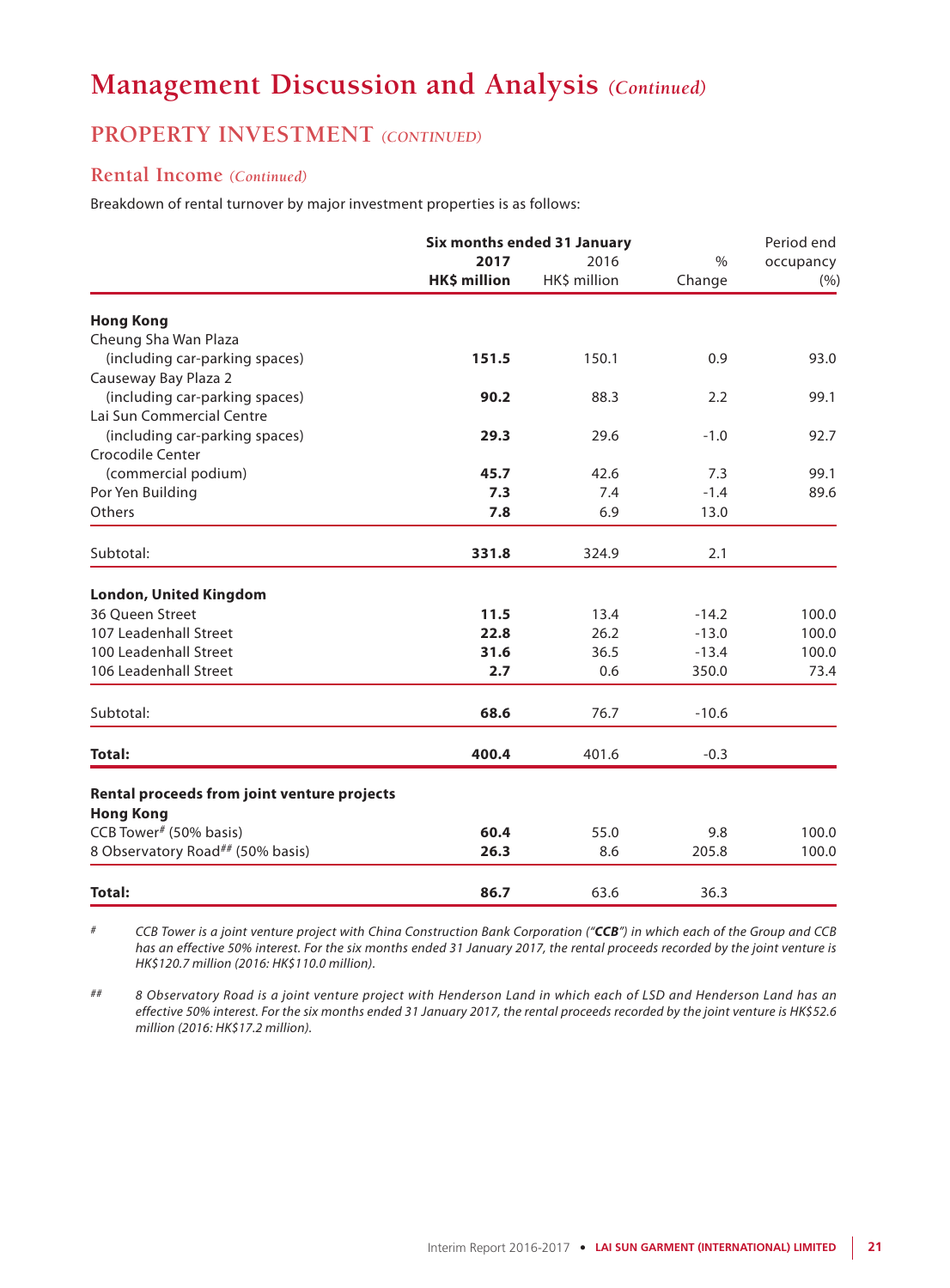## **PROPERTY INVESTMENT** *(CONTINUED)*

### **Rental Income** *(Continued)*

Breakdown of rental turnover by major investment properties is as follows:

|                                             |                     | Six months ended 31 January |         | Period end |  |
|---------------------------------------------|---------------------|-----------------------------|---------|------------|--|
|                                             | 2017                | 2016                        | $\%$    | occupancy  |  |
|                                             | <b>HK\$ million</b> | HK\$ million                | Change  | (%)        |  |
| <b>Hong Kong</b>                            |                     |                             |         |            |  |
| Cheung Sha Wan Plaza                        |                     |                             |         |            |  |
| (including car-parking spaces)              | 151.5               | 150.1                       | 0.9     | 93.0       |  |
| Causeway Bay Plaza 2                        |                     |                             |         |            |  |
| (including car-parking spaces)              | 90.2                | 88.3                        | 2.2     | 99.1       |  |
| Lai Sun Commercial Centre                   |                     |                             |         |            |  |
| (including car-parking spaces)              | 29.3                | 29.6                        | $-1.0$  | 92.7       |  |
| Crocodile Center                            |                     |                             |         |            |  |
| (commercial podium)                         | 45.7                | 42.6                        | 7.3     | 99.1       |  |
| Por Yen Building                            | 7.3                 | 7.4                         | $-1.4$  | 89.6       |  |
| Others                                      | 7.8                 | 6.9                         | 13.0    |            |  |
| Subtotal:                                   | 331.8               | 324.9                       | 2.1     |            |  |
| <b>London, United Kingdom</b>               |                     |                             |         |            |  |
| 36 Queen Street                             | 11.5                | 13.4                        | $-14.2$ | 100.0      |  |
| 107 Leadenhall Street                       | 22.8                | 26.2                        | $-13.0$ | 100.0      |  |
| 100 Leadenhall Street                       | 31.6                | 36.5                        | $-13.4$ | 100.0      |  |
| 106 Leadenhall Street                       | 2.7                 | 0.6                         | 350.0   | 73.4       |  |
| Subtotal:                                   | 68.6                | 76.7                        | $-10.6$ |            |  |
| <b>Total:</b>                               | 400.4               | 401.6                       | $-0.3$  |            |  |
| Rental proceeds from joint venture projects |                     |                             |         |            |  |
| <b>Hong Kong</b>                            |                     |                             |         |            |  |
| CCB Tower# (50% basis)                      | 60.4                | 55.0                        | 9.8     | 100.0      |  |
| 8 Observatory Road## (50% basis)            | 26.3                | 8.6                         | 205.8   | 100.0      |  |
| <b>Total:</b>                               | 86.7                | 63.6                        | 36.3    |            |  |

*# CCB Tower is a joint venture project with China Construction Bank Corporation ("CCB") in which each of the Group and CCB has an effective 50% interest. For the six months ended 31 January 2017, the rental proceeds recorded by the joint venture is HK\$120.7 million (2016: HK\$110.0 million).*

*## 8 Observatory Road is a joint venture project with Henderson Land in which each of LSD and Henderson Land has an effective 50% interest. For the six months ended 31 January 2017, the rental proceeds recorded by the joint venture is HK\$52.6 million (2016: HK\$17.2 million).*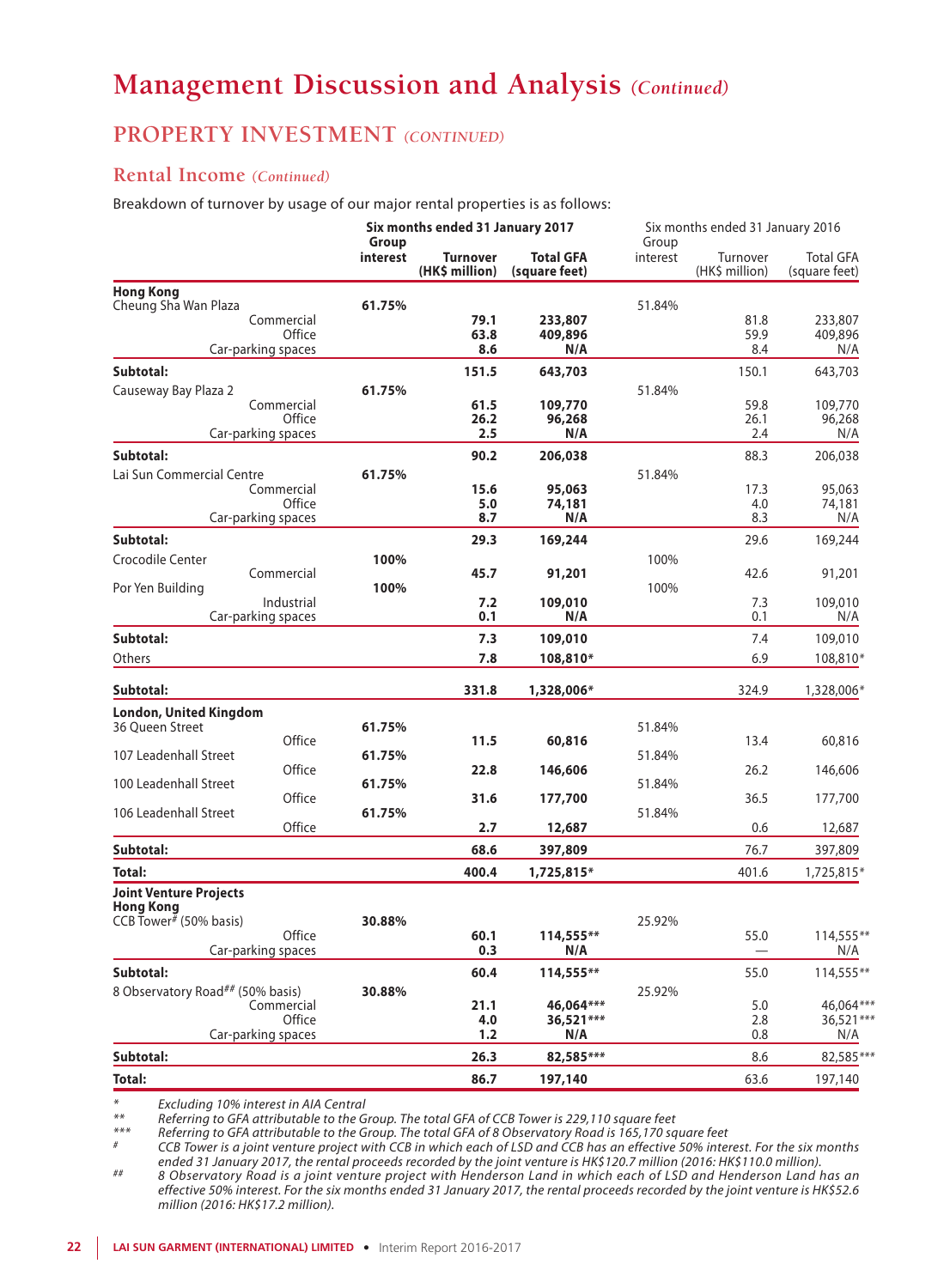### **PROPERTY INVESTMENT** *(CONTINUED)*

### **Rental Income** *(Continued)*

Breakdown of turnover by usage of our major rental properties is as follows:

|                                                                     |                      | Group    | Six months ended 31 January 2017  |                            | Six months ended 31 January 2016<br>Group |                            |                                   |  |
|---------------------------------------------------------------------|----------------------|----------|-----------------------------------|----------------------------|-------------------------------------------|----------------------------|-----------------------------------|--|
|                                                                     |                      | interest | <b>Turnover</b><br>(HK\$ million) | Total GFA<br>(square feet) | interest                                  | Turnover<br>(HK\$ million) | <b>Total GFA</b><br>(square feet) |  |
| <b>Hong Kong</b>                                                    |                      |          |                                   |                            |                                           |                            |                                   |  |
| Cheung Sha Wan Plaza                                                |                      | 61.75%   |                                   |                            | 51.84%                                    |                            |                                   |  |
|                                                                     | Commercial<br>Office |          | 79.1<br>63.8                      | 233,807<br>409,896         |                                           | 81.8<br>59.9               | 233,807<br>409,896                |  |
|                                                                     | Car-parking spaces   |          | 8.6                               | N/A                        |                                           | 8.4                        | N/A                               |  |
| Subtotal:                                                           |                      |          | 151.5                             | 643,703                    |                                           | 150.1                      | 643,703                           |  |
| Causeway Bay Plaza 2                                                |                      | 61.75%   |                                   |                            | 51.84%                                    |                            |                                   |  |
|                                                                     | Commercial           |          | 61.5                              | 109,770                    |                                           | 59.8                       | 109,770                           |  |
|                                                                     | Office               |          | 26.2                              | 96,268                     |                                           | 26.1                       | 96,268                            |  |
|                                                                     | Car-parking spaces   |          | 2.5                               | N/A                        |                                           | 2.4                        | N/A                               |  |
| Subtotal:                                                           |                      |          | 90.2                              | 206,038                    |                                           | 88.3                       | 206,038                           |  |
| Lai Sun Commercial Centre                                           |                      | 61.75%   |                                   |                            | 51.84%                                    |                            |                                   |  |
|                                                                     | Commercial           |          | 15.6                              | 95,063                     |                                           | 17.3                       | 95,063                            |  |
|                                                                     | Office               |          | 5.0<br>8.7                        | 74,181                     |                                           | 4.0                        | 74,181                            |  |
|                                                                     | Car-parking spaces   |          |                                   | N/A                        |                                           | 8.3                        | N/A                               |  |
| Subtotal:                                                           |                      |          | 29.3                              | 169,244                    |                                           | 29.6                       | 169,244                           |  |
| Crocodile Center                                                    |                      | 100%     |                                   |                            | 100%                                      |                            |                                   |  |
|                                                                     | Commercial           | 100%     | 45.7                              | 91,201                     | 100%                                      | 42.6                       | 91,201                            |  |
| Por Yen Building                                                    | Industrial           |          | 7.2                               | 109,010                    |                                           | 7.3                        | 109,010                           |  |
|                                                                     | Car-parking spaces   |          | 0.1                               | N/A                        |                                           | 0.1                        | N/A                               |  |
| Subtotal:                                                           |                      |          | 7.3                               | 109,010                    |                                           | 7.4                        | 109,010                           |  |
| Others                                                              |                      |          | 7.8                               | 108,810*                   |                                           | 6.9                        | 108,810*                          |  |
| Subtotal:                                                           |                      |          | 331.8                             | 1,328,006*                 |                                           | 324.9                      | 1,328,006*                        |  |
|                                                                     |                      |          |                                   |                            |                                           |                            |                                   |  |
| <b>London, United Kingdom</b><br>36 Oueen Street                    |                      | 61.75%   |                                   |                            | 51.84%                                    |                            |                                   |  |
|                                                                     | Office               |          | 11.5                              | 60,816                     |                                           | 13.4                       | 60,816                            |  |
| 107 Leadenhall Street                                               |                      | 61.75%   |                                   |                            | 51.84%                                    |                            |                                   |  |
|                                                                     | Office               |          | 22.8                              | 146,606                    |                                           | 26.2                       | 146,606                           |  |
| 100 Leadenhall Street                                               | Office               | 61.75%   |                                   |                            | 51.84%                                    |                            |                                   |  |
| 106 Leadenhall Street                                               |                      | 61.75%   | 31.6                              | 177,700                    | 51.84%                                    | 36.5                       | 177,700                           |  |
|                                                                     | Office               |          | 2.7                               | 12,687                     |                                           | 0.6                        | 12,687                            |  |
| Subtotal:                                                           |                      |          | 68.6                              | 397,809                    |                                           | 76.7                       | 397,809                           |  |
| Total:                                                              |                      |          | 400.4                             | 1,725,815*                 |                                           | 401.6                      | 1,725,815*                        |  |
| <b>Joint Venture Projects</b>                                       |                      |          |                                   |                            |                                           |                            |                                   |  |
| <b>Hong Kong</b><br>CCB Tower <sup><math>#</math></sup> (50% basis) |                      |          |                                   |                            |                                           |                            |                                   |  |
|                                                                     | Office               | 30.88%   | 60.1                              | $114,555***$               | 25.92%                                    | 55.0                       | 114,555**                         |  |
|                                                                     | Car-parking spaces   |          | 0.3                               | N/A                        |                                           |                            | N/A                               |  |
| Subtotal:                                                           |                      |          | 60.4                              | 114,555**                  |                                           | 55.0                       | 114,555**                         |  |
| 8 Observatory Road## (50% basis)                                    |                      | 30.88%   |                                   |                            | 25.92%                                    |                            |                                   |  |
|                                                                     | Commercial           |          | 21.1                              | 46,064***                  |                                           | 5.0                        | 46.064***                         |  |
|                                                                     | Office               |          | 4.0                               | 36,521 ***                 |                                           | 2.8                        | 36,521 ***                        |  |
|                                                                     | Car-parking spaces   |          | 1.2                               | N/A                        |                                           | 0.8                        | N/A                               |  |
| Subtotal:                                                           |                      |          | 26.3                              | 82,585***                  |                                           | 8.6                        | 82,585***                         |  |
| <b>Total:</b>                                                       |                      |          | 86.7                              | 197,140                    |                                           | 63.6                       | 197,140                           |  |

*\* Excluding 10% interest in AIA Central*

*\*\* Referring to GFA attributable to the Group. The total GFA of CCB Tower is 229,110 square feet*

\*\*\* Referring to GFA attributable to the Group. The total GFA of 8 Observatory Road is 165,170 square feet<br>\* CCB Tower is a joint venture project with CCB in which each of LSD and CCB has an effective 50% interest. For ended 31 January 2017, the rental proceeds recorded by the joint venture is HK\$120.7 million (2016: HK\$110.0 million).<br>8 Observatory Road is a joint venture project with Henderson Land in which each of LSD and Henderson La

*effective 50% interest. For the six months ended 31 January 2017, the rental proceeds recorded by the joint venture is HK\$52.6 million (2016: HK\$17.2 million).*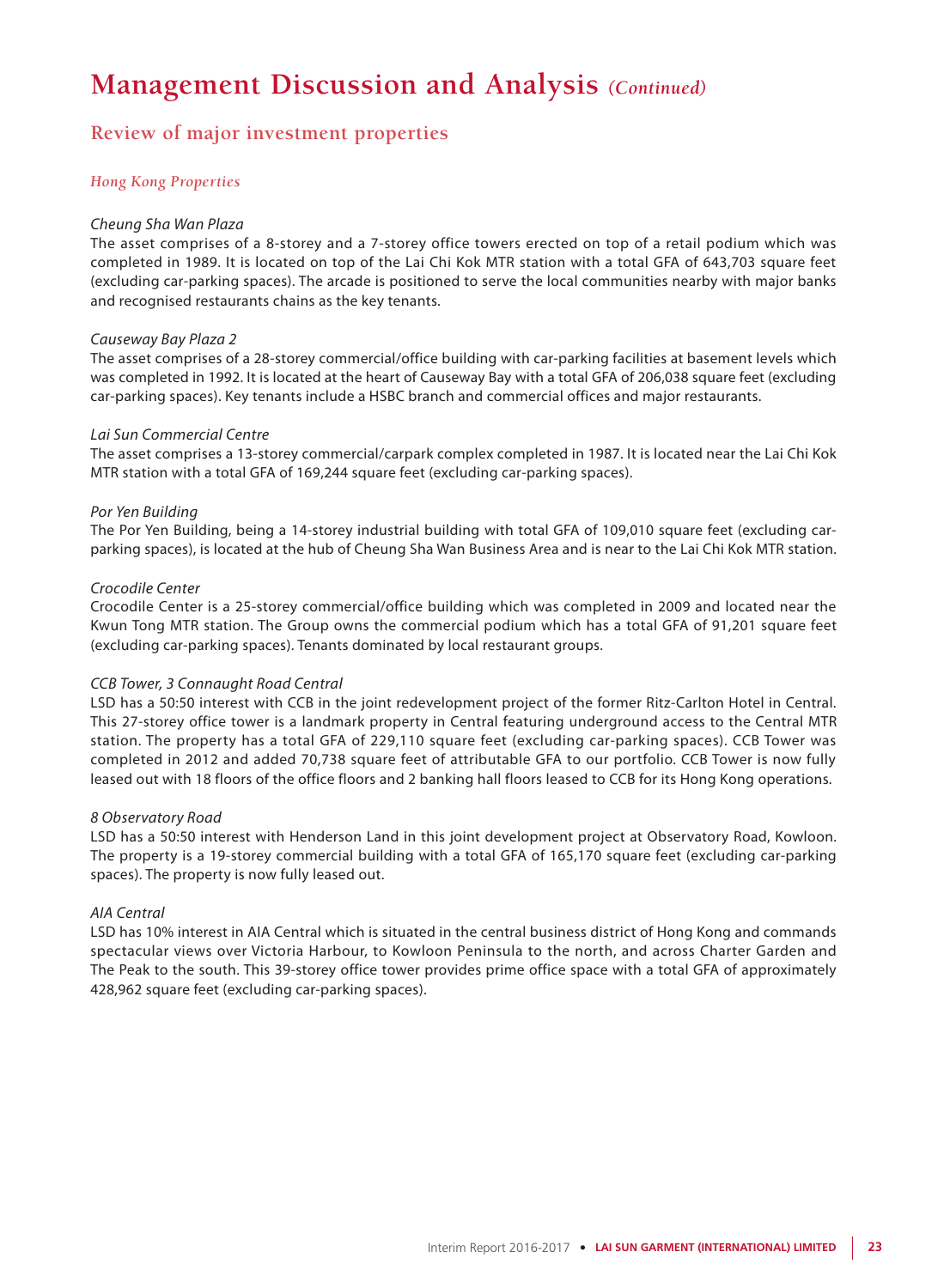### **Review of major investment properties**

### *Hong Kong Properties*

### *Cheung Sha Wan Plaza*

The asset comprises of a 8-storey and a 7-storey office towers erected on top of a retail podium which was completed in 1989. It is located on top of the Lai Chi Kok MTR station with a total GFA of 643,703 square feet (excluding car-parking spaces). The arcade is positioned to serve the local communities nearby with major banks and recognised restaurants chains as the key tenants.

### *Causeway Bay Plaza 2*

The asset comprises of a 28-storey commercial/office building with car-parking facilities at basement levels which was completed in 1992. It is located at the heart of Causeway Bay with a total GFA of 206,038 square feet (excluding car-parking spaces). Key tenants include a HSBC branch and commercial offices and major restaurants.

### *Lai Sun Commercial Centre*

The asset comprises a 13-storey commercial/carpark complex completed in 1987. It is located near the Lai Chi Kok MTR station with a total GFA of 169,244 square feet (excluding car-parking spaces).

### *Por Yen Building*

The Por Yen Building, being a 14-storey industrial building with total GFA of 109,010 square feet (excluding carparking spaces), is located at the hub of Cheung Sha Wan Business Area and is near to the Lai Chi Kok MTR station.

### *Crocodile Center*

Crocodile Center is a 25-storey commercial/office building which was completed in 2009 and located near the Kwun Tong MTR station. The Group owns the commercial podium which has a total GFA of 91,201 square feet (excluding car-parking spaces). Tenants dominated by local restaurant groups.

### *CCB Tower, 3 Connaught Road Central*

LSD has a 50:50 interest with CCB in the joint redevelopment project of the former Ritz-Carlton Hotel in Central. This 27-storey office tower is a landmark property in Central featuring underground access to the Central MTR station. The property has a total GFA of 229,110 square feet (excluding car-parking spaces). CCB Tower was completed in 2012 and added 70,738 square feet of attributable GFA to our portfolio. CCB Tower is now fully leased out with 18 floors of the office floors and 2 banking hall floors leased to CCB for its Hong Kong operations.

### *8 Observatory Road*

LSD has a 50:50 interest with Henderson Land in this joint development project at Observatory Road, Kowloon. The property is a 19-storey commercial building with a total GFA of 165,170 square feet (excluding car-parking spaces). The property is now fully leased out.

### *AIA Central*

LSD has 10% interest in AIA Central which is situated in the central business district of Hong Kong and commands spectacular views over Victoria Harbour, to Kowloon Peninsula to the north, and across Charter Garden and The Peak to the south. This 39-storey office tower provides prime office space with a total GFA of approximately 428,962 square feet (excluding car-parking spaces).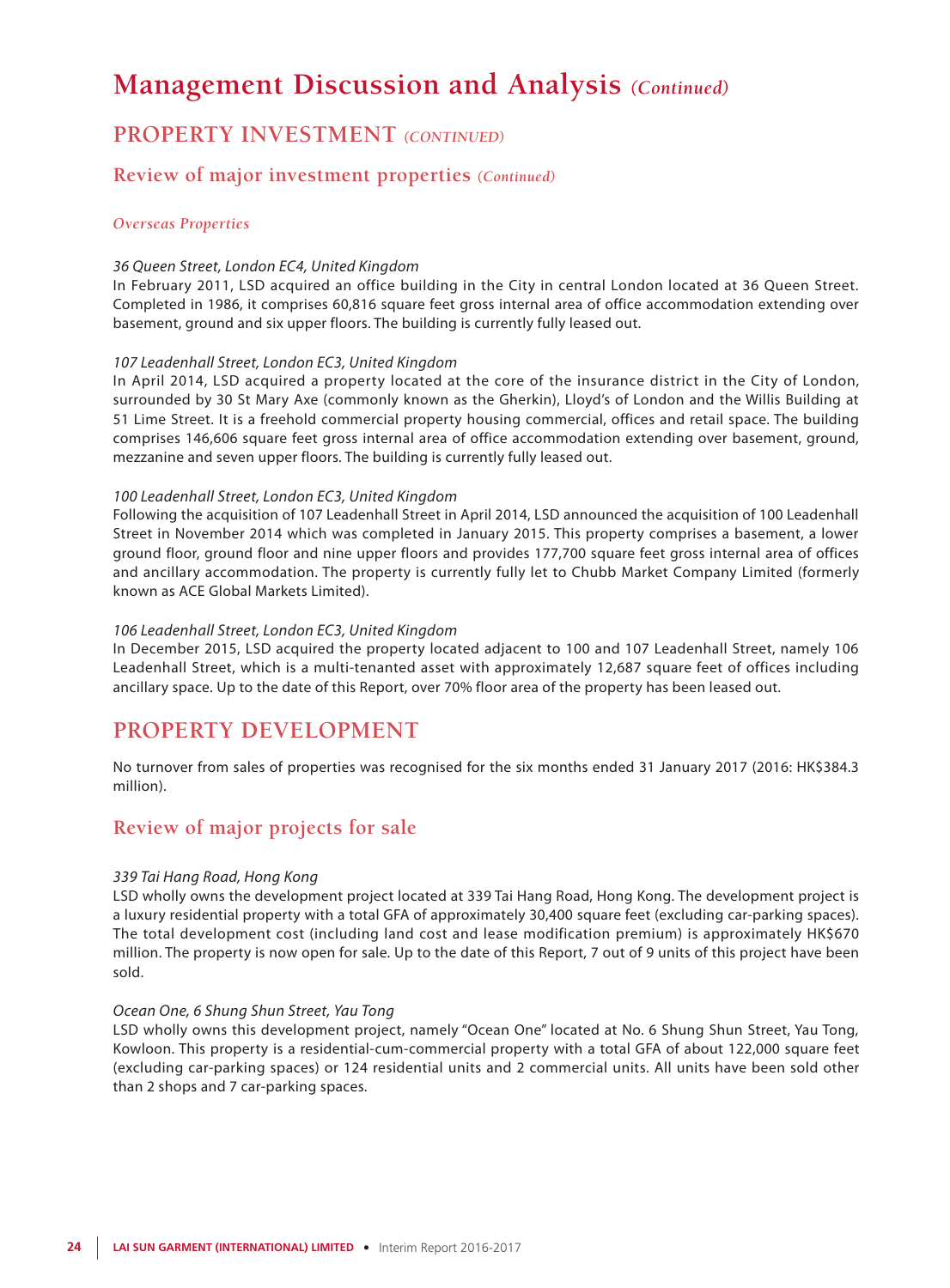## **PROPERTY INVESTMENT** *(CONTINUED)*

### **Review of major investment properties** *(Continued)*

### *Overseas Properties*

### *36 Queen Street, London EC4, United Kingdom*

In February 2011, LSD acquired an office building in the City in central London located at 36 Queen Street. Completed in 1986, it comprises 60,816 square feet gross internal area of office accommodation extending over basement, ground and six upper floors. The building is currently fully leased out.

#### *107 Leadenhall Street, London EC3, United Kingdom*

In April 2014, LSD acquired a property located at the core of the insurance district in the City of London, surrounded by 30 St Mary Axe (commonly known as the Gherkin), Lloyd's of London and the Willis Building at 51 Lime Street. It is a freehold commercial property housing commercial, offices and retail space. The building comprises 146,606 square feet gross internal area of office accommodation extending over basement, ground, mezzanine and seven upper floors. The building is currently fully leased out.

#### *100 Leadenhall Street, London EC3, United Kingdom*

Following the acquisition of 107 Leadenhall Street in April 2014, LSD announced the acquisition of 100 Leadenhall Street in November 2014 which was completed in January 2015. This property comprises a basement, a lower ground floor, ground floor and nine upper floors and provides 177,700 square feet gross internal area of offices and ancillary accommodation. The property is currently fully let to Chubb Market Company Limited (formerly known as ACE Global Markets Limited).

#### *106 Leadenhall Street, London EC3, United Kingdom*

In December 2015, LSD acquired the property located adjacent to 100 and 107 Leadenhall Street, namely 106 Leadenhall Street, which is a multi-tenanted asset with approximately 12,687 square feet of offices including ancillary space. Up to the date of this Report, over 70% floor area of the property has been leased out.

### **PROPERTY DEVELOPMENT**

No turnover from sales of properties was recognised for the six months ended 31 January 2017 (2016: HK\$384.3 million).

### **Review of major projects for sale**

### *339 Tai Hang Road, Hong Kong*

LSD wholly owns the development project located at 339 Tai Hang Road, Hong Kong. The development project is a luxury residential property with a total GFA of approximately 30,400 square feet (excluding car-parking spaces). The total development cost (including land cost and lease modification premium) is approximately HK\$670 million. The property is now open for sale. Up to the date of this Report, 7 out of 9 units of this project have been sold.

#### *Ocean One, 6 Shung Shun Street, Yau Tong*

LSD wholly owns this development project, namely "Ocean One" located at No. 6 Shung Shun Street, Yau Tong, Kowloon. This property is a residential-cum-commercial property with a total GFA of about 122,000 square feet (excluding car-parking spaces) or 124 residential units and 2 commercial units. All units have been sold other than 2 shops and 7 car-parking spaces.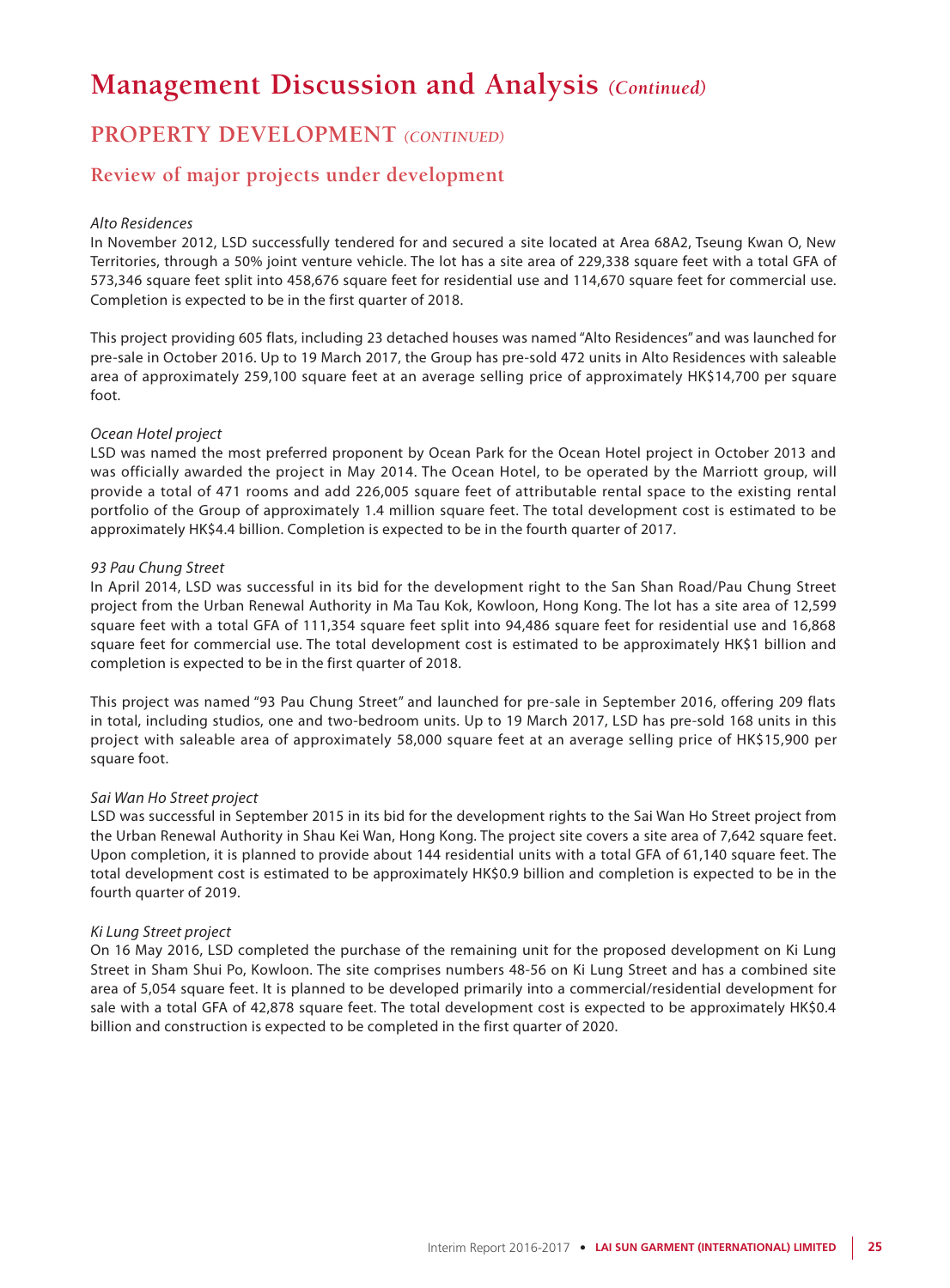### **PROPERTY DEVELOPMENT** *(CONTINUED)*

### **Review of major projects under development**

#### *Alto Residences*

In November 2012, LSD successfully tendered for and secured a site located at Area 68A2, Tseung Kwan O, New Territories, through a 50% joint venture vehicle. The lot has a site area of 229,338 square feet with a total GFA of 573,346 square feet split into 458,676 square feet for residential use and 114,670 square feet for commercial use. Completion is expected to be in the first quarter of 2018.

This project providing 605 flats, including 23 detached houses was named "Alto Residences" and was launched for pre-sale in October 2016. Up to 19 March 2017, the Group has pre-sold 472 units in Alto Residences with saleable area of approximately 259,100 square feet at an average selling price of approximately HK\$14,700 per square foot.

#### *Ocean Hotel project*

LSD was named the most preferred proponent by Ocean Park for the Ocean Hotel project in October 2013 and was officially awarded the project in May 2014. The Ocean Hotel, to be operated by the Marriott group, will provide a total of 471 rooms and add 226,005 square feet of attributable rental space to the existing rental portfolio of the Group of approximately 1.4 million square feet. The total development cost is estimated to be approximately HK\$4.4 billion. Completion is expected to be in the fourth quarter of 2017.

#### *93 Pau Chung Street*

In April 2014, LSD was successful in its bid for the development right to the San Shan Road/Pau Chung Street project from the Urban Renewal Authority in Ma Tau Kok, Kowloon, Hong Kong. The lot has a site area of 12,599 square feet with a total GFA of 111,354 square feet split into 94,486 square feet for residential use and 16,868 square feet for commercial use. The total development cost is estimated to be approximately HK\$1 billion and completion is expected to be in the first quarter of 2018.

This project was named "93 Pau Chung Street" and launched for pre-sale in September 2016, offering 209 flats in total, including studios, one and two-bedroom units. Up to 19 March 2017, LSD has pre-sold 168 units in this project with saleable area of approximately 58,000 square feet at an average selling price of HK\$15,900 per square foot.

### *Sai Wan Ho Street project*

LSD was successful in September 2015 in its bid for the development rights to the Sai Wan Ho Street project from the Urban Renewal Authority in Shau Kei Wan, Hong Kong. The project site covers a site area of 7,642 square feet. Upon completion, it is planned to provide about 144 residential units with a total GFA of 61,140 square feet. The total development cost is estimated to be approximately HK\$0.9 billion and completion is expected to be in the fourth quarter of 2019.

#### *Ki Lung Street project*

On 16 May 2016, LSD completed the purchase of the remaining unit for the proposed development on Ki Lung Street in Sham Shui Po, Kowloon. The site comprises numbers 48-56 on Ki Lung Street and has a combined site area of 5,054 square feet. It is planned to be developed primarily into a commercial/residential development for sale with a total GFA of 42,878 square feet. The total development cost is expected to be approximately HK\$0.4 billion and construction is expected to be completed in the first quarter of 2020.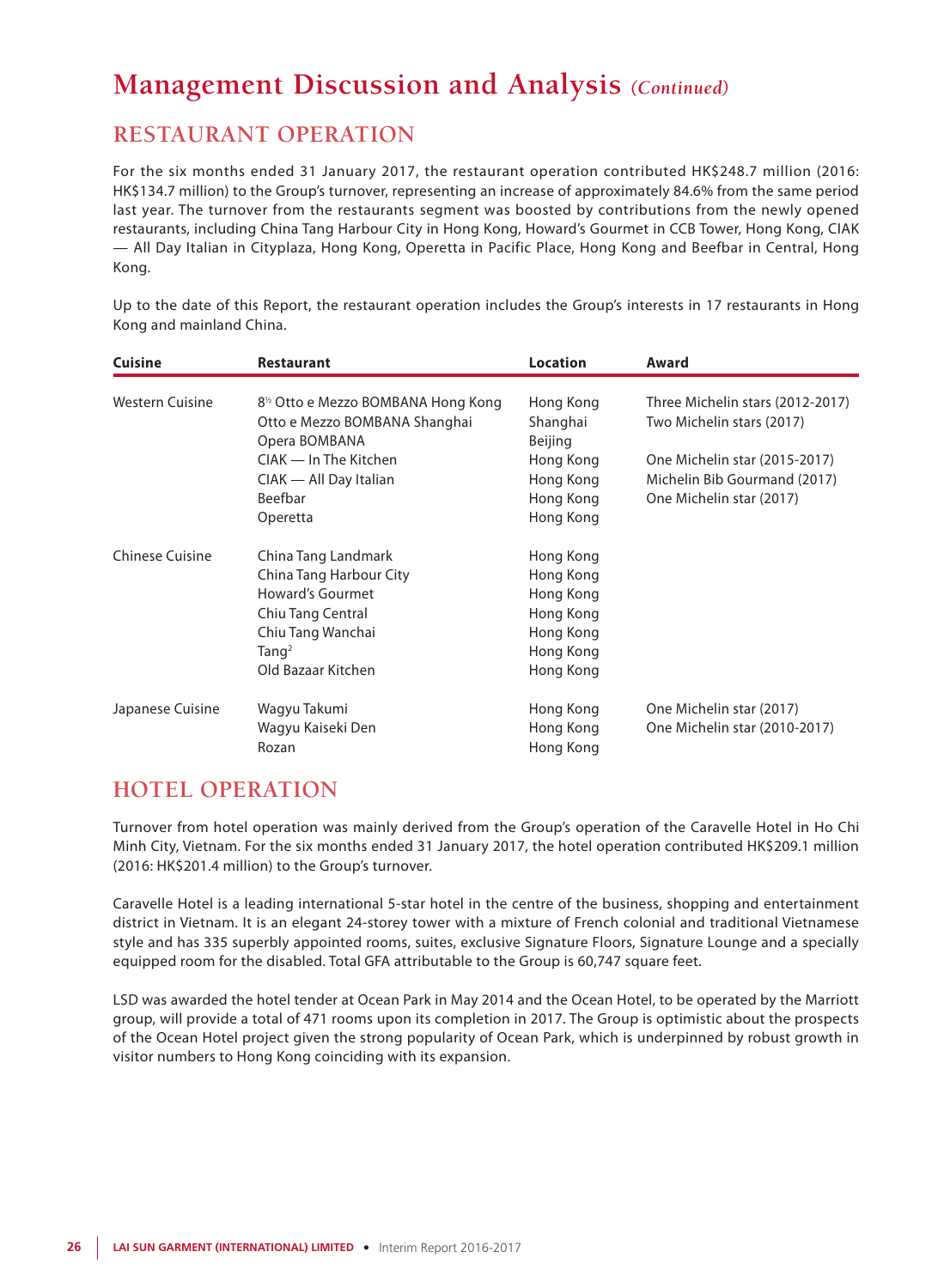## **RESTAURANT OPERATION**

For the six months ended 31 January 2017, the restaurant operation contributed HK\$248.7 million (2016: HK\$134.7 million) to the Group's turnover, representing an increase of approximately 84.6% from the same period last year. The turnover from the restaurants segment was boosted by contributions from the newly opened restaurants, including China Tang Harbour City in Hong Kong, Howard's Gourmet in CCB Tower, Hong Kong, CIAK — All Day Italian in Cityplaza, Hong Kong, Operetta in Pacific Place, Hong Kong and Beefbar in Central, Hong Kong.

Up to the date of this Report, the restaurant operation includes the Group's interests in 17 restaurants in Hong Kong and mainland China.

| <b>Cuisine</b>         | <b>Restaurant</b>                               | <b>Location</b> | Award                            |  |  |
|------------------------|-------------------------------------------------|-----------------|----------------------------------|--|--|
|                        |                                                 |                 |                                  |  |  |
| <b>Western Cuisine</b> | 8 <sup>1/2</sup> Otto e Mezzo BOMBANA Hong Kong | Hong Kong       | Three Michelin stars (2012-2017) |  |  |
|                        | Otto e Mezzo BOMBANA Shanghai                   | Shanghai        | Two Michelin stars (2017)        |  |  |
|                        | Opera BOMBANA                                   | Beijing         |                                  |  |  |
|                        | CIAK — In The Kitchen                           | Hong Kong       | One Michelin star (2015-2017)    |  |  |
|                        | CIAK — All Day Italian                          | Hong Kong       | Michelin Bib Gourmand (2017)     |  |  |
|                        | Beefbar                                         | Hong Kong       | One Michelin star (2017)         |  |  |
|                        | Operetta                                        | Hong Kong       |                                  |  |  |
| <b>Chinese Cuisine</b> | China Tang Landmark                             | Hong Kong       |                                  |  |  |
|                        | China Tang Harbour City                         | Hong Kong       |                                  |  |  |
|                        | Howard's Gourmet                                | Hong Kong       |                                  |  |  |
|                        | Chiu Tang Central                               | Hong Kong       |                                  |  |  |
|                        | Chiu Tang Wanchai                               | Hong Kong       |                                  |  |  |
|                        | Tanq <sup>2</sup>                               | Hong Kong       |                                  |  |  |
|                        | Old Bazaar Kitchen                              | Hong Kong       |                                  |  |  |
| Japanese Cuisine       | Wagyu Takumi                                    | Hong Kong       | One Michelin star (2017)         |  |  |
|                        | Wagyu Kaiseki Den                               | Hong Kong       | One Michelin star (2010-2017)    |  |  |
|                        | Rozan                                           | Hong Kong       |                                  |  |  |

## **HOTEL OPERATION**

Turnover from hotel operation was mainly derived from the Group's operation of the Caravelle Hotel in Ho Chi Minh City, Vietnam. For the six months ended 31 January 2017, the hotel operation contributed HK\$209.1 million (2016: HK\$201.4 million) to the Group's turnover.

Caravelle Hotel is a leading international 5-star hotel in the centre of the business, shopping and entertainment district in Vietnam. It is an elegant 24-storey tower with a mixture of French colonial and traditional Vietnamese style and has 335 superbly appointed rooms, suites, exclusive Signature Floors, Signature Lounge and a specially equipped room for the disabled. Total GFA attributable to the Group is 60,747 square feet.

LSD was awarded the hotel tender at Ocean Park in May 2014 and the Ocean Hotel, to be operated by the Marriott group, will provide a total of 471 rooms upon its completion in 2017. The Group is optimistic about the prospects of the Ocean Hotel project given the strong popularity of Ocean Park, which is underpinned by robust growth in visitor numbers to Hong Kong coinciding with its expansion.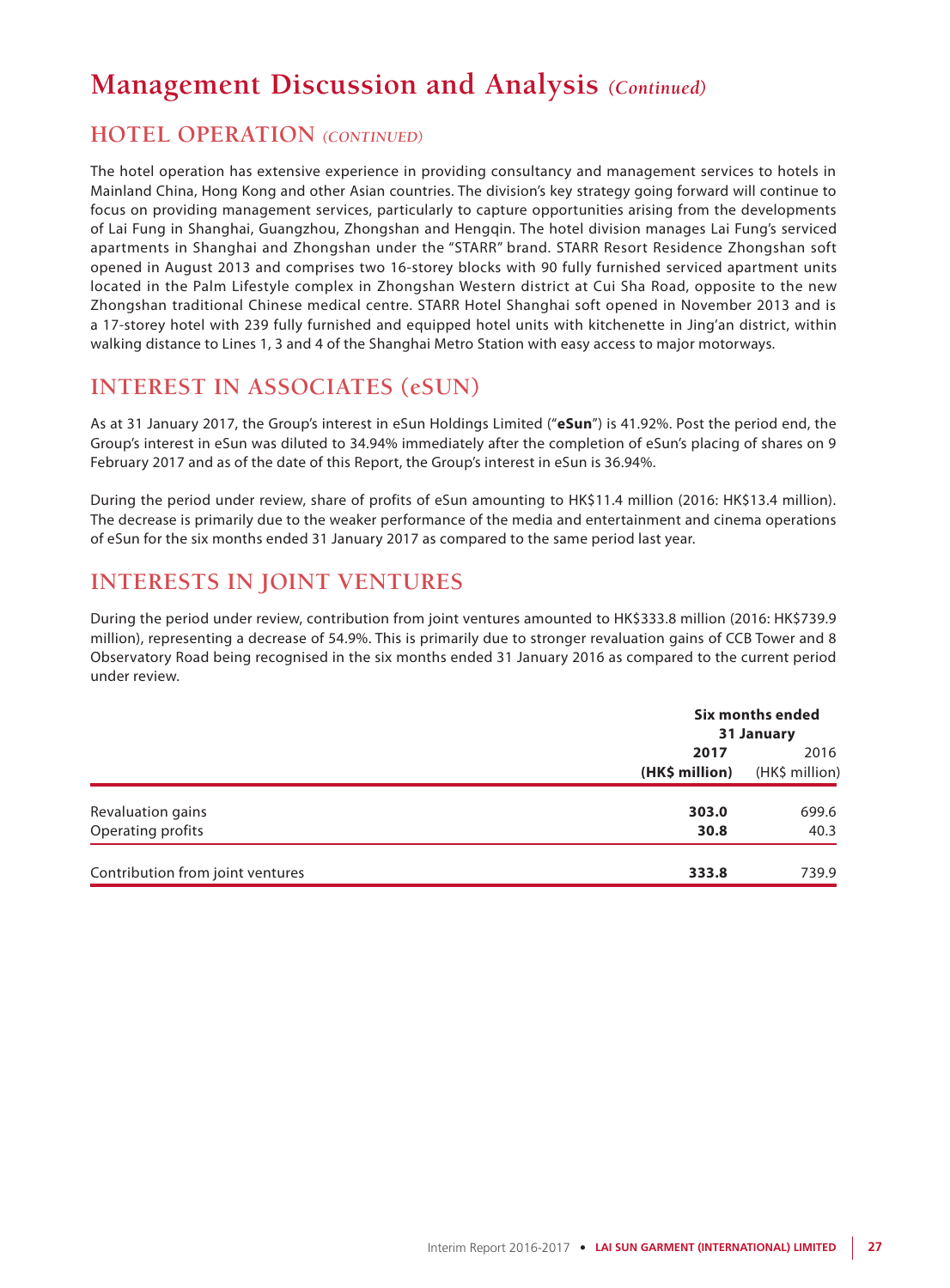## **HOTEL OPERATION** *(CONTINUED)*

The hotel operation has extensive experience in providing consultancy and management services to hotels in Mainland China, Hong Kong and other Asian countries. The division's key strategy going forward will continue to focus on providing management services, particularly to capture opportunities arising from the developments of Lai Fung in Shanghai, Guangzhou, Zhongshan and Hengqin. The hotel division manages Lai Fung's serviced apartments in Shanghai and Zhongshan under the "STARR" brand. STARR Resort Residence Zhongshan soft opened in August 2013 and comprises two 16-storey blocks with 90 fully furnished serviced apartment units located in the Palm Lifestyle complex in Zhongshan Western district at Cui Sha Road, opposite to the new Zhongshan traditional Chinese medical centre. STARR Hotel Shanghai soft opened in November 2013 and is a 17-storey hotel with 239 fully furnished and equipped hotel units with kitchenette in Jing'an district, within walking distance to Lines 1, 3 and 4 of the Shanghai Metro Station with easy access to major motorways.

## **INTEREST IN ASSOCIATES (eSUN)**

As at 31 January 2017, the Group's interest in eSun Holdings Limited ("**eSun**") is 41.92%. Post the period end, the Group's interest in eSun was diluted to 34.94% immediately after the completion of eSun's placing of shares on 9 February 2017 and as of the date of this Report, the Group's interest in eSun is 36.94%.

During the period under review, share of profits of eSun amounting to HK\$11.4 million (2016: HK\$13.4 million). The decrease is primarily due to the weaker performance of the media and entertainment and cinema operations of eSun for the six months ended 31 January 2017 as compared to the same period last year.

## **INTERESTS IN JOINT VENTURES**

During the period under review, contribution from joint ventures amounted to HK\$333.8 million (2016: HK\$739.9 million), representing a decrease of 54.9%. This is primarily due to stronger revaluation gains of CCB Tower and 8 Observatory Road being recognised in the six months ended 31 January 2016 as compared to the current period under review.

|                                  |                        | Six months ended<br>31 January |  |  |
|----------------------------------|------------------------|--------------------------------|--|--|
|                                  | 2017<br>(HK\$ million) | 2016<br>(HK\$ million)         |  |  |
| Revaluation gains                | 303.0                  | 699.6                          |  |  |
| Operating profits                | 30.8                   | 40.3                           |  |  |
| Contribution from joint ventures | 333.8                  | 739.9                          |  |  |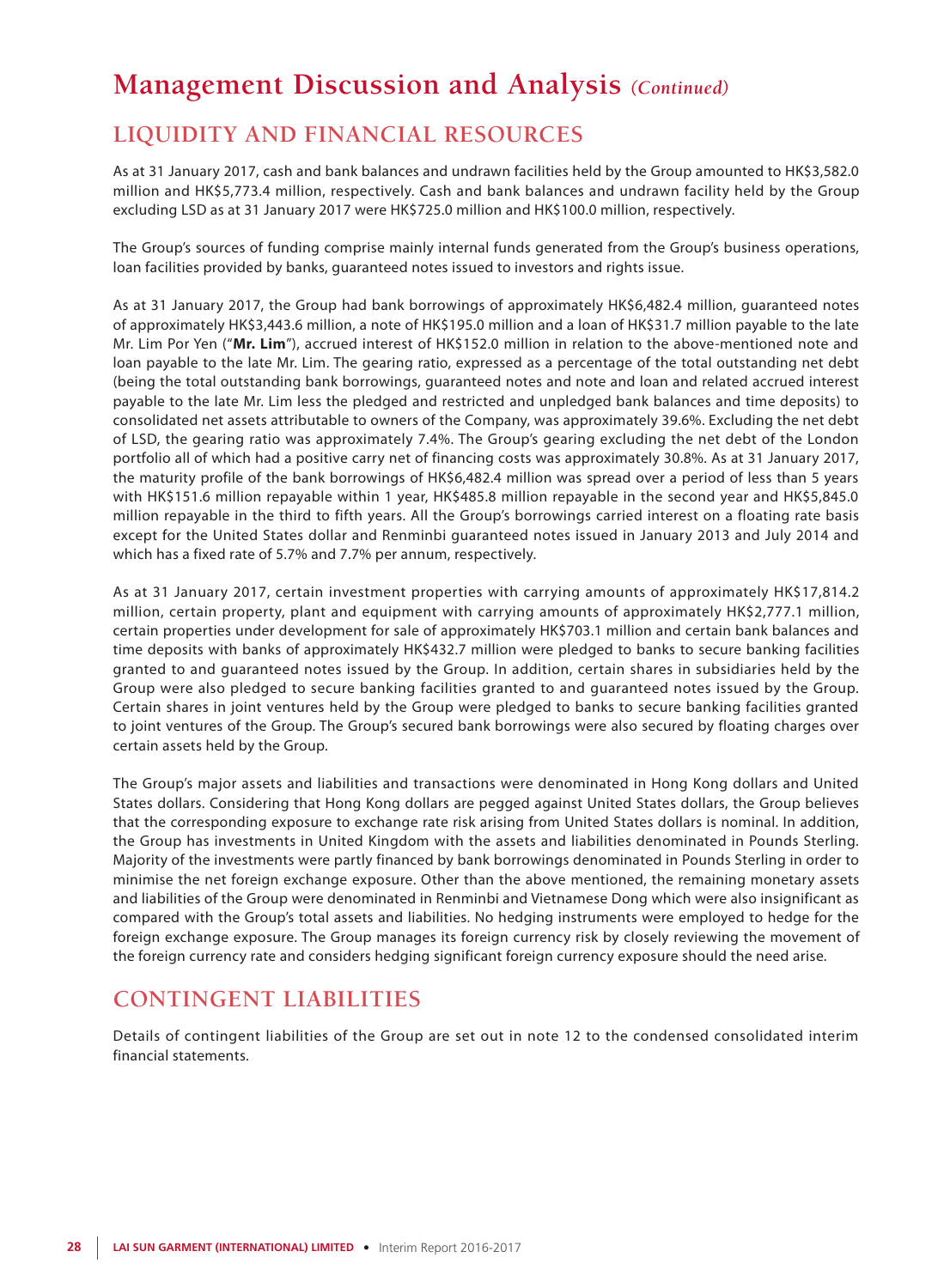## **LIQUIDITY AND FINANCIAL RESOURCES**

As at 31 January 2017, cash and bank balances and undrawn facilities held by the Group amounted to HK\$3,582.0 million and HK\$5,773.4 million, respectively. Cash and bank balances and undrawn facility held by the Group excluding LSD as at 31 January 2017 were HK\$725.0 million and HK\$100.0 million, respectively.

The Group's sources of funding comprise mainly internal funds generated from the Group's business operations, loan facilities provided by banks, guaranteed notes issued to investors and rights issue.

As at 31 January 2017, the Group had bank borrowings of approximately HK\$6,482.4 million, guaranteed notes of approximately HK\$3,443.6 million, a note of HK\$195.0 million and a loan of HK\$31.7 million payable to the late Mr. Lim Por Yen ("**Mr. Lim**"), accrued interest of HK\$152.0 million in relation to the above-mentioned note and loan payable to the late Mr. Lim. The gearing ratio, expressed as a percentage of the total outstanding net debt (being the total outstanding bank borrowings, guaranteed notes and note and loan and related accrued interest payable to the late Mr. Lim less the pledged and restricted and unpledged bank balances and time deposits) to consolidated net assets attributable to owners of the Company, was approximately 39.6%. Excluding the net debt of LSD, the gearing ratio was approximately 7.4%. The Group's gearing excluding the net debt of the London portfolio all of which had a positive carry net of financing costs was approximately 30.8%. As at 31 January 2017, the maturity profile of the bank borrowings of HK\$6,482.4 million was spread over a period of less than 5 years with HK\$151.6 million repayable within 1 year, HK\$485.8 million repayable in the second year and HK\$5,845.0 million repayable in the third to fifth years. All the Group's borrowings carried interest on a floating rate basis except for the United States dollar and Renminbi guaranteed notes issued in January 2013 and July 2014 and which has a fixed rate of 5.7% and 7.7% per annum, respectively.

As at 31 January 2017, certain investment properties with carrying amounts of approximately HK\$17,814.2 million, certain property, plant and equipment with carrying amounts of approximately HK\$2,777.1 million, certain properties under development for sale of approximately HK\$703.1 million and certain bank balances and time deposits with banks of approximately HK\$432.7 million were pledged to banks to secure banking facilities granted to and guaranteed notes issued by the Group. In addition, certain shares in subsidiaries held by the Group were also pledged to secure banking facilities granted to and guaranteed notes issued by the Group. Certain shares in joint ventures held by the Group were pledged to banks to secure banking facilities granted to joint ventures of the Group. The Group's secured bank borrowings were also secured by floating charges over certain assets held by the Group.

The Group's major assets and liabilities and transactions were denominated in Hong Kong dollars and United States dollars. Considering that Hong Kong dollars are pegged against United States dollars, the Group believes that the corresponding exposure to exchange rate risk arising from United States dollars is nominal. In addition, the Group has investments in United Kingdom with the assets and liabilities denominated in Pounds Sterling. Majority of the investments were partly financed by bank borrowings denominated in Pounds Sterling in order to minimise the net foreign exchange exposure. Other than the above mentioned, the remaining monetary assets and liabilities of the Group were denominated in Renminbi and Vietnamese Dong which were also insignificant as compared with the Group's total assets and liabilities. No hedging instruments were employed to hedge for the foreign exchange exposure. The Group manages its foreign currency risk by closely reviewing the movement of the foreign currency rate and considers hedging significant foreign currency exposure should the need arise.

## **CONTINGENT LIABILITIES**

Details of contingent liabilities of the Group are set out in note 12 to the condensed consolidated interim financial statements.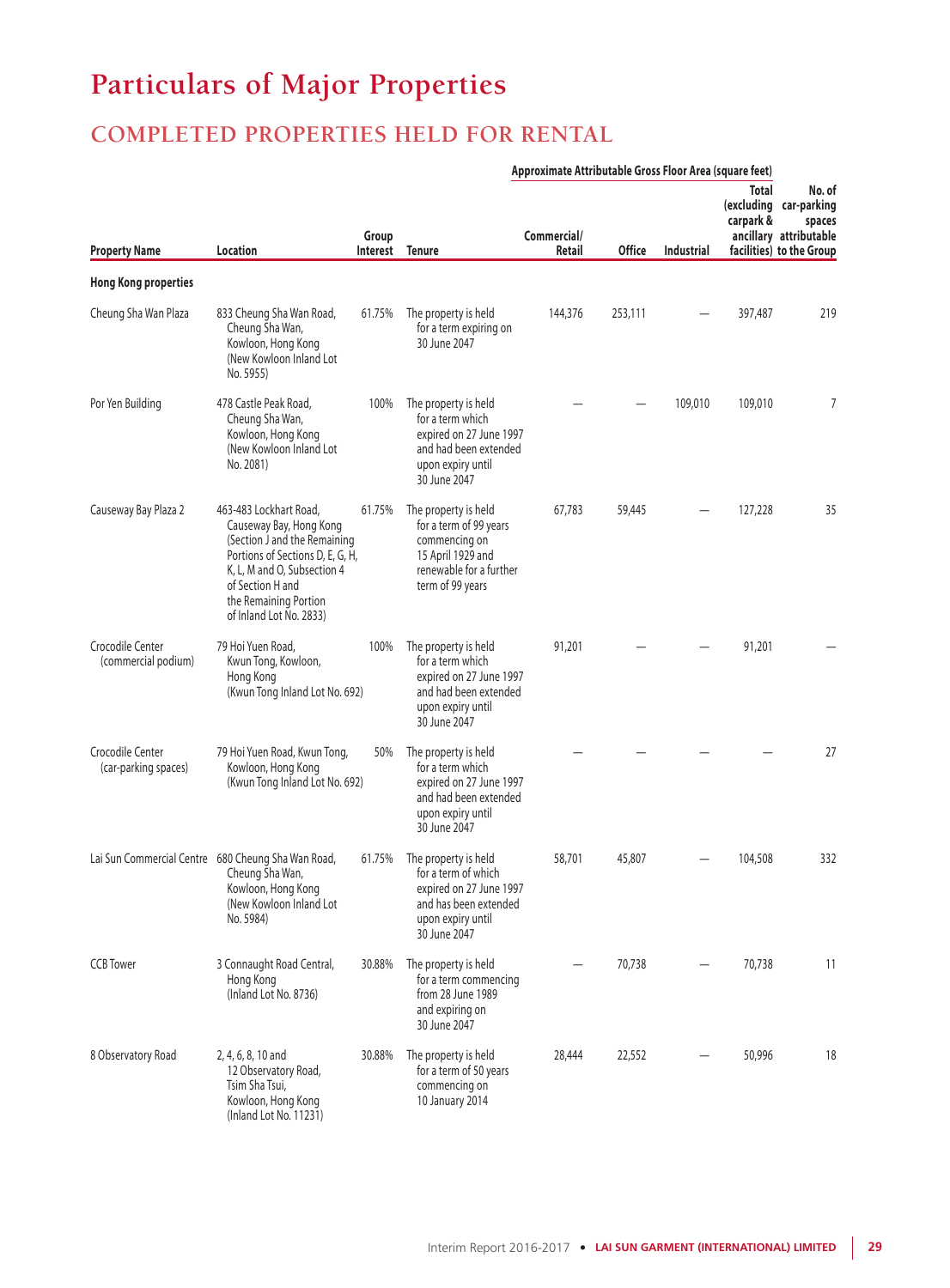# **Particulars of Major Properties**

## **COMPLETED PROPERTIES HELD FOR RENTAL**

|                                          |                                                                                                                                                                                                                              |                   | Approximate Attributable Gross Floor Area (square feet)                                                                              |                       |               |            |                    |                                                                                                  |
|------------------------------------------|------------------------------------------------------------------------------------------------------------------------------------------------------------------------------------------------------------------------------|-------------------|--------------------------------------------------------------------------------------------------------------------------------------|-----------------------|---------------|------------|--------------------|--------------------------------------------------------------------------------------------------|
| <b>Property Name</b>                     | Location                                                                                                                                                                                                                     | Group<br>Interest | <b>Tenure</b>                                                                                                                        | Commercial/<br>Retail | <b>Office</b> | Industrial | Total<br>carpark & | No. of<br>(excluding car-parking<br>spaces<br>ancillary attributable<br>facilities) to the Group |
| <b>Hong Kong properties</b>              |                                                                                                                                                                                                                              |                   |                                                                                                                                      |                       |               |            |                    |                                                                                                  |
| Cheung Sha Wan Plaza                     | 833 Cheung Sha Wan Road,<br>Cheung Sha Wan,<br>Kowloon, Hong Kong<br>(New Kowloon Inland Lot<br>No. 5955)                                                                                                                    | 61.75%            | The property is held<br>for a term expiring on<br>30 June 2047                                                                       | 144,376               | 253,111       |            | 397,487            | 219                                                                                              |
| Por Yen Building                         | 478 Castle Peak Road,<br>Cheung Sha Wan,<br>Kowloon, Hong Kong<br>(New Kowloon Inland Lot)<br>No. 2081)                                                                                                                      | 100%              | The property is held<br>for a term which<br>expired on 27 June 1997<br>and had been extended<br>upon expiry until<br>30 June 2047    |                       |               | 109,010    | 109,010            | 7                                                                                                |
| Causeway Bay Plaza 2                     | 463-483 Lockhart Road,<br>Causeway Bay, Hong Kong<br>(Section J and the Remaining<br>Portions of Sections D, E, G, H,<br>K, L, M and O, Subsection 4<br>of Section H and<br>the Remaining Portion<br>of Inland Lot No. 2833) | 61.75%            | The property is held<br>for a term of 99 years<br>commencing on<br>15 April 1929 and<br>renewable for a further<br>term of 99 years  | 67,783                | 59,445        |            | 127,228            | 35                                                                                               |
| Crocodile Center<br>(commercial podium)  | 79 Hoi Yuen Road,<br>Kwun Tong, Kowloon,<br>Hong Kong<br>(Kwun Tong Inland Lot No. 692)                                                                                                                                      | 100%              | The property is held<br>for a term which<br>expired on 27 June 1997<br>and had been extended<br>upon expiry until<br>30 June 2047    | 91,201                |               |            | 91,201             |                                                                                                  |
| Crocodile Center<br>(car-parking spaces) | 79 Hoi Yuen Road, Kwun Tong,<br>Kowloon, Hong Kong<br>(Kwun Tong Inland Lot No. 692)                                                                                                                                         | 50%               | The property is held<br>for a term which<br>expired on 27 June 1997<br>and had been extended<br>upon expiry until<br>30 June 2047    |                       |               |            |                    | 27                                                                                               |
|                                          | Lai Sun Commercial Centre 680 Cheung Sha Wan Road,<br>Cheung Sha Wan,<br>Kowloon, Hong Kong<br>(New Kowloon Inland Lot<br>No. 5984)                                                                                          | 61.75%            | The property is held<br>for a term of which<br>expired on 27 June 1997<br>and has been extended<br>upon expiry until<br>30 June 2047 | 58,701                | 45,807        |            | 104,508            | 332                                                                                              |
| <b>CCB</b> Tower                         | 3 Connaught Road Central,<br>Hong Kong<br>(Inland Lot No. 8736)                                                                                                                                                              | 30.88%            | The property is held<br>for a term commencing<br>from 28 June 1989<br>and expiring on<br>30 June 2047                                |                       | 70,738        |            | 70,738             | 11                                                                                               |
| 8 Observatory Road                       | 2, 4, 6, 8, 10 and<br>12 Observatory Road,<br>Tsim Sha Tsui,<br>Kowloon, Hong Kong<br>(Inland Lot No. 11231)                                                                                                                 | 30.88%            | The property is held<br>for a term of 50 years<br>commencing on<br>10 January 2014                                                   | 28,444                | 22,552        |            | 50,996             | 18                                                                                               |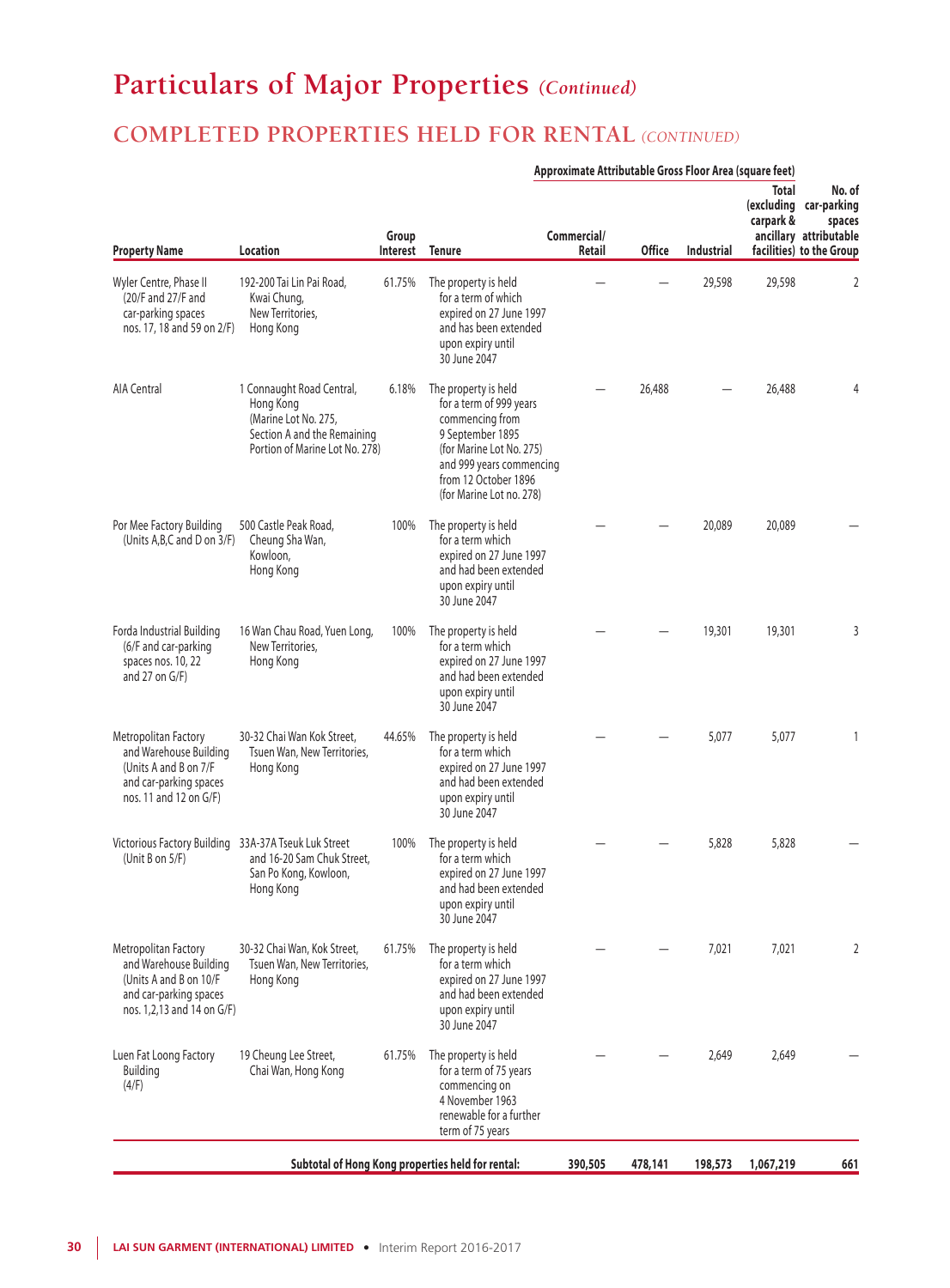# **Particulars of Major Properties** *(Continued)*

## **COMPLETED PROPERTIES HELD FOR RENTAL** *(CONTINUED)*

|                                                                                                                                  |                                                                                                                                 |                   |                                                                                                                                                                                                    | Approximate Attributable Gross Floor Area (square feet) |               |            |                           |                                                                                                  |
|----------------------------------------------------------------------------------------------------------------------------------|---------------------------------------------------------------------------------------------------------------------------------|-------------------|----------------------------------------------------------------------------------------------------------------------------------------------------------------------------------------------------|---------------------------------------------------------|---------------|------------|---------------------------|--------------------------------------------------------------------------------------------------|
| <b>Property Name</b>                                                                                                             | Location                                                                                                                        | Group<br>Interest | <b>Tenure</b>                                                                                                                                                                                      | Commercial/<br>Retail                                   | <b>Office</b> | Industrial | <b>Total</b><br>carpark & | No. of<br>(excluding car-parking<br>spaces<br>ancillary attributable<br>facilities) to the Group |
| Wyler Centre, Phase II<br>(20/F and 27/F and<br>car-parking spaces<br>nos. 17, 18 and 59 on 2/F)                                 | 192-200 Tai Lin Pai Road,<br>Kwai Chung,<br>New Territories.<br>Hong Kong                                                       | 61.75%            | The property is held<br>for a term of which<br>expired on 27 June 1997<br>and has been extended<br>upon expiry until<br>30 June 2047                                                               |                                                         |               | 29,598     | 29,598                    | 2                                                                                                |
| <b>AIA Central</b>                                                                                                               | 1 Connaught Road Central,<br>Hong Kong<br>(Marine Lot No. 275,<br>Section A and the Remaining<br>Portion of Marine Lot No. 278) | 6.18%             | The property is held<br>for a term of 999 years<br>commencing from<br>9 September 1895<br>(for Marine Lot No. 275)<br>and 999 years commencing<br>from 12 October 1896<br>(for Marine Lot no. 278) |                                                         | 26,488        |            | 26,488                    | 4                                                                                                |
| Por Mee Factory Building<br>(Units A, B, C and D on 3/F)                                                                         | 500 Castle Peak Road,<br>Cheung Sha Wan,<br>Kowloon,<br>Hong Kong                                                               | 100%              | The property is held<br>for a term which<br>expired on 27 June 1997<br>and had been extended<br>upon expiry until<br>30 June 2047                                                                  |                                                         |               | 20,089     | 20,089                    |                                                                                                  |
| Forda Industrial Building<br>(6/F and car-parking<br>spaces nos. 10, 22<br>and 27 on $G/F$ )                                     | 16 Wan Chau Road, Yuen Long,<br>New Territories,<br>Hong Kong                                                                   | 100%              | The property is held<br>for a term which<br>expired on 27 June 1997<br>and had been extended<br>upon expiry until<br>30 June 2047                                                                  |                                                         |               | 19,301     | 19,301                    | 3                                                                                                |
| Metropolitan Factory<br>and Warehouse Building<br>(Units A and B on 7/F<br>and car-parking spaces<br>nos. 11 and 12 on G/F)      | 30-32 Chai Wan Kok Street,<br>Tsuen Wan, New Territories,<br>Hong Kong                                                          | 44.65%            | The property is held<br>for a term which<br>expired on 27 June 1997<br>and had been extended<br>upon expiry until<br>30 June 2047                                                                  |                                                         |               | 5,077      | 5,077                     |                                                                                                  |
| Victorious Factory Building 33A-37A Tseuk Luk Street<br>(Unit B on $5/F$ )                                                       | and 16-20 Sam Chuk Street.<br>San Po Kong, Kowloon,<br>Hong Kong                                                                | 100%              | The property is held<br>for a term which<br>expired on 27 June 1997<br>and had been extended<br>upon expiry until<br>30 June 2047                                                                  |                                                         |               | 5,828      | 5,828                     |                                                                                                  |
| Metropolitan Factory<br>and Warehouse Building<br>(Units A and B on 10/F<br>and car-parking spaces<br>nos. 1,2,13 and 14 on G/F) | 30-32 Chai Wan, Kok Street,<br>Tsuen Wan, New Territories,<br>Hong Kong                                                         | 61.75%            | The property is held<br>for a term which<br>expired on 27 June 1997<br>and had been extended<br>upon expiry until<br>30 June 2047                                                                  |                                                         |               | 7,021      | 7,021                     | 2                                                                                                |
| Luen Fat Loong Factory<br>Building<br>(4/F)                                                                                      | 19 Cheung Lee Street,<br>Chai Wan, Hong Kong                                                                                    | 61.75%            | The property is held<br>for a term of 75 years<br>commencing on<br>4 November 1963<br>renewable for a further<br>term of 75 years                                                                  |                                                         |               | 2,649      | 2,649                     |                                                                                                  |
|                                                                                                                                  |                                                                                                                                 |                   | Subtotal of Hong Kong properties held for rental:                                                                                                                                                  | 390,505                                                 | 478,141       | 198,573    | 1,067,219                 | 661                                                                                              |

### **30 LAI SUN GARMENT (INTERNATIONAL) LIMITED •** Interim Report 2016-2017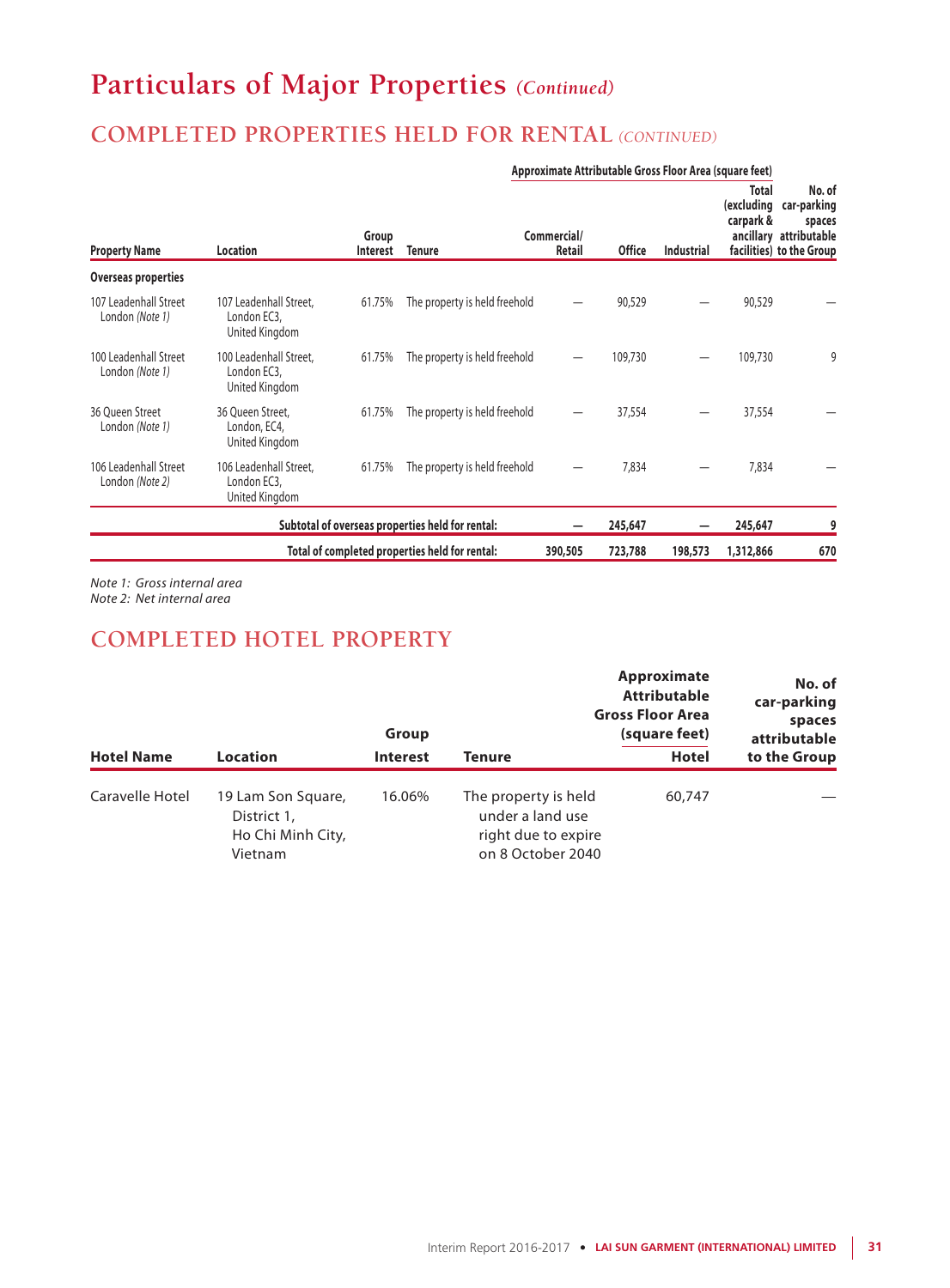# **Particulars of Major Properties** *(Continued)*

## **COMPLETED PROPERTIES HELD FOR RENTAL** *(CONTINUED)*

|                                          |                                                         |                   |                                                  | Approximate Attributable Gross Floor Area (square feet) |               |            |                                  |                                                                                       |
|------------------------------------------|---------------------------------------------------------|-------------------|--------------------------------------------------|---------------------------------------------------------|---------------|------------|----------------------------------|---------------------------------------------------------------------------------------|
| <b>Property Name</b>                     | Location                                                | Group<br>Interest | <b>Tenure</b>                                    | Commercial/<br>Retail                                   | <b>Office</b> | Industrial | Total<br>(excluding<br>carpark & | No. of<br>car-parking<br>spaces<br>ancillary attributable<br>facilities) to the Group |
| Overseas properties                      |                                                         |                   |                                                  |                                                         |               |            |                                  |                                                                                       |
| 107 Leadenhall Street<br>London (Note 1) | 107 Leadenhall Street.<br>London EC3,<br>United Kingdom | 61.75%            | The property is held freehold                    |                                                         | 90,529        |            | 90,529                           |                                                                                       |
| 100 Leadenhall Street<br>London (Note 1) | 100 Leadenhall Street.<br>London EC3,<br>United Kingdom | 61.75%            | The property is held freehold                    |                                                         | 109,730       |            | 109,730                          | 9                                                                                     |
| 36 Oueen Street<br>London (Note 1)       | 36 Oueen Street.<br>London, EC4,<br>United Kingdom      | 61.75%            | The property is held freehold                    |                                                         | 37,554        |            | 37,554                           |                                                                                       |
| 106 Leadenhall Street<br>London (Note 2) | 106 Leadenhall Street,<br>London EC3,<br>United Kingdom | 61.75%            | The property is held freehold                    |                                                         | 7,834         |            | 7,834                            |                                                                                       |
|                                          |                                                         |                   | Subtotal of overseas properties held for rental: |                                                         | 245,647       |            | 245,647                          | 9                                                                                     |
|                                          |                                                         |                   | Total of completed properties held for rental:   | 390,505                                                 | 723,788       | 198,573    | 1,312,866                        | 670                                                                                   |

*Note 1: Gross internal area Note 2: Net internal area*

### **COMPLETED HOTEL PROPERTY**

|                   |                                                                   | Group           |                                                                                      | Approximate<br>No. of<br><b>Attributable</b><br>car-parking<br><b>Gross Floor Area</b><br>spaces<br>(square feet)<br>attributable |              |  |
|-------------------|-------------------------------------------------------------------|-----------------|--------------------------------------------------------------------------------------|-----------------------------------------------------------------------------------------------------------------------------------|--------------|--|
| <b>Hotel Name</b> | <b>Location</b>                                                   | <b>Interest</b> | Tenure                                                                               | <b>Hotel</b>                                                                                                                      | to the Group |  |
| Caravelle Hotel   | 19 Lam Son Square,<br>District 1,<br>Ho Chi Minh City,<br>Vietnam | 16.06%          | The property is held<br>under a land use<br>right due to expire<br>on 8 October 2040 | 60,747                                                                                                                            |              |  |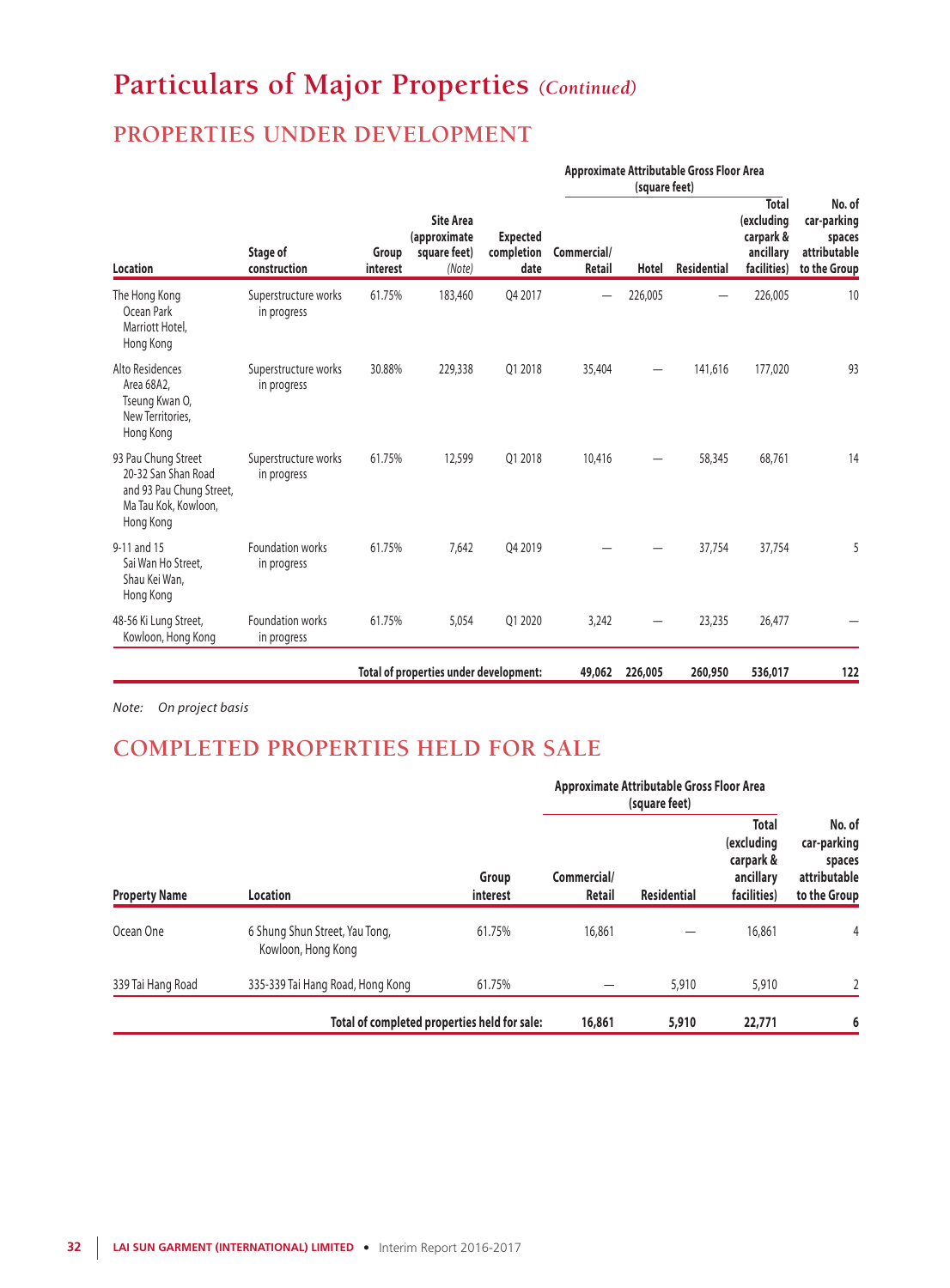# **Particulars of Major Properties** *(Continued)*

## **PROPERTIES UNDER DEVELOPMENT**

|                                                                                                             |                                     |        |                                        |                                                            |                                       | Approximate Attributable Gross Floor Area<br>(square feet) |         |                    |                                                                     |                                                                 |
|-------------------------------------------------------------------------------------------------------------|-------------------------------------|--------|----------------------------------------|------------------------------------------------------------|---------------------------------------|------------------------------------------------------------|---------|--------------------|---------------------------------------------------------------------|-----------------------------------------------------------------|
| <b>Location</b>                                                                                             | Stage of<br>construction            |        | Group<br>interest                      | <b>Site Area</b><br>(approximate<br>square feet)<br>(Note) | <b>Expected</b><br>completion<br>date | Commercial/<br>Retail                                      | Hotel   | <b>Residential</b> | <b>Total</b><br>(excluding<br>carpark &<br>ancillary<br>facilities) | No. of<br>car-parking<br>spaces<br>attributable<br>to the Group |
| The Hong Kong<br>Ocean Park<br>Marriott Hotel,<br>Hong Kong                                                 | Superstructure works<br>in progress | 61.75% | 183,460                                | 04 2017                                                    |                                       | 226,005                                                    |         | 226,005            | 10                                                                  |                                                                 |
| Alto Residences<br>Area 68A2,<br>Tseung Kwan O,<br>New Territories.<br>Hong Kong                            | Superstructure works<br>in progress | 30.88% | 229,338                                | 01 2018                                                    | 35,404                                | -                                                          | 141,616 | 177,020            | 93                                                                  |                                                                 |
| 93 Pau Chung Street<br>20-32 San Shan Road<br>and 93 Pau Chung Street,<br>Ma Tau Kok, Kowloon,<br>Hong Kong | Superstructure works<br>in progress | 61.75% | 12,599                                 | 01 2018                                                    | 10,416                                |                                                            | 58,345  | 68,761             | 14                                                                  |                                                                 |
| 9-11 and 15<br>Sai Wan Ho Street,<br>Shau Kei Wan,<br>Hong Kong                                             | Foundation works<br>in progress     | 61.75% | 7,642                                  | 04 2019                                                    |                                       |                                                            | 37,754  | 37,754             | 5                                                                   |                                                                 |
| 48-56 Ki Lung Street,<br>Kowloon, Hong Kong                                                                 | Foundation works<br>in progress     | 61.75% | 5,054                                  | 01 2020                                                    | 3,242                                 |                                                            | 23,235  | 26,477             |                                                                     |                                                                 |
|                                                                                                             |                                     |        | Total of properties under development: |                                                            | 49,062                                | 226,005                                                    | 260,950 | 536,017            | 122                                                                 |                                                                 |

*Note: On project basis*

## **COMPLETED PROPERTIES HELD FOR SALE**

| <b>Property Name</b> |                                                      |                   | Approximate Attributable Gross Floor Area |                    |                                                                     |                                                                 |
|----------------------|------------------------------------------------------|-------------------|-------------------------------------------|--------------------|---------------------------------------------------------------------|-----------------------------------------------------------------|
|                      | <b>Location</b>                                      | Group<br>interest | Commercial/<br>Retail                     | <b>Residential</b> | <b>Total</b><br>(excluding<br>carpark &<br>ancillary<br>facilities) | No. of<br>car-parking<br>spaces<br>attributable<br>to the Group |
| Ocean One            | 6 Shung Shun Street, Yau Tong,<br>Kowloon, Hong Kong | 61.75%            | 16,861                                    |                    | 16,861                                                              | $\overline{4}$                                                  |
| 339 Tai Hang Road    | 335-339 Tai Hang Road, Hong Kong                     | 61.75%            |                                           | 5,910              | 5,910                                                               | $\mathfrak{I}$                                                  |
|                      | Total of completed properties held for sale:         |                   | 16,861                                    | 5,910              | 22,771                                                              | 6                                                               |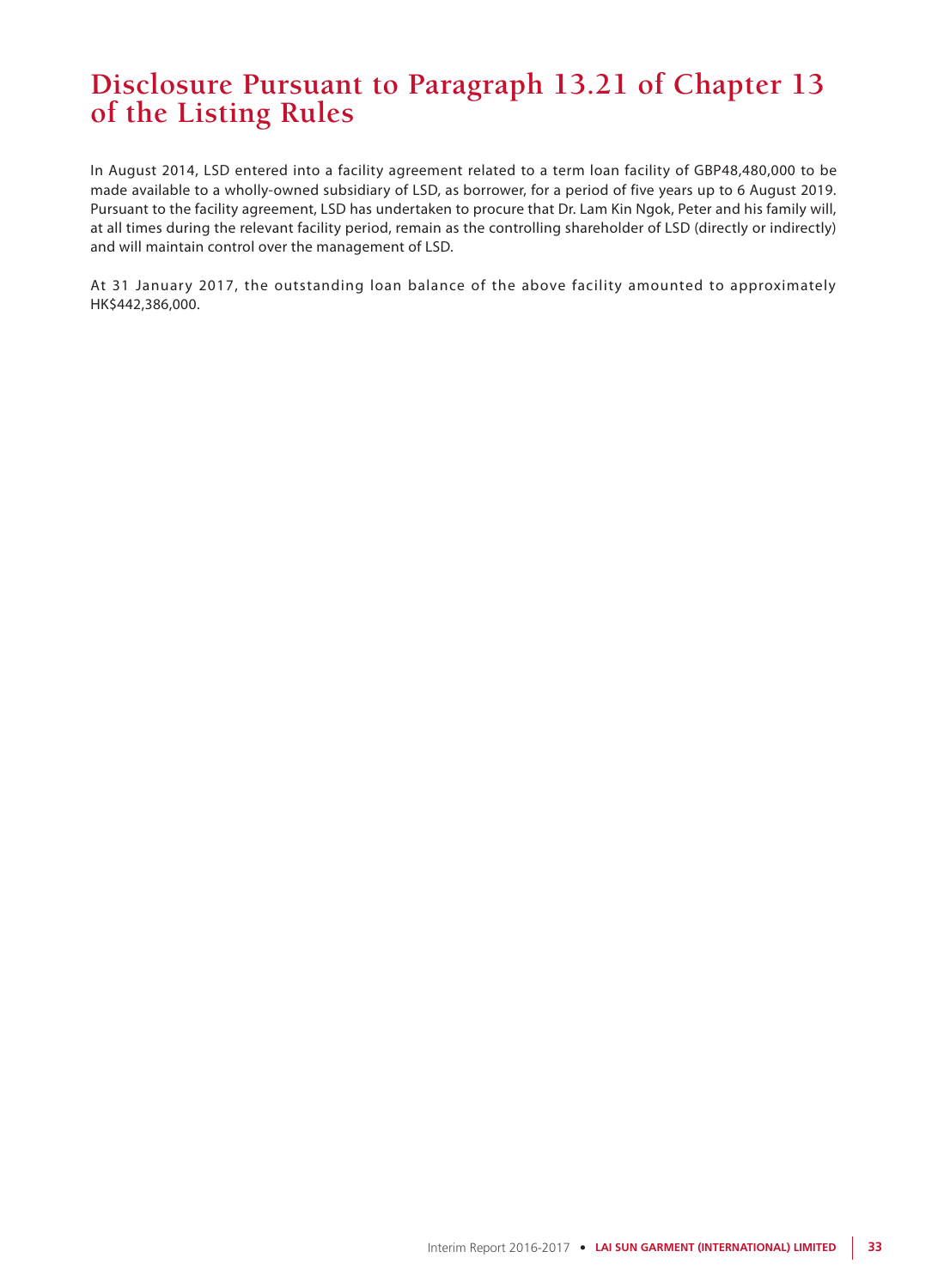## **Disclosure Pursuant to Paragraph 13.21 of Chapter 13 of the Listing Rules**

In August 2014, LSD entered into a facility agreement related to a term loan facility of GBP48,480,000 to be made available to a wholly-owned subsidiary of LSD, as borrower, for a period of five years up to 6 August 2019. Pursuant to the facility agreement, LSD has undertaken to procure that Dr. Lam Kin Ngok, Peter and his family will, at all times during the relevant facility period, remain as the controlling shareholder of LSD (directly or indirectly) and will maintain control over the management of LSD.

At 31 January 2017, the outstanding loan balance of the above facility amounted to approximately HK\$442,386,000.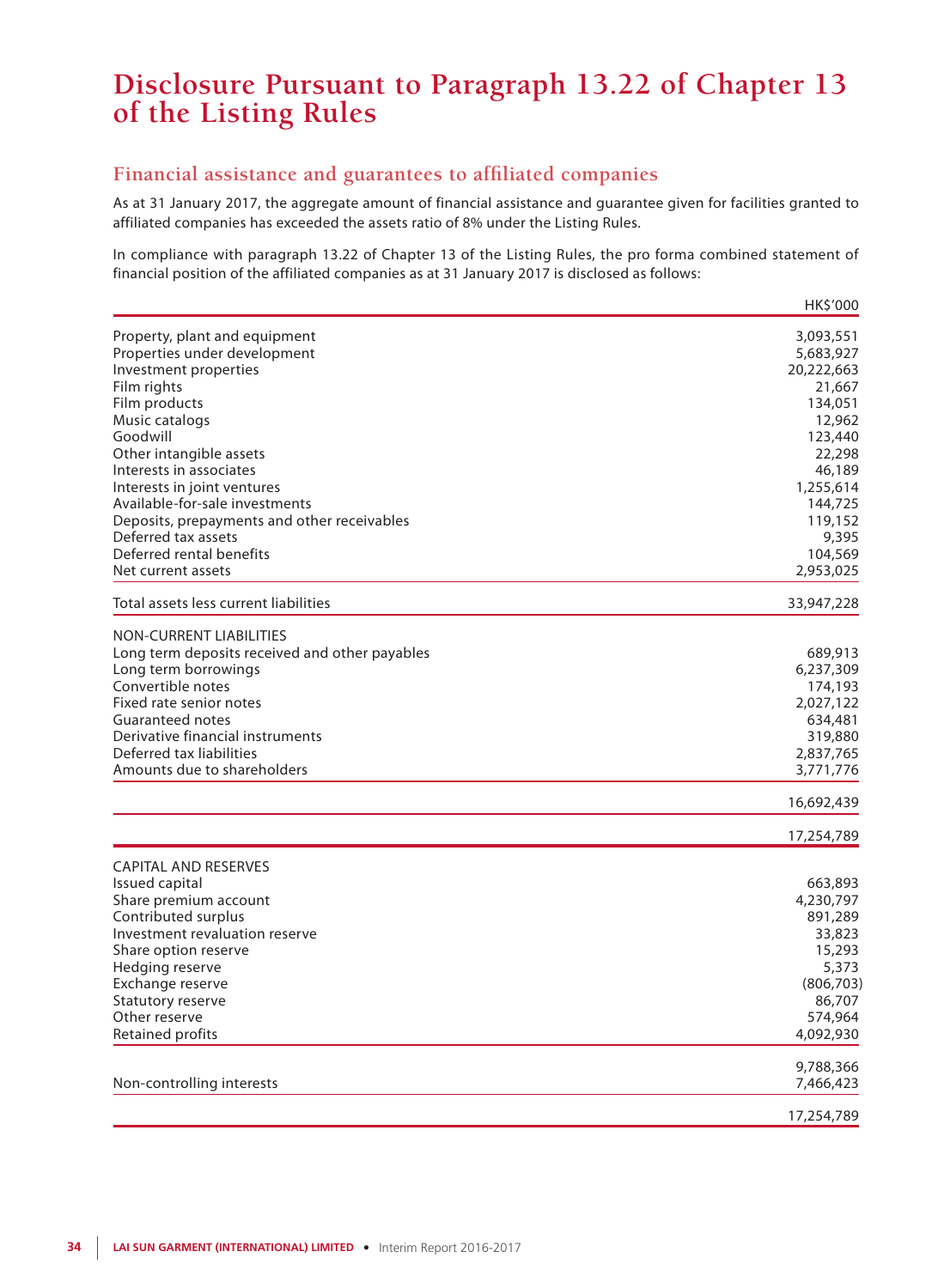## **Disclosure Pursuant to Paragraph 13.22 of Chapter 13 of the Listing Rules**

### **Financial assistance and guarantees to affiliated companies**

As at 31 January 2017, the aggregate amount of financial assistance and guarantee given for facilities granted to affiliated companies has exceeded the assets ratio of 8% under the Listing Rules.

In compliance with paragraph 13.22 of Chapter 13 of the Listing Rules, the pro forma combined statement of financial position of the affiliated companies as at 31 January 2017 is disclosed as follows:

|                                                | HK\$'000             |
|------------------------------------------------|----------------------|
| Property, plant and equipment                  | 3,093,551            |
| Properties under development                   | 5,683,927            |
| Investment properties                          | 20,222,663           |
| Film rights                                    | 21,667               |
| Film products                                  | 134,051              |
| Music catalogs                                 | 12,962               |
| Goodwill                                       | 123,440              |
| Other intangible assets                        | 22,298               |
| Interests in associates                        | 46,189               |
| Interests in joint ventures                    | 1,255,614            |
| Available-for-sale investments                 | 144,725              |
| Deposits, prepayments and other receivables    | 119,152              |
| Deferred tax assets                            | 9,395                |
| Deferred rental benefits<br>Net current assets | 104,569<br>2,953,025 |
|                                                |                      |
| Total assets less current liabilities          | 33,947,228           |
| <b>NON-CURRENT LIABILITIES</b>                 |                      |
| Long term deposits received and other payables | 689,913              |
| Long term borrowings                           | 6,237,309            |
| Convertible notes                              | 174,193              |
| Fixed rate senior notes                        | 2,027,122            |
| <b>Guaranteed notes</b>                        | 634,481              |
| Derivative financial instruments               | 319,880              |
| Deferred tax liabilities                       | 2,837,765            |
| Amounts due to shareholders                    | 3,771,776            |
|                                                | 16,692,439           |
|                                                | 17,254,789           |
| <b>CAPITAL AND RESERVES</b>                    |                      |
| Issued capital                                 | 663,893              |
| Share premium account                          | 4,230,797            |
| Contributed surplus                            | 891,289              |
| Investment revaluation reserve                 | 33,823               |
| Share option reserve                           | 15,293               |
| Hedging reserve                                | 5,373                |
| Exchange reserve                               | (806, 703)           |
| Statutory reserve                              | 86,707               |
| Other reserve                                  | 574,964              |
| Retained profits                               | 4,092,930            |
|                                                | 9,788,366            |
| Non-controlling interests                      | 7,466,423            |
|                                                | 17,254,789           |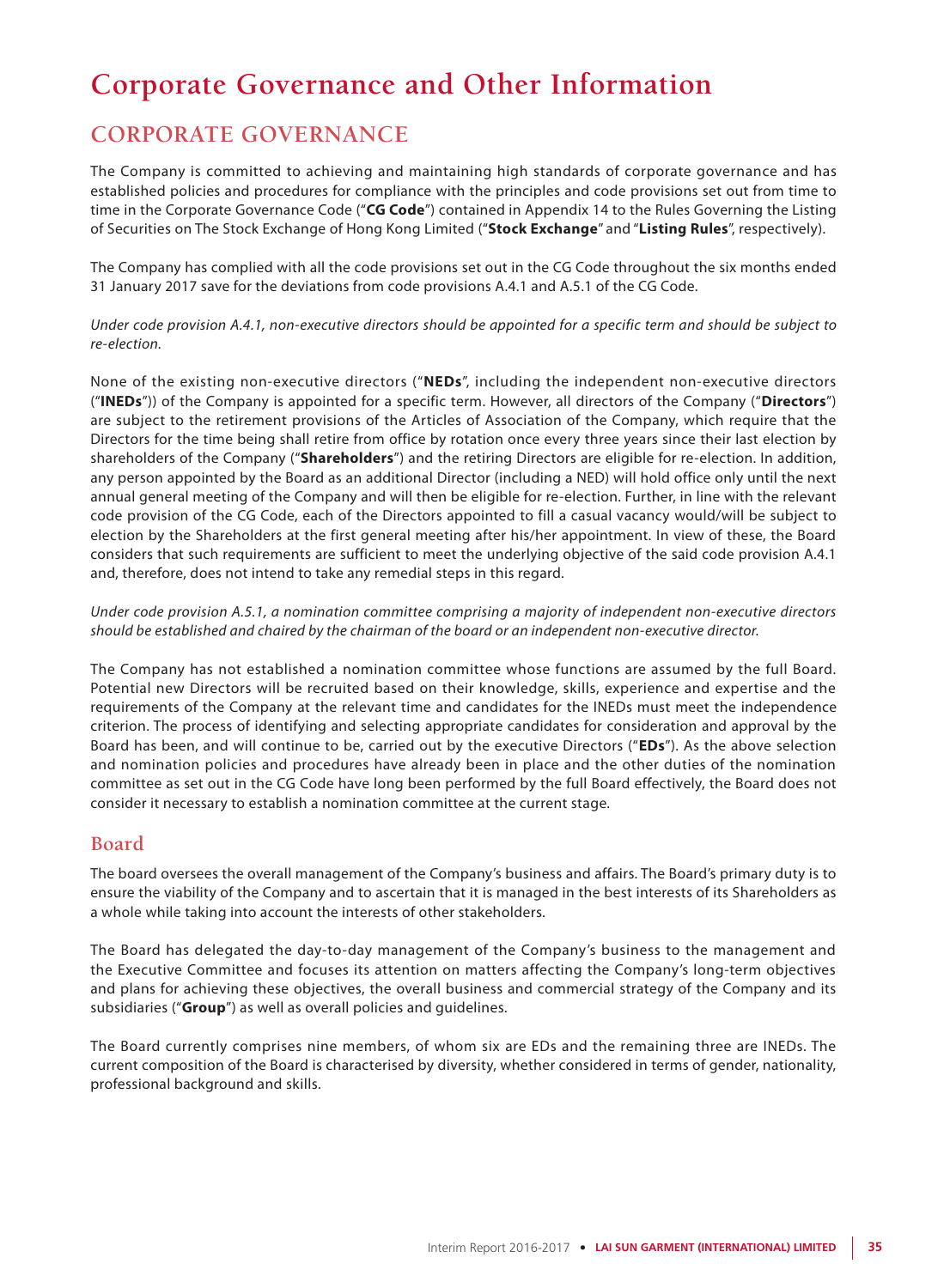# **Corporate Governance and Other Information**

## **CORPORATE GOVERNANCE**

The Company is committed to achieving and maintaining high standards of corporate governance and has established policies and procedures for compliance with the principles and code provisions set out from time to time in the Corporate Governance Code ("**CG Code**") contained in Appendix 14 to the Rules Governing the Listing of Securities on The Stock Exchange of Hong Kong Limited ("**Stock Exchange**" and "**Listing Rules**", respectively).

The Company has complied with all the code provisions set out in the CG Code throughout the six months ended 31 January 2017 save for the deviations from code provisions A.4.1 and A.5.1 of the CG Code.

*Under code provision A.4.1, non-executive directors should be appointed for a specific term and should be subject to re-election.*

None of the existing non-executive directors ("**NEDs**", including the independent non-executive directors ("**INEDs**")) of the Company is appointed for a specific term. However, all directors of the Company ("**Directors**") are subject to the retirement provisions of the Articles of Association of the Company, which require that the Directors for the time being shall retire from office by rotation once every three years since their last election by shareholders of the Company ("**Shareholders**") and the retiring Directors are eligible for re-election. In addition, any person appointed by the Board as an additional Director (including a NED) will hold office only until the next annual general meeting of the Company and will then be eligible for re-election. Further, in line with the relevant code provision of the CG Code, each of the Directors appointed to fill a casual vacancy would/will be subject to election by the Shareholders at the first general meeting after his/her appointment. In view of these, the Board considers that such requirements are sufficient to meet the underlying objective of the said code provision A.4.1 and, therefore, does not intend to take any remedial steps in this regard.

*Under code provision A.5.1, a nomination committee comprising a majority of independent non-executive directors should be established and chaired by the chairman of the board or an independent non-executive director.*

The Company has not established a nomination committee whose functions are assumed by the full Board. Potential new Directors will be recruited based on their knowledge, skills, experience and expertise and the requirements of the Company at the relevant time and candidates for the INEDs must meet the independence criterion. The process of identifying and selecting appropriate candidates for consideration and approval by the Board has been, and will continue to be, carried out by the executive Directors ("**EDs**"). As the above selection and nomination policies and procedures have already been in place and the other duties of the nomination committee as set out in the CG Code have long been performed by the full Board effectively, the Board does not consider it necessary to establish a nomination committee at the current stage.

### **Board**

The board oversees the overall management of the Company's business and affairs. The Board's primary duty is to ensure the viability of the Company and to ascertain that it is managed in the best interests of its Shareholders as a whole while taking into account the interests of other stakeholders.

The Board has delegated the day-to-day management of the Company's business to the management and the Executive Committee and focuses its attention on matters affecting the Company's long-term objectives and plans for achieving these objectives, the overall business and commercial strategy of the Company and its subsidiaries ("**Group**") as well as overall policies and guidelines.

The Board currently comprises nine members, of whom six are EDs and the remaining three are INEDs. The current composition of the Board is characterised by diversity, whether considered in terms of gender, nationality, professional background and skills.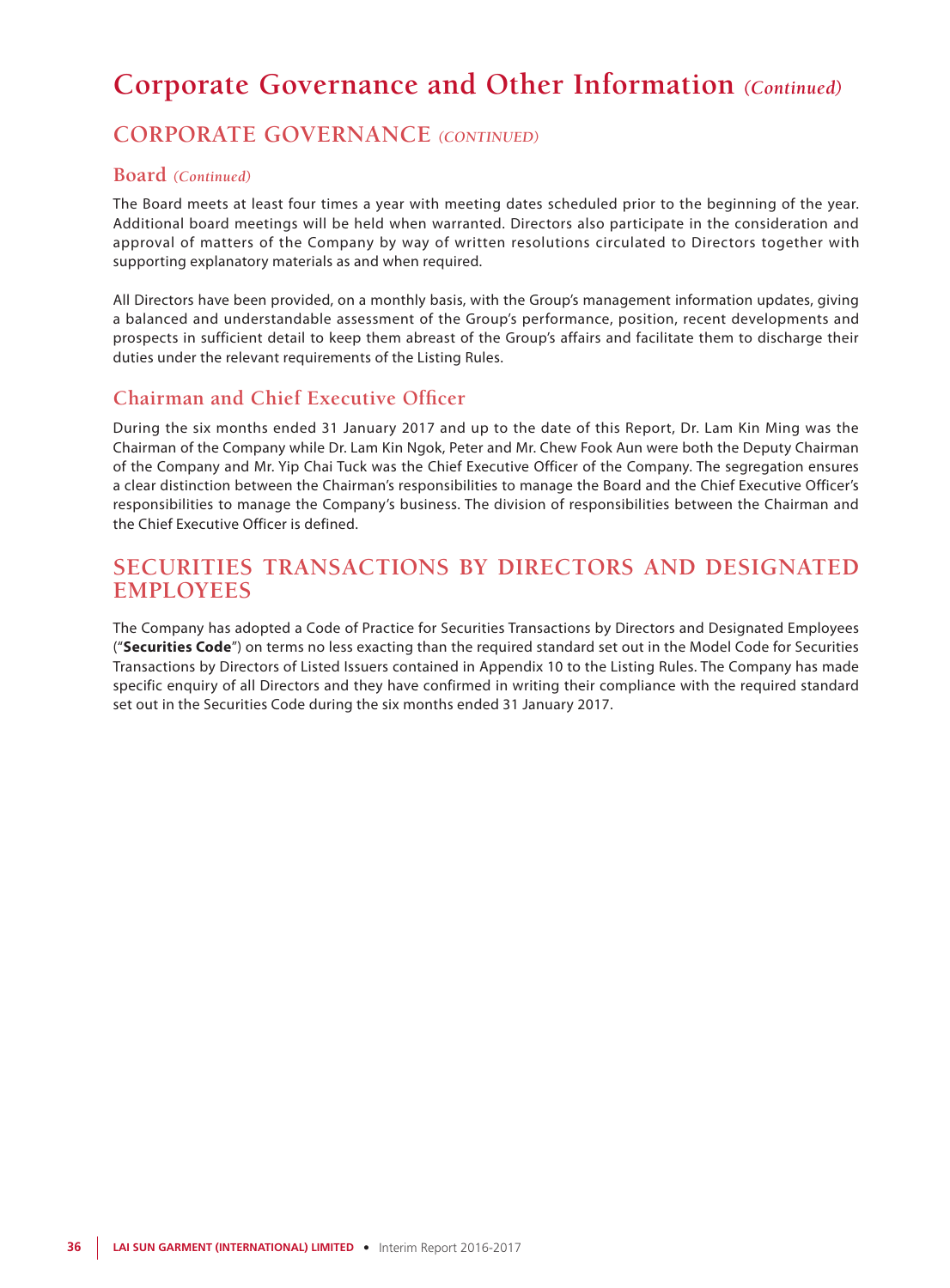## **CORPORATE GOVERNANCE** *(CONTINUED)*

### **Board** *(Continued)*

The Board meets at least four times a year with meeting dates scheduled prior to the beginning of the year. Additional board meetings will be held when warranted. Directors also participate in the consideration and approval of matters of the Company by way of written resolutions circulated to Directors together with supporting explanatory materials as and when required.

All Directors have been provided, on a monthly basis, with the Group's management information updates, giving a balanced and understandable assessment of the Group's performance, position, recent developments and prospects in sufficient detail to keep them abreast of the Group's affairs and facilitate them to discharge their duties under the relevant requirements of the Listing Rules.

### **Chairman and Chief Executive Officer**

During the six months ended 31 January 2017 and up to the date of this Report, Dr. Lam Kin Ming was the Chairman of the Company while Dr. Lam Kin Ngok, Peter and Mr. Chew Fook Aun were both the Deputy Chairman of the Company and Mr. Yip Chai Tuck was the Chief Executive Officer of the Company. The segregation ensures a clear distinction between the Chairman's responsibilities to manage the Board and the Chief Executive Officer's responsibilities to manage the Company's business. The division of responsibilities between the Chairman and the Chief Executive Officer is defined.

## **SECURITIES TRANSACTIONS BY DIRECTORS AND DESIGNATED EMPLOYEES**

The Company has adopted a Code of Practice for Securities Transactions by Directors and Designated Employees ("**Securities Code**") on terms no less exacting than the required standard set out in the Model Code for Securities Transactions by Directors of Listed Issuers contained in Appendix 10 to the Listing Rules. The Company has made specific enquiry of all Directors and they have confirmed in writing their compliance with the required standard set out in the Securities Code during the six months ended 31 January 2017.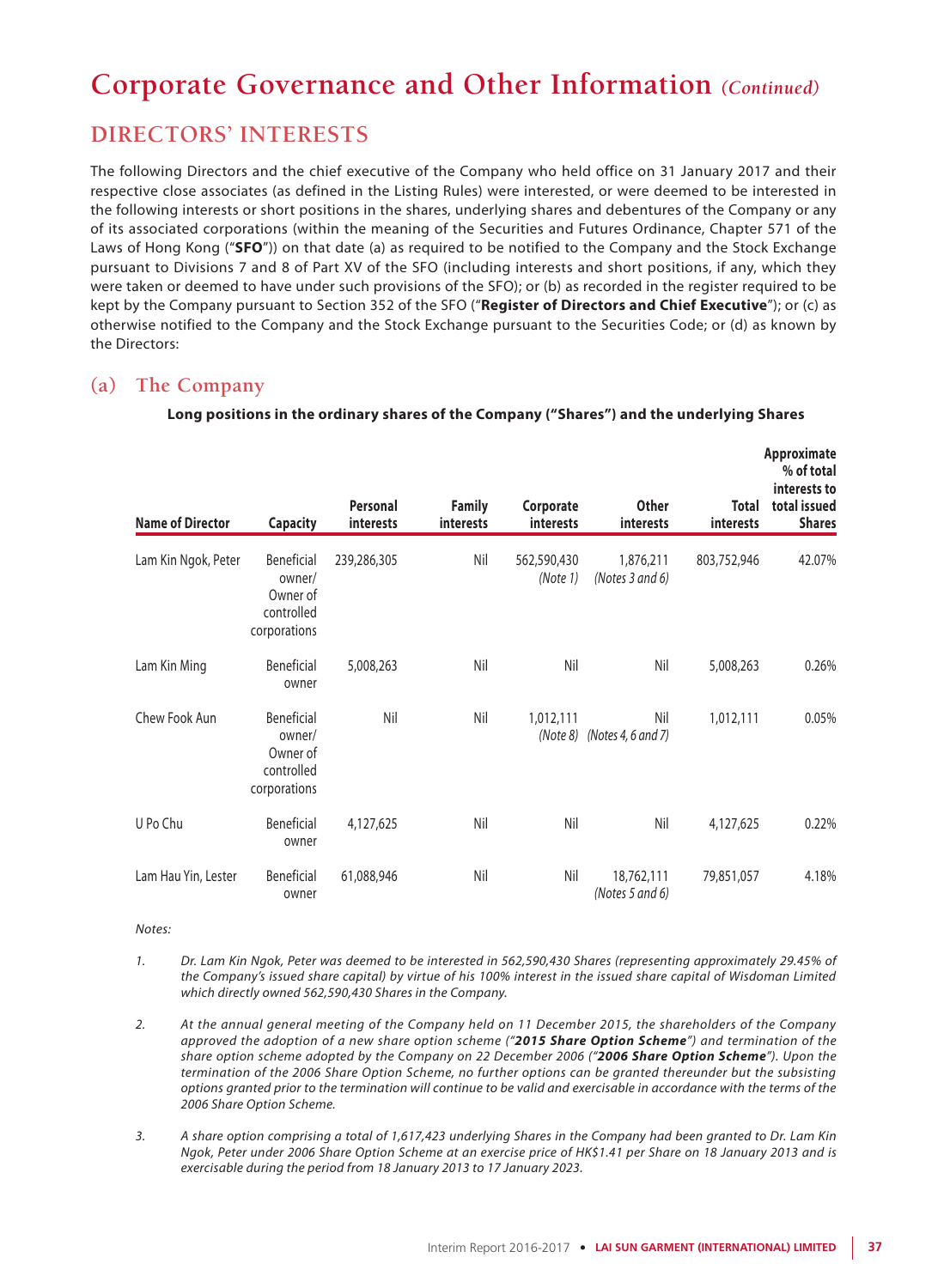## **DIRECTORS' INTERESTS**

The following Directors and the chief executive of the Company who held office on 31 January 2017 and their respective close associates (as defined in the Listing Rules) were interested, or were deemed to be interested in the following interests or short positions in the shares, underlying shares and debentures of the Company or any of its associated corporations (within the meaning of the Securities and Futures Ordinance, Chapter 571 of the Laws of Hong Kong ("**SFO**")) on that date (a) as required to be notified to the Company and the Stock Exchange pursuant to Divisions 7 and 8 of Part XV of the SFO (including interests and short positions, if any, which they were taken or deemed to have under such provisions of the SFO); or (b) as recorded in the register required to be kept by the Company pursuant to Section 352 of the SFO ("**Register of Directors and Chief Executive**"); or (c) as otherwise notified to the Company and the Stock Exchange pursuant to the Securities Code; or (d) as known by the Directors:

### **(a) The Company**

| <b>Name of Director</b> | <b>Capacity</b>                                                | Personal<br>interests | <b>Family</b><br>interests | Corporate<br>interests  | <b>Other</b><br><i>interests</i>     | <b>Total</b><br><i>interests</i> | Approximate<br>% of total<br>interests to<br>total issued<br><b>Shares</b> |
|-------------------------|----------------------------------------------------------------|-----------------------|----------------------------|-------------------------|--------------------------------------|----------------------------------|----------------------------------------------------------------------------|
| Lam Kin Ngok, Peter     | Beneficial<br>owner/<br>Owner of<br>controlled<br>corporations | 239,286,305           | Nil                        | 562,590,430<br>(Note 1) | 1,876,211<br>(Notes 3 and 6)         | 803,752,946                      | 42.07%                                                                     |
| Lam Kin Ming            | Beneficial<br>owner                                            | 5,008,263             | Nil                        | Nil                     | Nil                                  | 5,008,263                        | 0.26%                                                                      |
| Chew Fook Aun           | Beneficial<br>owner/<br>Owner of<br>controlled<br>corporations | Nil                   | Nil                        | 1,012,111               | Nil<br>$(Note 8)$ (Notes 4, 6 and 7) | 1,012,111                        | 0.05%                                                                      |
| U Po Chu                | Beneficial<br>owner                                            | 4,127,625             | Nil                        | Nil                     | Nil                                  | 4,127,625                        | 0.22%                                                                      |
| Lam Hau Yin, Lester     | Beneficial<br>owner                                            | 61,088,946            | Nil                        | Nil                     | 18,762,111<br>(Notes 5 and $6$ )     | 79,851,057                       | 4.18%                                                                      |

### **Long positions in the ordinary shares of the Company ("Shares") and the underlying Shares**

*Notes:*

- *1. Dr. Lam Kin Ngok, Peter was deemed to be interested in 562,590,430 Shares (representing approximately 29.45% of the Company's issued share capital) by virtue of his 100% interest in the issued share capital of Wisdoman Limited which directly owned 562,590,430 Shares in the Company.*
- *2. At the annual general meeting of the Company held on 11 December 2015, the shareholders of the Company approved the adoption of a new share option scheme ("2015 Share Option Scheme") and termination of the share option scheme adopted by the Company on 22 December 2006 ("2006 Share Option Scheme"). Upon the termination of the 2006 Share Option Scheme, no further options can be granted thereunder but the subsisting options granted prior to the termination will continue to be valid and exercisable in accordance with the terms of the 2006 Share Option Scheme.*
- *3. A share option comprising a total of 1,617,423 underlying Shares in the Company had been granted to Dr. Lam Kin Ngok, Peter under 2006 Share Option Scheme at an exercise price of HK\$1.41 per Share on 18 January 2013 and is exercisable during the period from 18 January 2013 to 17 January 2023.*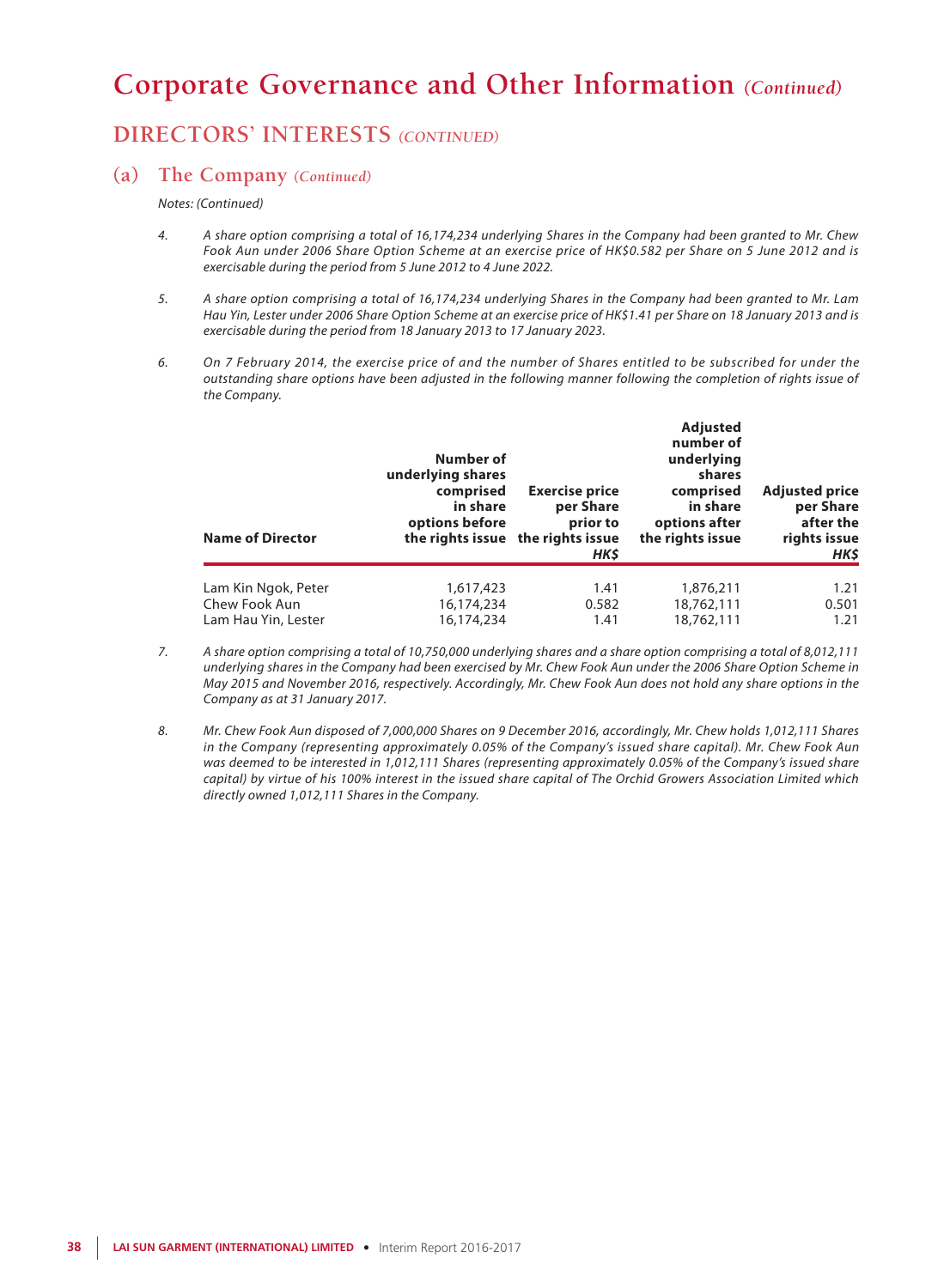## **DIRECTORS' INTERESTS** *(CONTINUED)*

### **(a) The Company** *(Continued)*

*Notes: (Continued)*

- *4. A share option comprising a total of 16,174,234 underlying Shares in the Company had been granted to Mr. Chew Fook Aun under 2006 Share Option Scheme at an exercise price of HK\$0.582 per Share on 5 June 2012 and is exercisable during the period from 5 June 2012 to 4 June 2022.*
- *5. A share option comprising a total of 16,174,234 underlying Shares in the Company had been granted to Mr. Lam Hau Yin, Lester under 2006 Share Option Scheme at an exercise price of HK\$1.41 per Share on 18 January 2013 and is exercisable during the period from 18 January 2013 to 17 January 2023.*
- *6. On 7 February 2014, the exercise price of and the number of Shares entitled to be subscribed for under the outstanding share options have been adjusted in the following manner following the completion of rights issue of the Company.*

| <b>Name of Director</b> | Number of<br>underlying shares<br>comprised<br>in share<br>options before | <b>Exercise price</b><br>per Share<br>prior to<br>the rights issue the rights issue<br>HK\$ | <b>Adjusted</b><br>number of<br>underlying<br>shares<br>comprised<br>in share<br>options after<br>the rights issue | <b>Adjusted price</b><br>per Share<br>after the<br>rights issue<br>HK\$ |
|-------------------------|---------------------------------------------------------------------------|---------------------------------------------------------------------------------------------|--------------------------------------------------------------------------------------------------------------------|-------------------------------------------------------------------------|
| Lam Kin Ngok, Peter     | 1,617,423                                                                 | 1.41                                                                                        | 1,876,211                                                                                                          | 1.21                                                                    |
| Chew Fook Aun           | 16,174,234                                                                | 0.582                                                                                       | 18,762,111                                                                                                         | 0.501                                                                   |
| Lam Hau Yin, Lester     | 16,174,234                                                                | 1.41                                                                                        | 18,762,111                                                                                                         | 1.21                                                                    |

- *7. A share option comprising a total of 10,750,000 underlying shares and a share option comprising a total of 8,012,111 underlying shares in the Company had been exercised by Mr. Chew Fook Aun under the 2006 Share Option Scheme in May 2015 and November 2016, respectively. Accordingly, Mr. Chew Fook Aun does not hold any share options in the Company as at 31 January 2017.*
- *8. Mr. Chew Fook Aun disposed of 7,000,000 Shares on 9 December 2016, accordingly, Mr. Chew holds 1,012,111 Shares in the Company (representing approximately 0.05% of the Company's issued share capital). Mr. Chew Fook Aun was deemed to be interested in 1,012,111 Shares (representing approximately 0.05% of the Company's issued share capital) by virtue of his 100% interest in the issued share capital of The Orchid Growers Association Limited which directly owned 1,012,111 Shares in the Company.*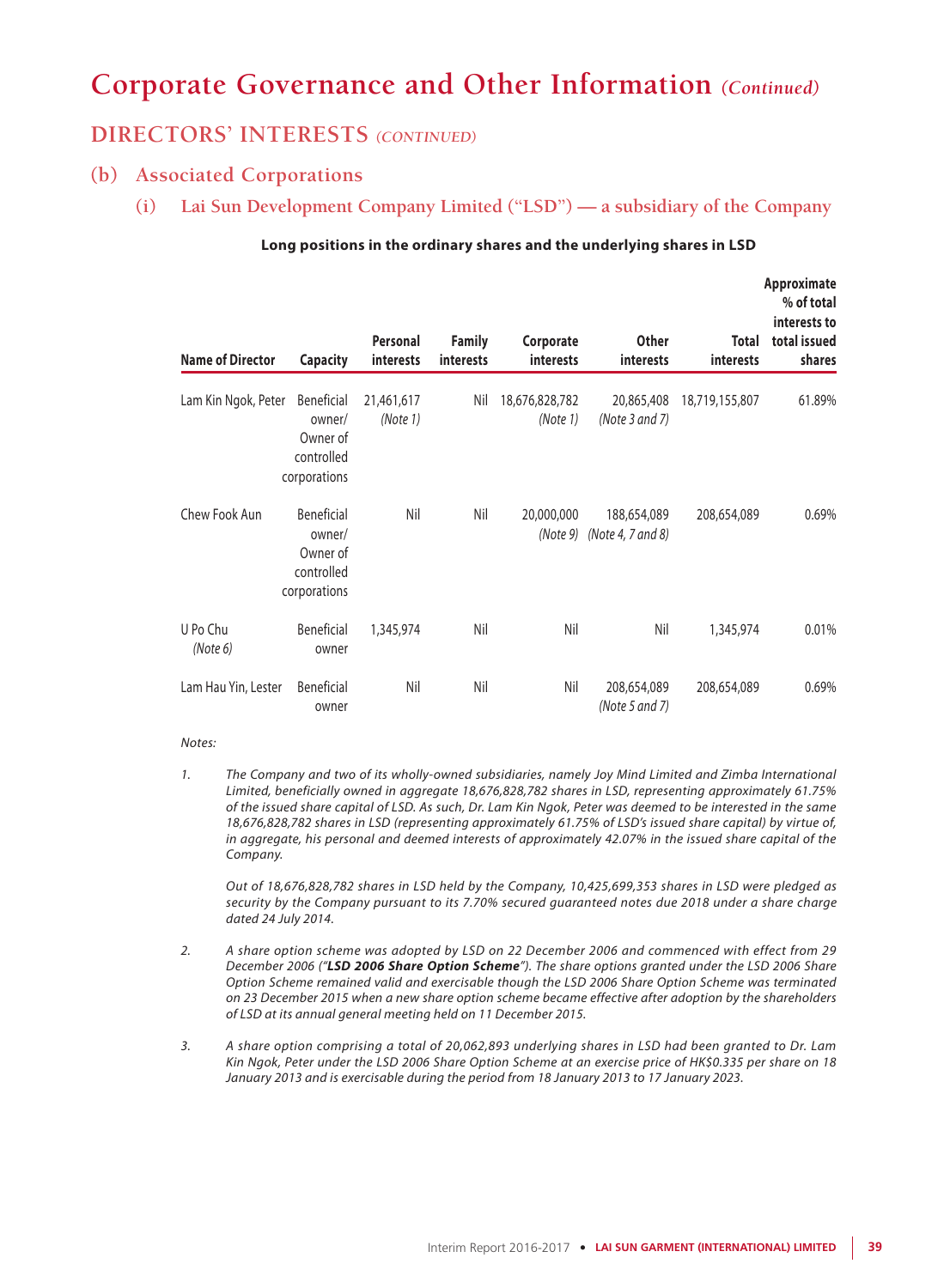### **DIRECTORS' INTERESTS** *(CONTINUED)*

### **(b) Associated Corporations**

**(i) Lai Sun Development Company Limited ("LSD") — a subsidiary of the Company**

| <b>Name of Director</b> | <b>Capacity</b>                                                | Personal<br>interests  | <b>Family</b><br>interests | Corporate<br>interests     | <b>Other</b><br>interests                   | Total<br>interests | Approximate<br>% of total<br>interests to<br>total issued<br>shares |
|-------------------------|----------------------------------------------------------------|------------------------|----------------------------|----------------------------|---------------------------------------------|--------------------|---------------------------------------------------------------------|
| Lam Kin Ngok, Peter     | Beneficial<br>owner/<br>Owner of<br>controlled<br>corporations | 21,461,617<br>(Note 1) | Nil                        | 18,676,828,782<br>(Note 1) | 20,865,408<br>(Note 3 and 7)                | 18,719,155,807     | 61.89%                                                              |
| Chew Fook Aun           | Beneficial<br>owner/<br>Owner of<br>controlled<br>corporations | Nil                    | Nil                        | 20,000,000                 | 188,654,089<br>$(Note 9)$ (Note 4, 7 and 8) | 208,654,089        | 0.69%                                                               |
| U Po Chu<br>(Note 6)    | Beneficial<br>owner                                            | 1,345,974              | Nil                        | Nil                        | Nil                                         | 1,345,974          | 0.01%                                                               |
| Lam Hau Yin, Lester     | <b>Beneficial</b><br>owner                                     | Nil                    | Nil                        | Nil                        | 208,654,089<br>(Note 5 and 7)               | 208,654,089        | 0.69%                                                               |

### **Long positions in the ordinary shares and the underlying shares in LSD**

#### *Notes:*

*1. The Company and two of its wholly-owned subsidiaries, namely Joy Mind Limited and Zimba International Limited, beneficially owned in aggregate 18,676,828,782 shares in LSD, representing approximately 61.75% of the issued share capital of LSD. As such, Dr. Lam Kin Ngok, Peter was deemed to be interested in the same 18,676,828,782 shares in LSD (representing approximately 61.75% of LSD's issued share capital) by virtue of, in aggregate, his personal and deemed interests of approximately 42.07% in the issued share capital of the Company.*

*Out of 18,676,828,782 shares in LSD held by the Company, 10,425,699,353 shares in LSD were pledged as security by the Company pursuant to its 7.70% secured guaranteed notes due 2018 under a share charge dated 24 July 2014.*

- *2. A share option scheme was adopted by LSD on 22 December 2006 and commenced with effect from 29 December 2006 ("LSD 2006 Share Option Scheme"). The share options granted under the LSD 2006 Share Option Scheme remained valid and exercisable though the LSD 2006 Share Option Scheme was terminated on 23 December 2015 when a new share option scheme became effective after adoption by the shareholders of LSD at its annual general meeting held on 11 December 2015.*
- *3. A share option comprising a total of 20,062,893 underlying shares in LSD had been granted to Dr. Lam Kin Ngok, Peter under the LSD 2006 Share Option Scheme at an exercise price of HK\$0.335 per share on 18 January 2013 and is exercisable during the period from 18 January 2013 to 17 January 2023.*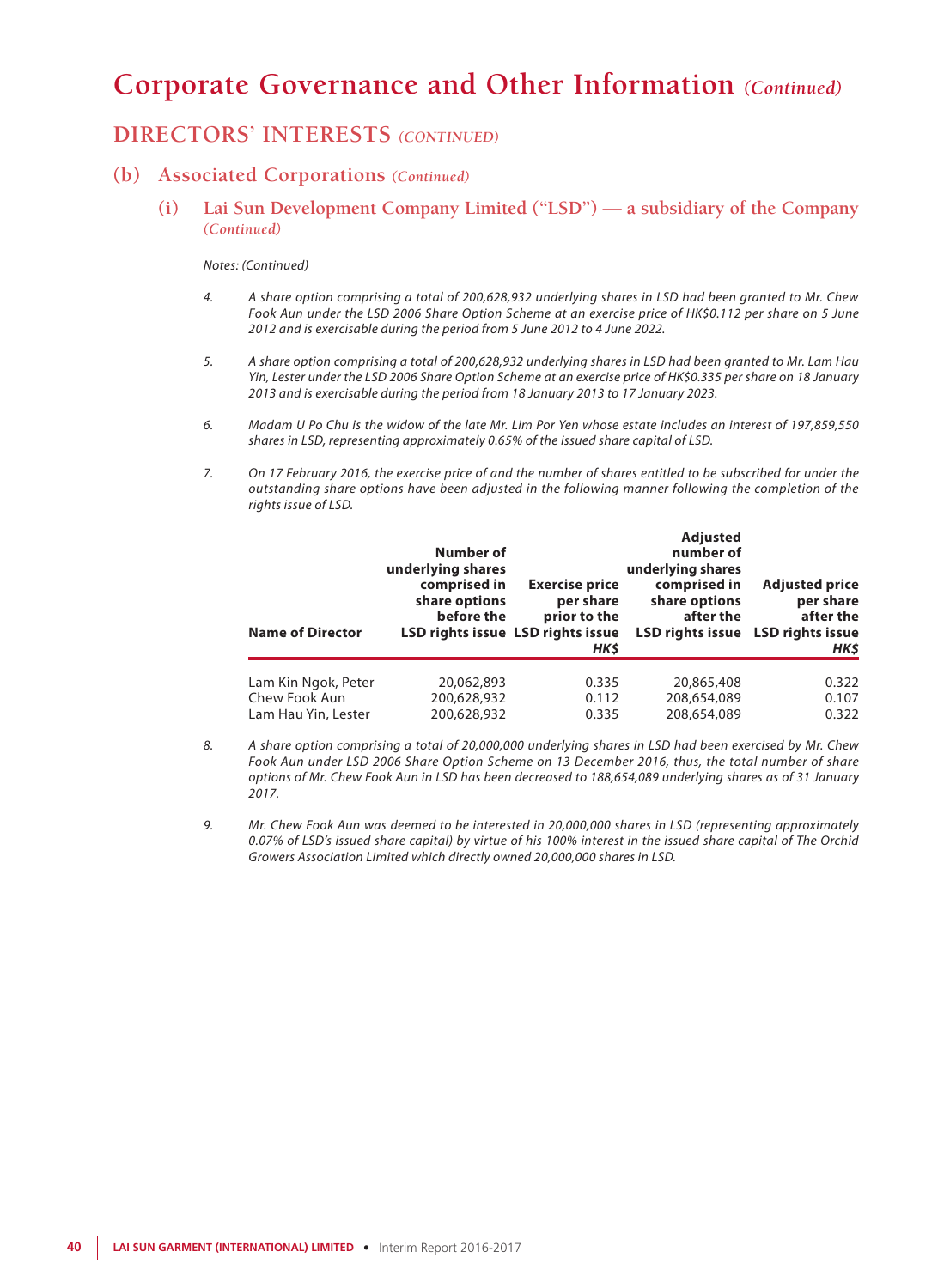### **DIRECTORS' INTERESTS** *(CONTINUED)*

### **(b) Associated Corporations** *(Continued)*

**(i) Lai Sun Development Company Limited ("LSD") — a subsidiary of the Company** *(Continued)*

#### *Notes: (Continued)*

- *4. A share option comprising a total of 200,628,932 underlying shares in LSD had been granted to Mr. Chew Fook Aun under the LSD 2006 Share Option Scheme at an exercise price of HK\$0.112 per share on 5 June 2012 and is exercisable during the period from 5 June 2012 to 4 June 2022.*
- *5. A share option comprising a total of 200,628,932 underlying shares in LSD had been granted to Mr. Lam Hau Yin, Lester under the LSD 2006 Share Option Scheme at an exercise price of HK\$0.335 per share on 18 January 2013 and is exercisable during the period from 18 January 2013 to 17 January 2023.*
- *6. Madam U Po Chu is the widow of the late Mr. Lim Por Yen whose estate includes an interest of 197,859,550 shares in LSD, representing approximately 0.65% of the issued share capital of LSD.*
- *7. On 17 February 2016, the exercise price of and the number of shares entitled to be subscribed for under the outstanding share options have been adjusted in the following manner following the completion of the rights issue of LSD.*

| Number of<br>underlying shares<br>comprised in<br>share options<br>before the | <b>Exercise price</b><br>per share<br>prior to the<br>HK\$ | number of<br>underlying shares<br>comprised in<br>share options<br>after the | <b>Adjusted price</b><br>per share<br>after the<br>LSD rights issue LSD rights issue<br>HK\$ |
|-------------------------------------------------------------------------------|------------------------------------------------------------|------------------------------------------------------------------------------|----------------------------------------------------------------------------------------------|
|                                                                               |                                                            |                                                                              | 0.322                                                                                        |
| 200,628,932<br>200.628.932                                                    | 0.112<br>0.335                                             | 208,654,089<br>208,654,089                                                   | 0.107<br>0.322                                                                               |
|                                                                               | 20,062,893                                                 | LSD rights issue LSD rights issue<br>0.335                                   | <b>Adjusted</b><br>20,865,408                                                                |

- *8. A share option comprising a total of 20,000,000 underlying shares in LSD had been exercised by Mr. Chew Fook Aun under LSD 2006 Share Option Scheme on 13 December 2016, thus, the total number of share options of Mr. Chew Fook Aun in LSD has been decreased to 188,654,089 underlying shares as of 31 January 2017.*
- *9. Mr. Chew Fook Aun was deemed to be interested in 20,000,000 shares in LSD (representing approximately 0.07% of LSD's issued share capital) by virtue of his 100% interest in the issued share capital of The Orchid Growers Association Limited which directly owned 20,000,000 shares in LSD.*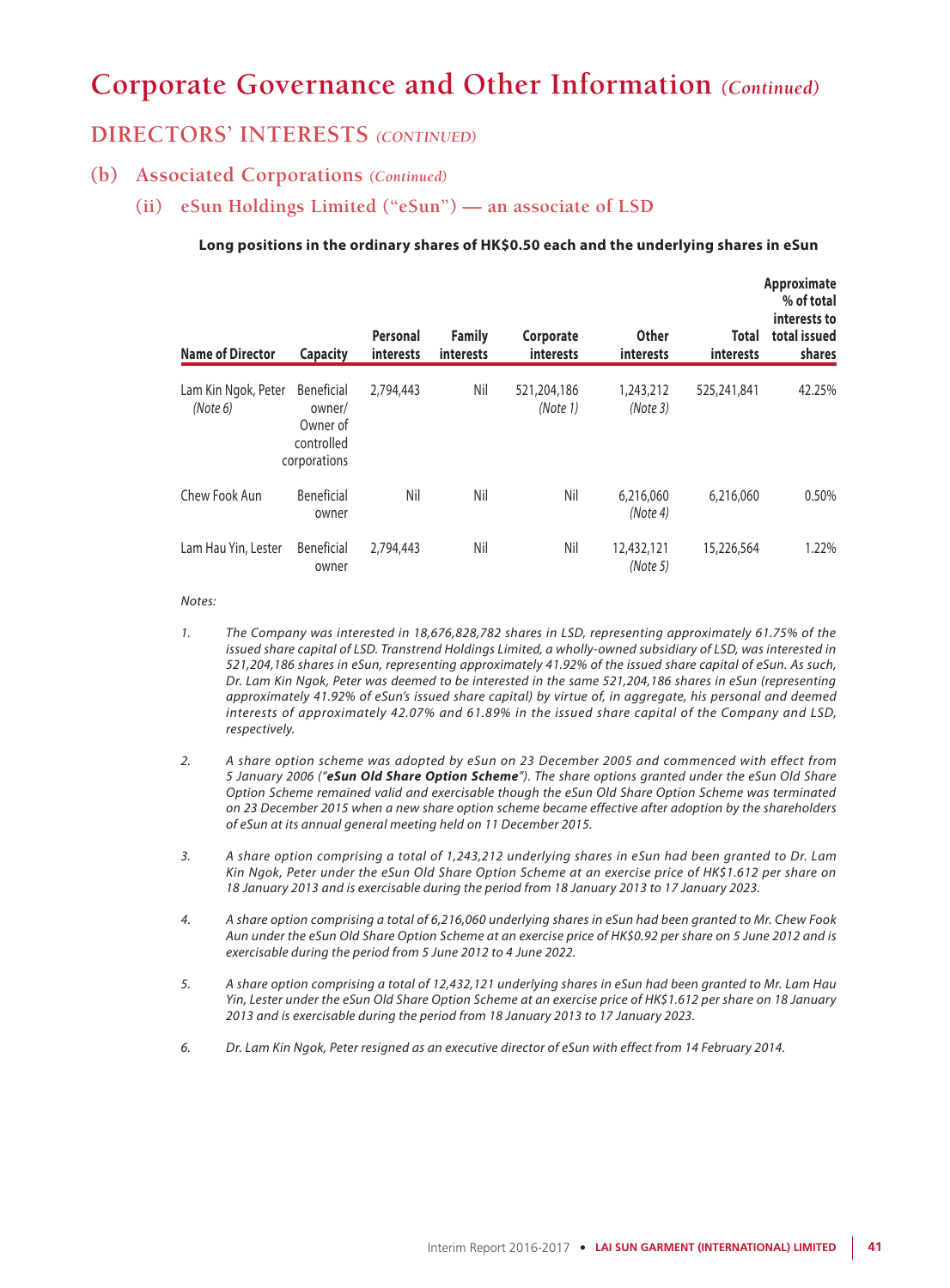### **DIRECTORS' INTERESTS** *(CONTINUED)*

### **(b) Associated Corporations** *(Continued)*

**(ii) eSun Holdings Limited ("eSun") — an associate of LSD**

### **Long positions in the ordinary shares of HK\$0.50 each and the underlying shares in eSun**

| <b>Name of Director</b>         | <b>Capacity</b>                                                       | Personal<br>interests | <b>Family</b><br>interests | Corporate<br>interests  | <b>Other</b><br>interests | Total<br>interests | Approximate<br>% of total<br>interests to<br>total issued<br>shares |
|---------------------------------|-----------------------------------------------------------------------|-----------------------|----------------------------|-------------------------|---------------------------|--------------------|---------------------------------------------------------------------|
| Lam Kin Ngok, Peter<br>(Note 6) | <b>Beneficial</b><br>owner/<br>Owner of<br>controlled<br>corporations | 2,794,443             | Nil                        | 521,204,186<br>(Note 1) | 1,243,212<br>(Note3)      | 525,241,841        | 42.25%                                                              |
| Chew Fook Aun                   | Beneficial<br>owner                                                   | Nil                   | Nil                        | Nil                     | 6,216,060<br>(Note 4)     | 6,216,060          | 0.50%                                                               |
| Lam Hau Yin, Lester             | Beneficial<br>owner                                                   | 2,794,443             | Nil                        | Nil                     | 12,432,121<br>(Note 5)    | 15,226,564         | 1.22%                                                               |

#### *Notes:*

- *1. The Company was interested in 18,676,828,782 shares in LSD, representing approximately 61.75% of the issued share capital of LSD. Transtrend Holdings Limited, a wholly-owned subsidiary of LSD, was interested in 521,204,186 shares in eSun, representing approximately 41.92% of the issued share capital of eSun. As such, Dr. Lam Kin Ngok, Peter was deemed to be interested in the same 521,204,186 shares in eSun (representing approximately 41.92% of eSun's issued share capital) by virtue of, in aggregate, his personal and deemed interests of approximately 42.07% and 61.89% in the issued share capital of the Company and LSD, respectively.*
- *2. A share option scheme was adopted by eSun on 23 December 2005 and commenced with effect from 5 January 2006 ("eSun Old Share Option Scheme"). The share options granted under the eSun Old Share Option Scheme remained valid and exercisable though the eSun Old Share Option Scheme was terminated on 23 December 2015 when a new share option scheme became effective after adoption by the shareholders of eSun at its annual general meeting held on 11 December 2015.*
- *3. A share option comprising a total of 1,243,212 underlying shares in eSun had been granted to Dr. Lam Kin Ngok, Peter under the eSun Old Share Option Scheme at an exercise price of HK\$1.612 per share on 18 January 2013 and is exercisable during the period from 18 January 2013 to 17 January 2023.*
- *4. A share option comprising a total of 6,216,060 underlying shares in eSun had been granted to Mr. Chew Fook Aun under the eSun Old Share Option Scheme at an exercise price of HK\$0.92 per share on 5 June 2012 and is exercisable during the period from 5 June 2012 to 4 June 2022.*
- *5. A share option comprising a total of 12,432,121 underlying shares in eSun had been granted to Mr. Lam Hau Yin, Lester under the eSun Old Share Option Scheme at an exercise price of HK\$1.612 per share on 18 January 2013 and is exercisable during the period from 18 January 2013 to 17 January 2023.*
- *6. Dr. Lam Kin Ngok, Peter resigned as an executive director of eSun with effect from 14 February 2014.*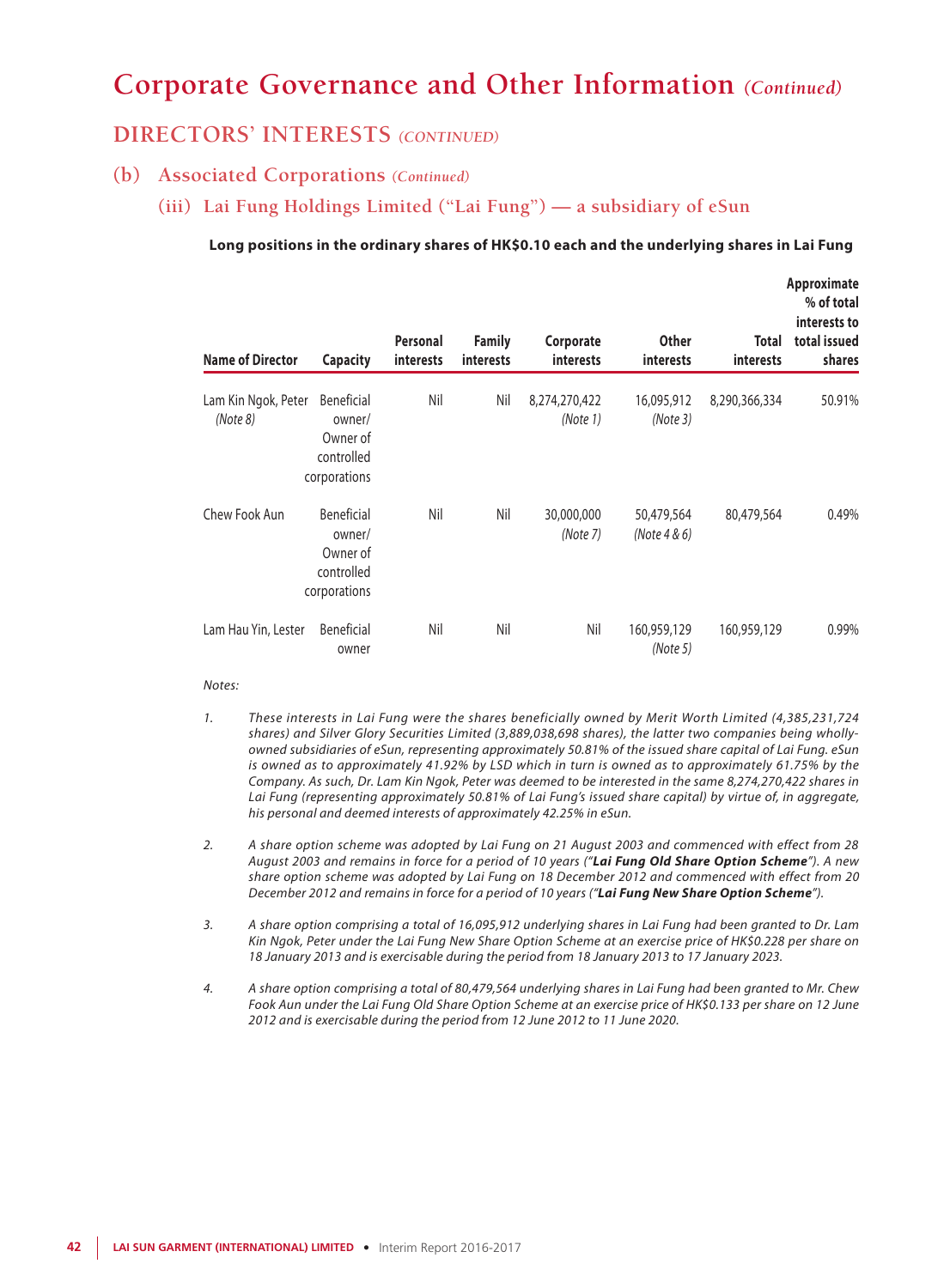### **DIRECTORS' INTERESTS** *(CONTINUED)*

### **(b) Associated Corporations** *(Continued)*

**(iii) Lai Fung Holdings Limited ("Lai Fung") — a subsidiary of eSun**

### **Long positions in the ordinary shares of HK\$0.10 each and the underlying shares in Lai Fung**

| <b>Name of Director</b>         | <b>Capacity</b>                                                | Personal<br><b>interests</b> | <b>Family</b><br><b>interests</b> | Corporate<br>interests    | <b>Other</b><br><b>interests</b> | Total<br><b>interests</b> | Approximate<br>% of total<br>interests to<br>total issued<br>shares |
|---------------------------------|----------------------------------------------------------------|------------------------------|-----------------------------------|---------------------------|----------------------------------|---------------------------|---------------------------------------------------------------------|
| Lam Kin Ngok, Peter<br>(Note 8) | Beneficial<br>owner/<br>Owner of<br>controlled<br>corporations | Nil                          | Nil                               | 8,274,270,422<br>(Note 1) | 16,095,912<br>(Note 3)           | 8,290,366,334             | 50.91%                                                              |
| Chew Fook Aun                   | Beneficial<br>owner/<br>Owner of<br>controlled<br>corporations | Nil                          | Nil                               | 30,000,000<br>(Note 7)    | 50,479,564<br>(Note 4 & 6)       | 80,479,564                | 0.49%                                                               |
| Lam Hau Yin, Lester             | <b>Beneficial</b><br>owner                                     | Nil                          | Nil                               | Nil                       | 160,959,129<br>(Note 5)          | 160,959,129               | 0.99%                                                               |

#### *Notes:*

- *1. These interests in Lai Fung were the shares beneficially owned by Merit Worth Limited (4,385,231,724 shares) and Silver Glory Securities Limited (3,889,038,698 shares), the latter two companies being whollyowned subsidiaries of eSun, representing approximately 50.81% of the issued share capital of Lai Fung. eSun is owned as to approximately 41.92% by LSD which in turn is owned as to approximately 61.75% by the Company. As such, Dr. Lam Kin Ngok, Peter was deemed to be interested in the same 8,274,270,422 shares in Lai Fung (representing approximately 50.81% of Lai Fung's issued share capital) by virtue of, in aggregate, his personal and deemed interests of approximately 42.25% in eSun.*
- *2. A share option scheme was adopted by Lai Fung on 21 August 2003 and commenced with effect from 28 August 2003 and remains in force for a period of 10 years ("Lai Fung Old Share Option Scheme"). A new share option scheme was adopted by Lai Fung on 18 December 2012 and commenced with effect from 20 December 2012 and remains in force for a period of 10 years ("Lai Fung New Share Option Scheme").*
- *3. A share option comprising a total of 16,095,912 underlying shares in Lai Fung had been granted to Dr. Lam Kin Ngok, Peter under the Lai Fung New Share Option Scheme at an exercise price of HK\$0.228 per share on 18 January 2013 and is exercisable during the period from 18 January 2013 to 17 January 2023.*
- *4. A share option comprising a total of 80,479,564 underlying shares in Lai Fung had been granted to Mr. Chew Fook Aun under the Lai Fung Old Share Option Scheme at an exercise price of HK\$0.133 per share on 12 June 2012 and is exercisable during the period from 12 June 2012 to 11 June 2020.*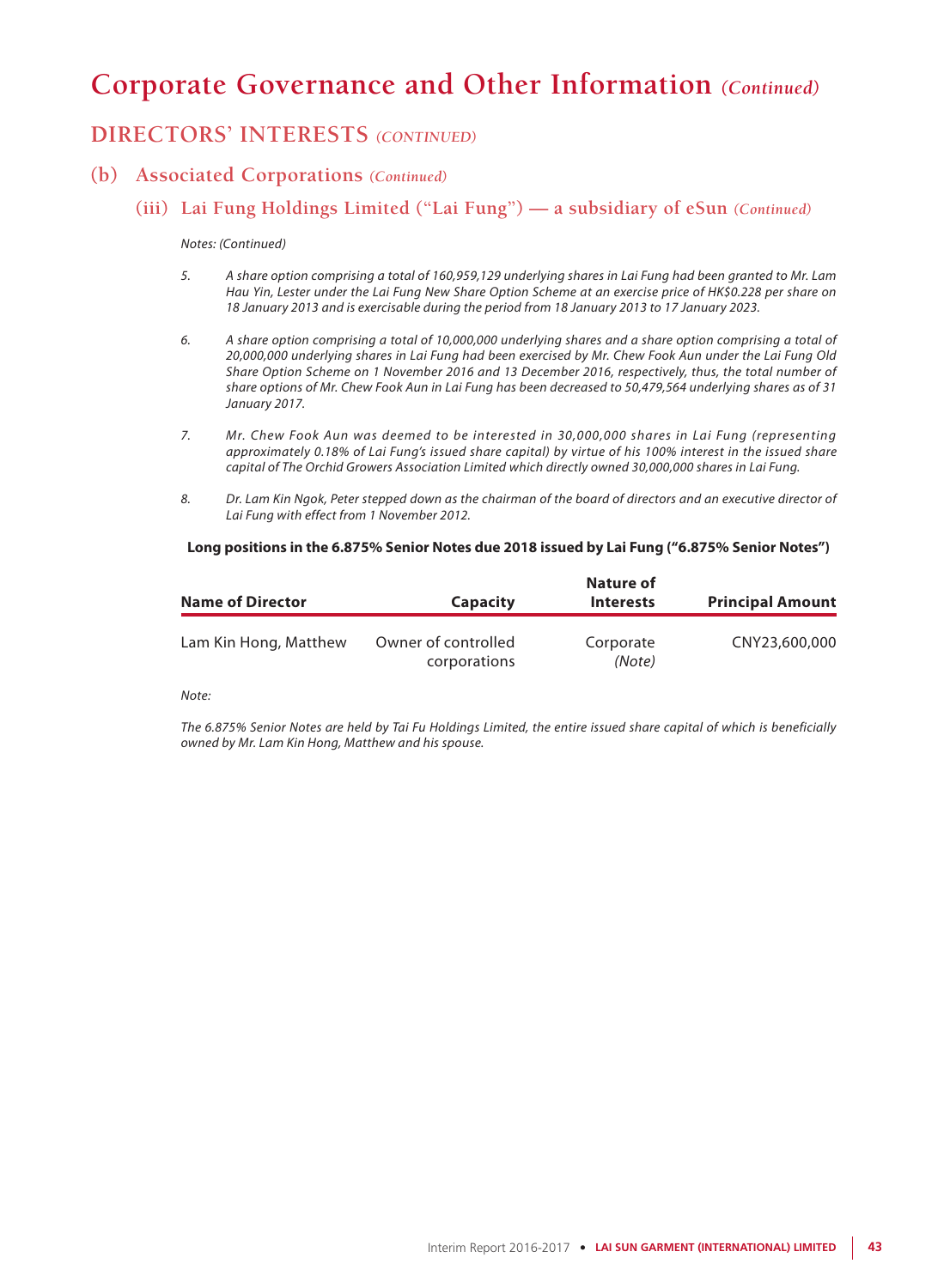## **DIRECTORS' INTERESTS** *(CONTINUED)*

### **(b) Associated Corporations** *(Continued)*

### **(iii) Lai Fung Holdings Limited ("Lai Fung") — a subsidiary of eSun** *(Continued)*

#### *Notes: (Continued)*

- *5. A share option comprising a total of 160,959,129 underlying shares in Lai Fung had been granted to Mr. Lam Hau Yin, Lester under the Lai Fung New Share Option Scheme at an exercise price of HK\$0.228 per share on 18 January 2013 and is exercisable during the period from 18 January 2013 to 17 January 2023.*
- *6. A share option comprising a total of 10,000,000 underlying shares and a share option comprising a total of 20,000,000 underlying shares in Lai Fung had been exercised by Mr. Chew Fook Aun under the Lai Fung Old Share Option Scheme on 1 November 2016 and 13 December 2016, respectively, thus, the total number of share options of Mr. Chew Fook Aun in Lai Fung has been decreased to 50,479,564 underlying shares as of 31 January 2017.*
- *7. Mr. Chew Fook Aun was deemed to be interested in 30,000,000 shares in Lai Fung (representing approximately 0.18% of Lai Fung's issued share capital) by virtue of his 100% interest in the issued share capital of The Orchid Growers Association Limited which directly owned 30,000,000 shares in Lai Fung.*
- *8. Dr. Lam Kin Ngok, Peter stepped down as the chairman of the board of directors and an executive director of Lai Fung with effect from 1 November 2012.*

#### **Long positions in the 6.875% Senior Notes due 2018 issued by Lai Fung ("6.875% Senior Notes")**

| <b>Name of Director</b> | <b>Capacity</b>                     | Nature of<br><b>Interests</b> | <b>Principal Amount</b> |
|-------------------------|-------------------------------------|-------------------------------|-------------------------|
| Lam Kin Hong, Matthew   | Owner of controlled<br>corporations | Corporate<br>(Note)           | CNY23,600,000           |

#### *Note:*

*The 6.875% Senior Notes are held by Tai Fu Holdings Limited, the entire issued share capital of which is beneficially owned by Mr. Lam Kin Hong, Matthew and his spouse.*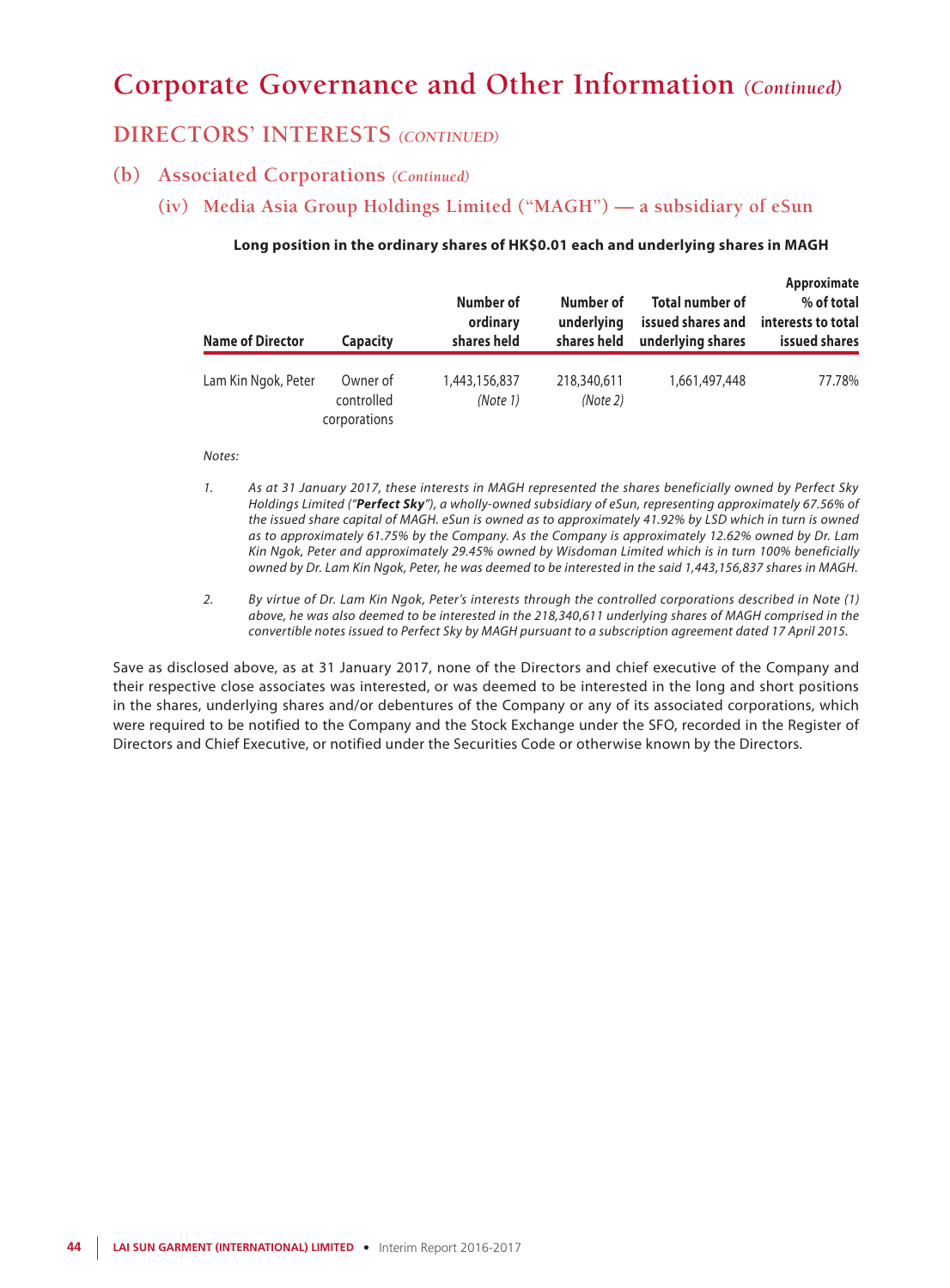### **DIRECTORS' INTERESTS** *(CONTINUED)*

### **(b) Associated Corporations** *(Continued)*

**(iv) Media Asia Group Holdings Limited ("MAGH") — a subsidiary of eSun**

### **Approximate Number of Number of Total number of % of total ordinary underlying issued shares and interests to total Name of Director Capacity shares held shares held underlying shares issued shares** Lam Kin Ngok, Peter Owner of 1,443,156,837 218,340,611 1,661,497,448 77.78% controlled *(Note 1) (Note 2)* corporations

### **Long position in the ordinary shares of HK\$0.01 each and underlying shares in MAGH**

#### *Notes:*

- *1. As at 31 January 2017, these interests in MAGH represented the shares beneficially owned by Perfect Sky Holdings Limited ("Perfect Sky"), a wholly-owned subsidiary of eSun, representing approximately 67.56% of the issued share capital of MAGH. eSun is owned as to approximately 41.92% by LSD which in turn is owned as to approximately 61.75% by the Company. As the Company is approximately 12.62% owned by Dr. Lam Kin Ngok, Peter and approximately 29.45% owned by Wisdoman Limited which is in turn 100% beneficially owned by Dr. Lam Kin Ngok, Peter, he was deemed to be interested in the said 1,443,156,837 shares in MAGH.*
- *2. By virtue of Dr. Lam Kin Ngok, Peter's interests through the controlled corporations described in Note (1) above, he was also deemed to be interested in the 218,340,611 underlying shares of MAGH comprised in the convertible notes issued to Perfect Sky by MAGH pursuant to a subscription agreement dated 17 April 2015.*

Save as disclosed above, as at 31 January 2017, none of the Directors and chief executive of the Company and their respective close associates was interested, or was deemed to be interested in the long and short positions in the shares, underlying shares and/or debentures of the Company or any of its associated corporations, which were required to be notified to the Company and the Stock Exchange under the SFO, recorded in the Register of Directors and Chief Executive, or notified under the Securities Code or otherwise known by the Directors.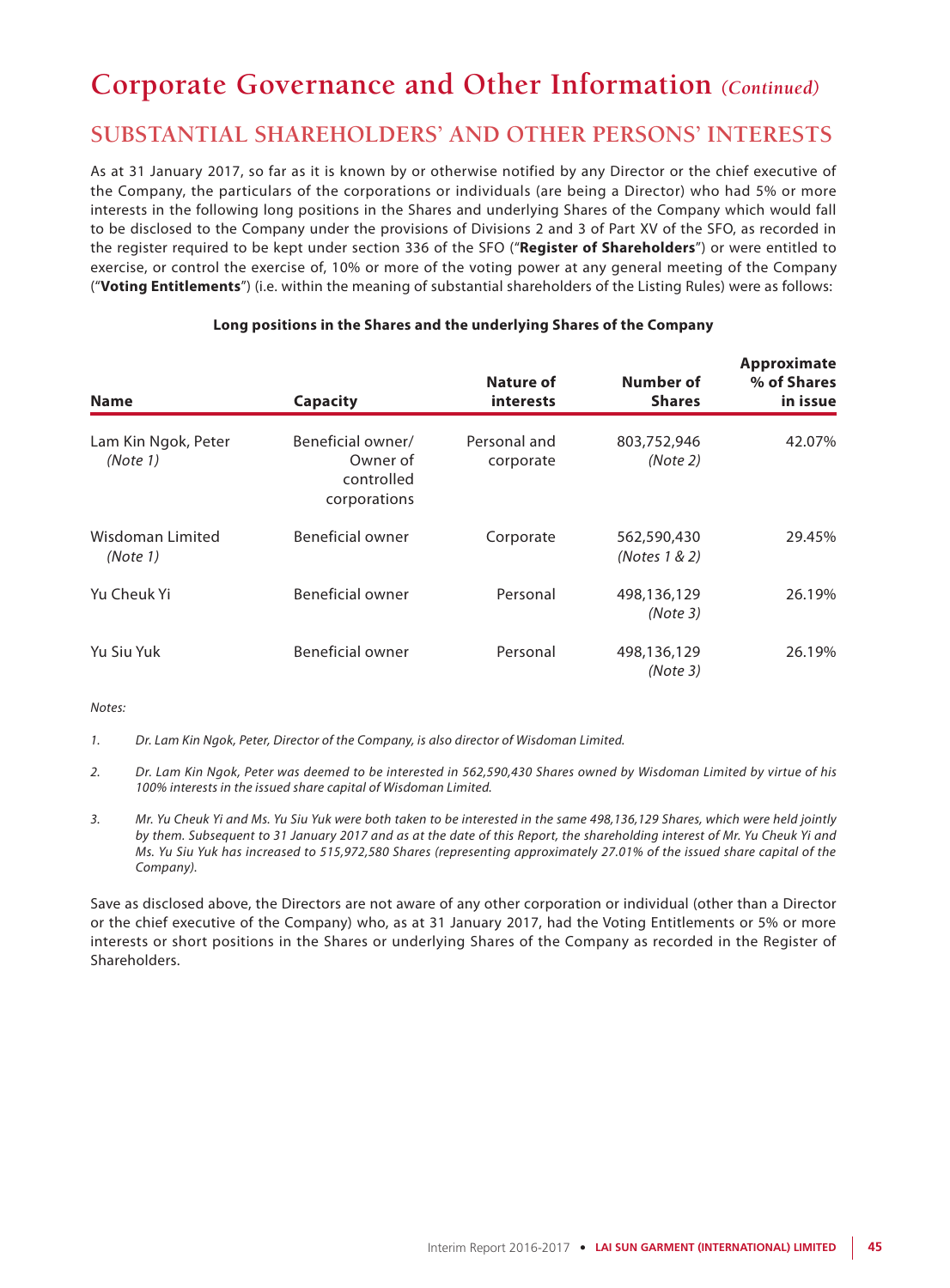## **SUBSTANTIAL SHAREHOLDERS' AND OTHER PERSONS' INTERESTS**

As at 31 January 2017, so far as it is known by or otherwise notified by any Director or the chief executive of the Company, the particulars of the corporations or individuals (are being a Director) who had 5% or more interests in the following long positions in the Shares and underlying Shares of the Company which would fall to be disclosed to the Company under the provisions of Divisions 2 and 3 of Part XV of the SFO, as recorded in the register required to be kept under section 336 of the SFO ("**Register of Shareholders**") or were entitled to exercise, or control the exercise of, 10% or more of the voting power at any general meeting of the Company ("**Voting Entitlements**") (i.e. within the meaning of substantial shareholders of the Listing Rules) were as follows:

| <b>Name</b>                     | <b>Capacity</b>                                             | Nature of<br>interests    | Number of<br><b>Shares</b>   | Approximate<br>% of Shares<br>in issue |
|---------------------------------|-------------------------------------------------------------|---------------------------|------------------------------|----------------------------------------|
| Lam Kin Ngok, Peter<br>(Note 1) | Beneficial owner/<br>Owner of<br>controlled<br>corporations | Personal and<br>corporate | 803,752,946<br>(Note 2)      | 42.07%                                 |
| Wisdoman Limited<br>(Note 1)    | Beneficial owner                                            | Corporate                 | 562,590,430<br>(Notes 1 & 2) | 29.45%                                 |
| Yu Cheuk Yi                     | Beneficial owner                                            | Personal                  | 498,136,129<br>(Note3)       | 26.19%                                 |
| Yu Siu Yuk                      | Beneficial owner                                            | Personal                  | 498,136,129<br>(Note3)       | 26.19%                                 |

### **Long positions in the Shares and the underlying Shares of the Company**

*Notes:*

*1. Dr. Lam Kin Ngok, Peter, Director of the Company, is also director of Wisdoman Limited.*

- *2. Dr. Lam Kin Ngok, Peter was deemed to be interested in 562,590,430 Shares owned by Wisdoman Limited by virtue of his 100% interests in the issued share capital of Wisdoman Limited.*
- *3. Mr. Yu Cheuk Yi and Ms. Yu Siu Yuk were both taken to be interested in the same 498,136,129 Shares, which were held jointly by them. Subsequent to 31 January 2017 and as at the date of this Report, the shareholding interest of Mr. Yu Cheuk Yi and Ms. Yu Siu Yuk has increased to 515,972,580 Shares (representing approximately 27.01% of the issued share capital of the Company).*

Save as disclosed above, the Directors are not aware of any other corporation or individual (other than a Director or the chief executive of the Company) who, as at 31 January 2017, had the Voting Entitlements or 5% or more interests or short positions in the Shares or underlying Shares of the Company as recorded in the Register of Shareholders.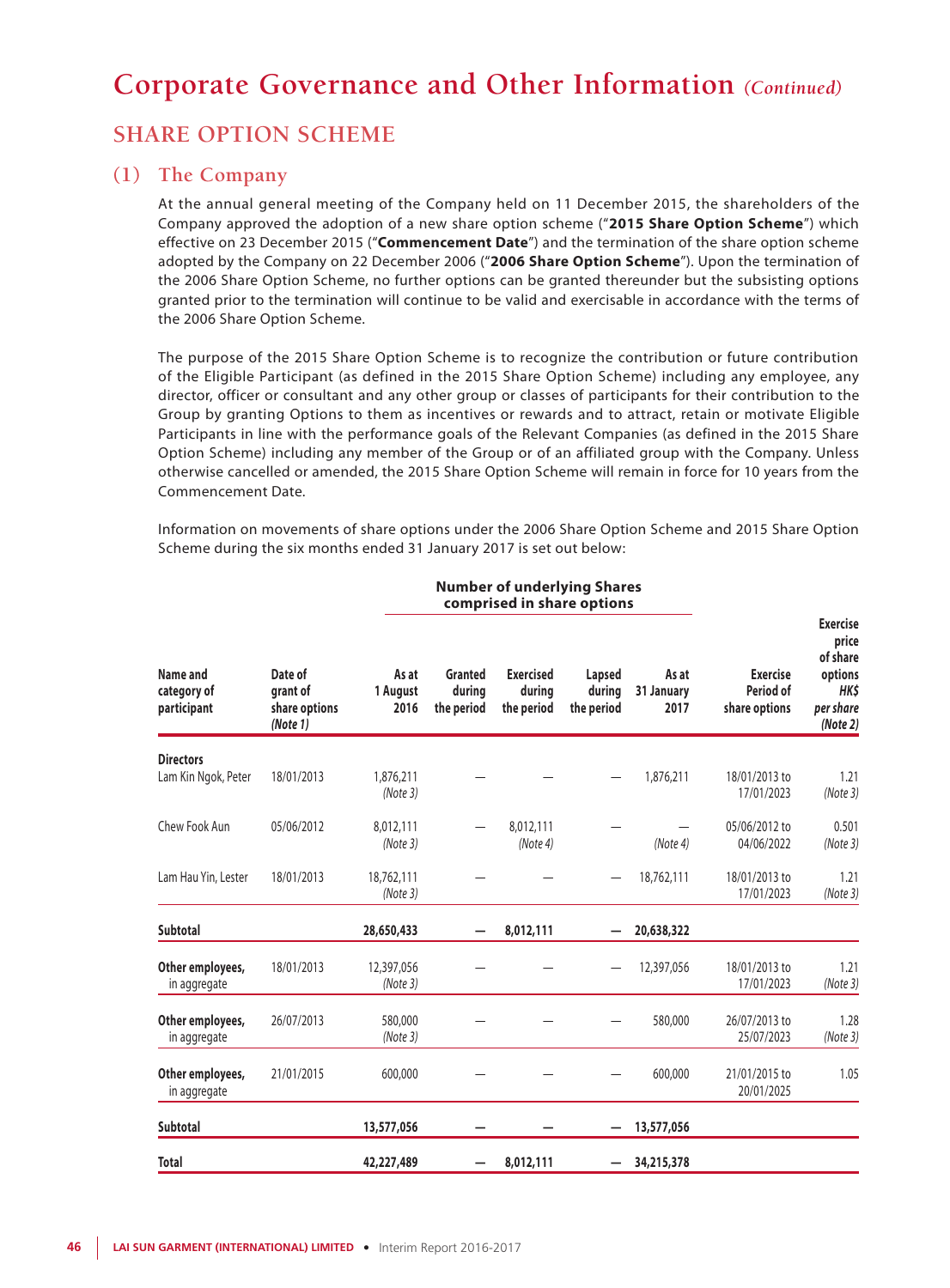## **SHARE OPTION SCHEME**

### **(1) The Company**

At the annual general meeting of the Company held on 11 December 2015, the shareholders of the Company approved the adoption of a new share option scheme ("**2015 Share Option Scheme**") which effective on 23 December 2015 ("**Commencement Date**") and the termination of the share option scheme adopted by the Company on 22 December 2006 ("**2006 Share Option Scheme**"). Upon the termination of the 2006 Share Option Scheme, no further options can be granted thereunder but the subsisting options granted prior to the termination will continue to be valid and exercisable in accordance with the terms of the 2006 Share Option Scheme.

The purpose of the 2015 Share Option Scheme is to recognize the contribution or future contribution of the Eligible Participant (as defined in the 2015 Share Option Scheme) including any employee, any director, officer or consultant and any other group or classes of participants for their contribution to the Group by granting Options to them as incentives or rewards and to attract, retain or motivate Eligible Participants in line with the performance goals of the Relevant Companies (as defined in the 2015 Share Option Scheme) including any member of the Group or of an affiliated group with the Company. Unless otherwise cancelled or amended, the 2015 Share Option Scheme will remain in force for 10 years from the Commencement Date.

Information on movements of share options under the 2006 Share Option Scheme and 2015 Share Option Scheme during the six months ended 31 January 2017 is set out below:

|                                         |                                                  |                           | באוויכ פוועכוויזיווי וט ואט<br>comprised in share options |                                          |                                |                             |                                               |                                                                                  |
|-----------------------------------------|--------------------------------------------------|---------------------------|-----------------------------------------------------------|------------------------------------------|--------------------------------|-----------------------------|-----------------------------------------------|----------------------------------------------------------------------------------|
| Name and<br>category of<br>participant  | Date of<br>grant of<br>share options<br>(Note 1) | As at<br>1 August<br>2016 | Granted<br>during<br>the period                           | <b>Exercised</b><br>during<br>the period | Lapsed<br>during<br>the period | As at<br>31 January<br>2017 | <b>Exercise</b><br>Period of<br>share options | <b>Exercise</b><br>price<br>of share<br>options<br>HK\$<br>per share<br>(Note 2) |
| <b>Directors</b><br>Lam Kin Ngok, Peter | 18/01/2013                                       | 1,876,211<br>(Note3)      |                                                           |                                          |                                | 1,876,211                   | 18/01/2013 to<br>17/01/2023                   | 1.21<br>(Note3)                                                                  |
| Chew Fook Aun                           | 05/06/2012                                       | 8,012,111<br>(Note 3)     |                                                           | 8,012,111<br>(Note 4)                    |                                | (Note 4)                    | 05/06/2012 to<br>04/06/2022                   | 0.501<br>(Note3)                                                                 |
| Lam Hau Yin, Lester                     | 18/01/2013                                       | 18,762,111<br>(Note3)     |                                                           |                                          |                                | 18,762,111                  | 18/01/2013 to<br>17/01/2023                   | 1.21<br>(Note3)                                                                  |
| <b>Subtotal</b>                         |                                                  | 28,650,433                |                                                           | 8,012,111                                |                                | 20,638,322                  |                                               |                                                                                  |
| Other employees,<br>in aggregate        | 18/01/2013                                       | 12,397,056<br>(Note3)     |                                                           |                                          |                                | 12,397,056                  | 18/01/2013 to<br>17/01/2023                   | 1.21<br>(Note3)                                                                  |
| Other employees,<br>in aggregate        | 26/07/2013                                       | 580,000<br>(Note3)        |                                                           |                                          |                                | 580,000                     | 26/07/2013 to<br>25/07/2023                   | 1.28<br>(Note3)                                                                  |
| Other employees,<br>in aggregate        | 21/01/2015                                       | 600,000                   |                                                           |                                          |                                | 600,000                     | 21/01/2015 to<br>20/01/2025                   | 1.05                                                                             |
| <b>Subtotal</b>                         |                                                  | 13,577,056                |                                                           |                                          |                                | 13,577,056                  |                                               |                                                                                  |
| <b>Total</b>                            |                                                  | 42,227,489                |                                                           | 8,012,111                                |                                | 34,215,378                  |                                               |                                                                                  |

# **Number of underlying Shares**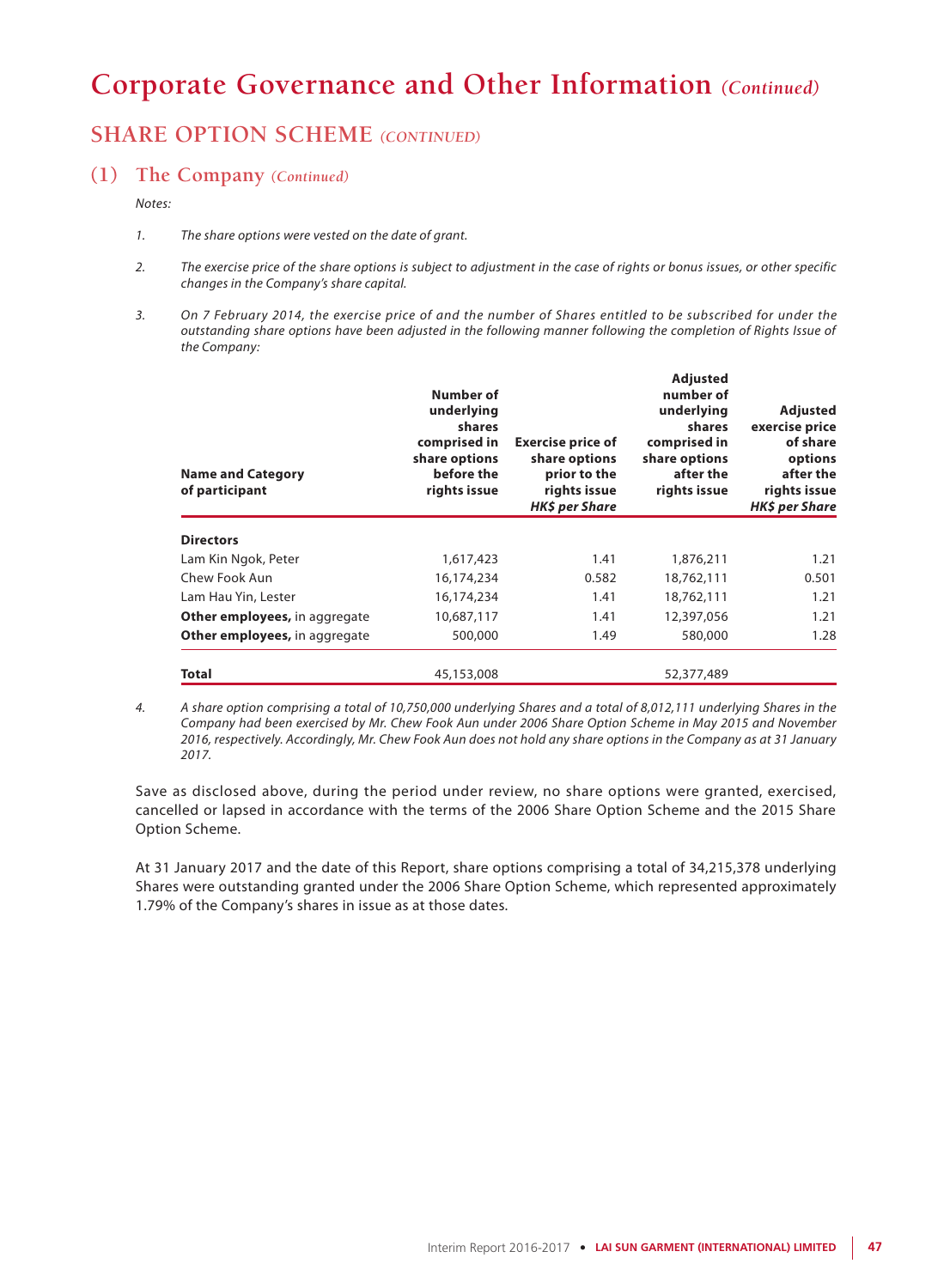## **SHARE OPTION SCHEME** *(CONTINUED)*

### **(1) The Company** *(Continued)*

*Notes:*

- *1. The share options were vested on the date of grant.*
- *2. The exercise price of the share options is subject to adjustment in the case of rights or bonus issues, or other specific changes in the Company's share capital.*
- *3. On 7 February 2014, the exercise price of and the number of Shares entitled to be subscribed for under the outstanding share options have been adjusted in the following manner following the completion of Rights Issue of the Company:*

| <b>Name and Category</b><br>of participant | <b>Number of</b><br>underlying<br>shares<br>comprised in<br>share options<br>before the<br>rights issue | <b>Exercise price of</b><br>share options<br>prior to the<br>rights issue<br><b>HK\$</b> per Share | <b>Adjusted</b><br>number of<br>underlying<br>shares<br>comprised in<br>share options<br>after the<br>rights issue | Adjusted<br>exercise price<br>of share<br>options<br>after the<br>rights issue<br><b>HK\$</b> per Share |
|--------------------------------------------|---------------------------------------------------------------------------------------------------------|----------------------------------------------------------------------------------------------------|--------------------------------------------------------------------------------------------------------------------|---------------------------------------------------------------------------------------------------------|
| <b>Directors</b>                           |                                                                                                         |                                                                                                    |                                                                                                                    |                                                                                                         |
| Lam Kin Ngok, Peter                        | 1,617,423                                                                                               | 1.41                                                                                               | 1,876,211                                                                                                          | 1.21                                                                                                    |
| Chew Fook Aun                              | 16,174,234                                                                                              | 0.582                                                                                              | 18,762,111                                                                                                         | 0.501                                                                                                   |
| Lam Hau Yin, Lester                        | 16,174,234                                                                                              | 1.41                                                                                               | 18,762,111                                                                                                         | 1.21                                                                                                    |
| <b>Other employees, in aggregate</b>       | 10,687,117                                                                                              | 1.41                                                                                               | 12,397,056                                                                                                         | 1.21                                                                                                    |
| Other employees, in aggregate              | 500,000                                                                                                 | 1.49                                                                                               | 580,000                                                                                                            | 1.28                                                                                                    |
| <b>Total</b>                               | 45,153,008                                                                                              |                                                                                                    | 52,377,489                                                                                                         |                                                                                                         |

*4. A share option comprising a total of 10,750,000 underlying Shares and a total of 8,012,111 underlying Shares in the Company had been exercised by Mr. Chew Fook Aun under 2006 Share Option Scheme in May 2015 and November 2016, respectively. Accordingly, Mr. Chew Fook Aun does not hold any share options in the Company as at 31 January 2017.*

Save as disclosed above, during the period under review, no share options were granted, exercised, cancelled or lapsed in accordance with the terms of the 2006 Share Option Scheme and the 2015 Share Option Scheme.

At 31 January 2017 and the date of this Report, share options comprising a total of 34,215,378 underlying Shares were outstanding granted under the 2006 Share Option Scheme, which represented approximately 1.79% of the Company's shares in issue as at those dates.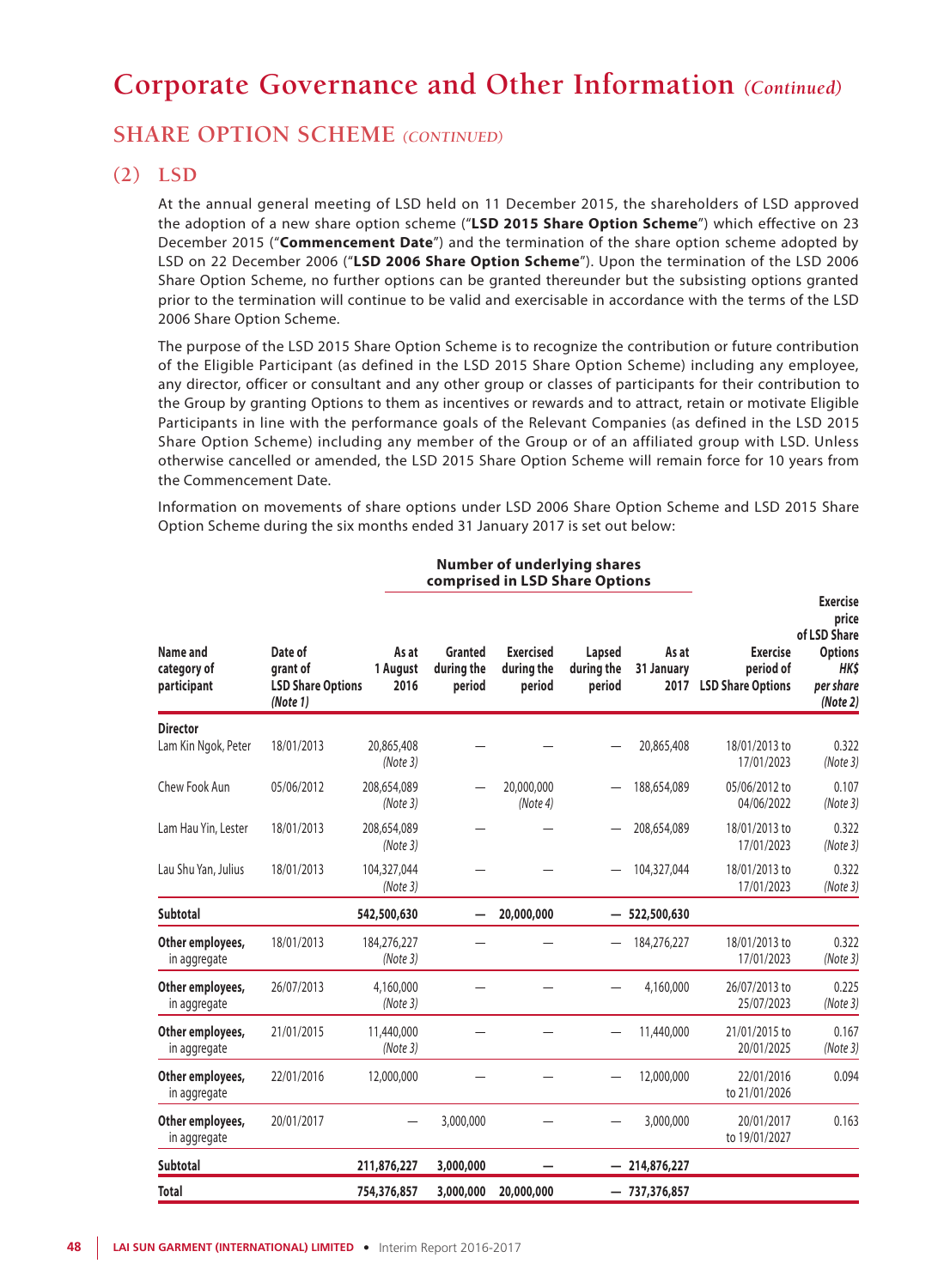### **SHARE OPTION SCHEME** *(CONTINUED)*

### **(2) LSD**

At the annual general meeting of LSD held on 11 December 2015, the shareholders of LSD approved the adoption of a new share option scheme ("**LSD 2015 Share Option Scheme**") which effective on 23 December 2015 ("**Commencement Date**") and the termination of the share option scheme adopted by LSD on 22 December 2006 ("**LSD 2006 Share Option Scheme**"). Upon the termination of the LSD 2006 Share Option Scheme, no further options can be granted thereunder but the subsisting options granted prior to the termination will continue to be valid and exercisable in accordance with the terms of the LSD 2006 Share Option Scheme.

The purpose of the LSD 2015 Share Option Scheme is to recognize the contribution or future contribution of the Eligible Participant (as defined in the LSD 2015 Share Option Scheme) including any employee, any director, officer or consultant and any other group or classes of participants for their contribution to the Group by granting Options to them as incentives or rewards and to attract, retain or motivate Eligible Participants in line with the performance goals of the Relevant Companies (as defined in the LSD 2015 Share Option Scheme) including any member of the Group or of an affiliated group with LSD. Unless otherwise cancelled or amended, the LSD 2015 Share Option Scheme will remain force for 10 years from the Commencement Date.

Information on movements of share options under LSD 2006 Share Option Scheme and LSD 2015 Share Option Scheme during the six months ended 31 January 2017 is set out below:

#### **Number of underlying shares comprised in LSD Share Options**

| Name and<br>category of<br>participant | Date of<br>grant of<br><b>LSD Share Options</b><br>(Note 1) | As at<br>1 August<br>2016 | Granted<br>during the<br>period | <b>Exercised</b><br>during the<br>period | Lapsed<br>during the<br>period | As at<br>31 January<br>2017 | <b>Exercise</b><br>period of<br><b>LSD Share Options</b> | Exercise<br>price<br>of LSD Share<br><b>Options</b><br><b>HKS</b><br>per share<br>(Note 2) |
|----------------------------------------|-------------------------------------------------------------|---------------------------|---------------------------------|------------------------------------------|--------------------------------|-----------------------------|----------------------------------------------------------|--------------------------------------------------------------------------------------------|
| <b>Director</b><br>Lam Kin Ngok, Peter | 18/01/2013                                                  | 20,865,408<br>(Note3)     |                                 |                                          |                                | 20,865,408                  | 18/01/2013 to<br>17/01/2023                              | 0.322<br>(Note3)                                                                           |
| Chew Fook Aun                          | 05/06/2012                                                  | 208,654,089<br>(Note 3)   |                                 | 20,000,000<br>(Note 4)                   |                                | 188,654,089                 | 05/06/2012 to<br>04/06/2022                              | 0.107<br>(Note3)                                                                           |
| Lam Hau Yin, Lester                    | 18/01/2013                                                  | 208,654,089<br>(Note 3)   |                                 |                                          |                                | 208,654,089                 | 18/01/2013 to<br>17/01/2023                              | 0.322<br>(Note3)                                                                           |
| Lau Shu Yan, Julius                    | 18/01/2013                                                  | 104,327,044<br>(Note3)    |                                 |                                          |                                | 104,327,044                 | 18/01/2013 to<br>17/01/2023                              | 0.322<br>(Note3)                                                                           |
| <b>Subtotal</b>                        |                                                             | 542,500,630               | -                               | 20,000,000                               | -                              | 522,500,630                 |                                                          |                                                                                            |
| Other employees,<br>in aggregate       | 18/01/2013                                                  | 184,276,227<br>(Note 3)   |                                 |                                          |                                | 184,276,227                 | 18/01/2013 to<br>17/01/2023                              | 0.322<br>(Note3)                                                                           |
| Other employees,<br>in aggregate       | 26/07/2013                                                  | 4,160,000<br>(Note3)      |                                 |                                          |                                | 4,160,000                   | 26/07/2013 to<br>25/07/2023                              | 0.225<br>(Note3)                                                                           |
| Other employees,<br>in aggregate       | 21/01/2015                                                  | 11,440,000<br>(Note3)     |                                 |                                          |                                | 11,440,000                  | 21/01/2015 to<br>20/01/2025                              | 0.167<br>(Note3)                                                                           |
| Other employees,<br>in aggregate       | 22/01/2016                                                  | 12,000,000                |                                 |                                          |                                | 12,000,000                  | 22/01/2016<br>to 21/01/2026                              | 0.094                                                                                      |
| Other employees,<br>in aggregate       | 20/01/2017                                                  |                           | 3,000,000                       |                                          |                                | 3,000,000                   | 20/01/2017<br>to 19/01/2027                              | 0.163                                                                                      |
| Subtotal                               |                                                             | 211,876,227               | 3,000,000                       |                                          |                                | $-214,876,227$              |                                                          |                                                                                            |
| <b>Total</b>                           |                                                             | 754,376,857               | 3,000,000                       | 20,000,000                               |                                | $-737,376,857$              |                                                          |                                                                                            |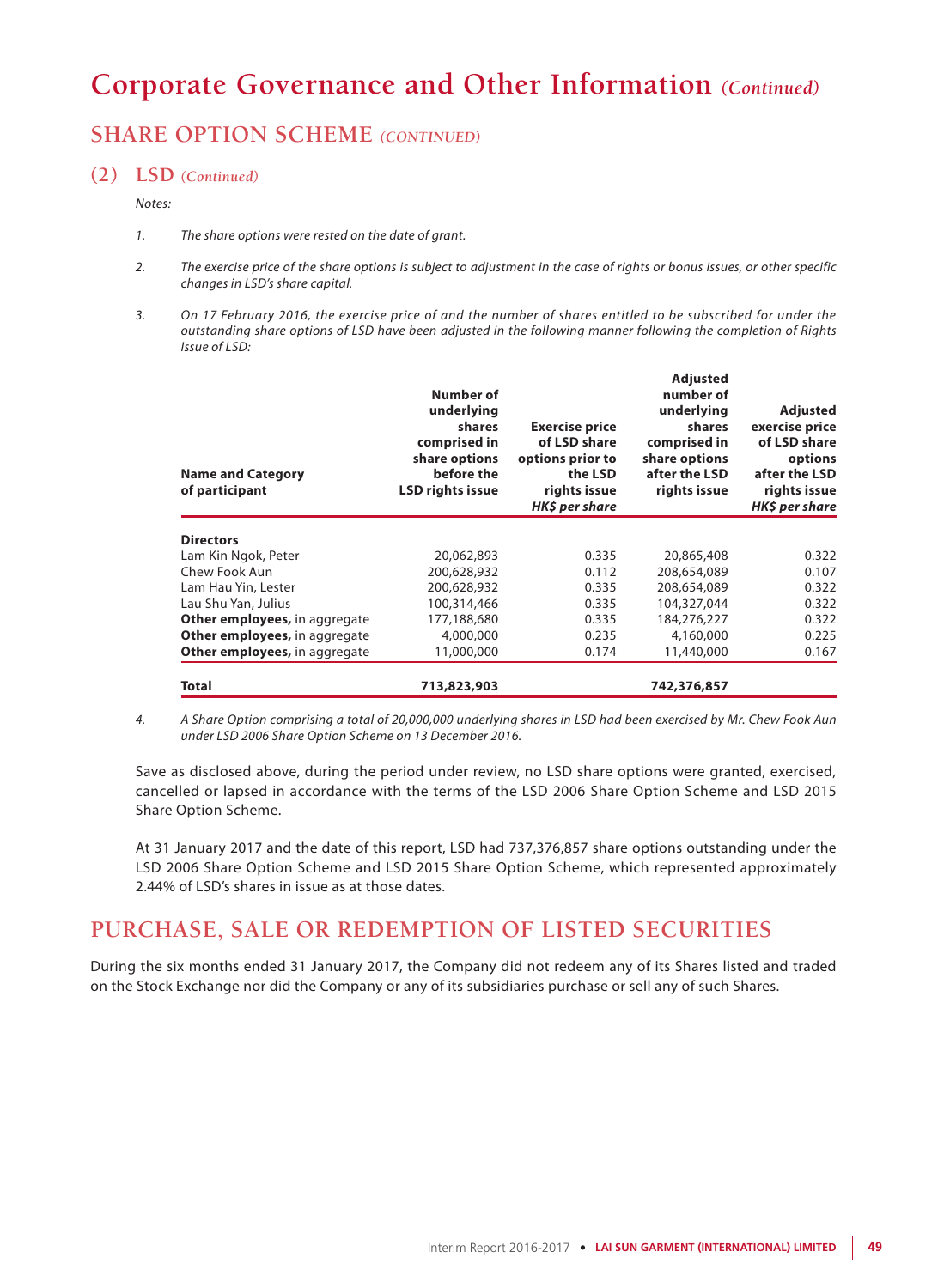## **SHARE OPTION SCHEME** *(CONTINUED)*

### **(2) LSD** *(Continued)*

#### *Notes:*

- *1. The share options were rested on the date of grant.*
- *2. The exercise price of the share options is subject to adjustment in the case of rights or bonus issues, or other specific changes in LSD's share capital.*
- *3. On 17 February 2016, the exercise price of and the number of shares entitled to be subscribed for under the outstanding share options of LSD have been adjusted in the following manner following the completion of Rights Issue of LSD:*

| <b>Name and Category</b><br>of participant | Number of<br>underlying<br>shares<br>comprised in<br>share options<br>before the<br><b>LSD rights issue</b> | <b>Exercise price</b><br>of LSD share<br>options prior to<br>the LSD<br>rights issue<br>HK\$ per share | <b>Adjusted</b><br>number of<br>underlying<br>shares<br>comprised in<br>share options<br>after the LSD<br>rights issue | <b>Adjusted</b><br>exercise price<br>of LSD share<br>options<br>after the LSD<br>rights issue<br>HK\$ per share |
|--------------------------------------------|-------------------------------------------------------------------------------------------------------------|--------------------------------------------------------------------------------------------------------|------------------------------------------------------------------------------------------------------------------------|-----------------------------------------------------------------------------------------------------------------|
| <b>Directors</b>                           |                                                                                                             |                                                                                                        |                                                                                                                        |                                                                                                                 |
| Lam Kin Ngok, Peter                        | 20,062,893                                                                                                  | 0.335                                                                                                  | 20,865,408                                                                                                             | 0.322                                                                                                           |
| Chew Fook Aun                              | 200,628,932                                                                                                 | 0.112                                                                                                  | 208,654,089                                                                                                            | 0.107                                                                                                           |
| Lam Hau Yin, Lester                        | 200,628,932                                                                                                 | 0.335                                                                                                  | 208,654,089                                                                                                            | 0.322                                                                                                           |
| Lau Shu Yan, Julius                        | 100,314,466                                                                                                 | 0.335                                                                                                  | 104,327,044                                                                                                            | 0.322                                                                                                           |
| Other employees, in aggregate              | 177,188,680                                                                                                 | 0.335                                                                                                  | 184,276,227                                                                                                            | 0.322                                                                                                           |
| Other employees, in aggregate              | 4,000,000                                                                                                   | 0.235                                                                                                  | 4,160,000                                                                                                              | 0.225                                                                                                           |
| Other employees, in aggregate              | 11,000,000                                                                                                  | 0.174                                                                                                  | 11,440,000                                                                                                             | 0.167                                                                                                           |
| Total                                      | 713,823,903                                                                                                 |                                                                                                        | 742,376,857                                                                                                            |                                                                                                                 |

*4. A Share Option comprising a total of 20,000,000 underlying shares in LSD had been exercised by Mr. Chew Fook Aun under LSD 2006 Share Option Scheme on 13 December 2016.*

Save as disclosed above, during the period under review, no LSD share options were granted, exercised, cancelled or lapsed in accordance with the terms of the LSD 2006 Share Option Scheme and LSD 2015 Share Option Scheme.

At 31 January 2017 and the date of this report, LSD had 737,376,857 share options outstanding under the LSD 2006 Share Option Scheme and LSD 2015 Share Option Scheme, which represented approximately 2.44% of LSD's shares in issue as at those dates.

## **PURCHASE, SALE OR REDEMPTION OF LISTED SECURITIES**

During the six months ended 31 January 2017, the Company did not redeem any of its Shares listed and traded on the Stock Exchange nor did the Company or any of its subsidiaries purchase or sell any of such Shares.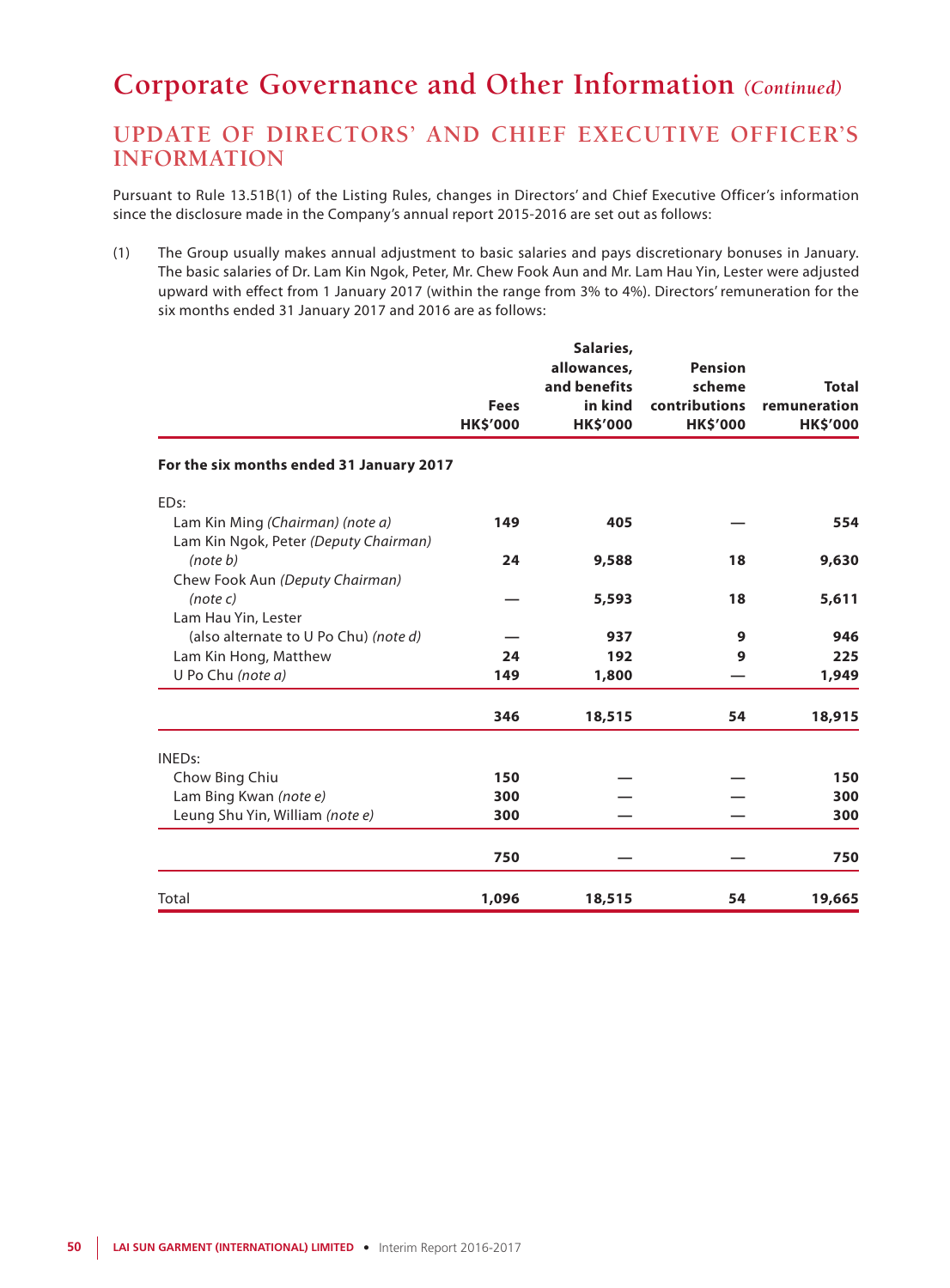## **UPDATE OF DIRECTORS' AND CHIEF EXECUTIVE OFFICER'S INFORMATION**

Pursuant to Rule 13.51B(1) of the Listing Rules, changes in Directors' and Chief Executive Officer's information since the disclosure made in the Company's annual report 2015-2016 are set out as follows:

(1) The Group usually makes annual adjustment to basic salaries and pays discretionary bonuses in January. The basic salaries of Dr. Lam Kin Ngok, Peter, Mr. Chew Fook Aun and Mr. Lam Hau Yin, Lester were adjusted upward with effect from 1 January 2017 (within the range from 3% to 4%). Directors' remuneration for the six months ended 31 January 2017 and 2016 are as follows:

|                                                                           |                 | Salaries,<br>allowances, | <b>Pension</b>  |                 |
|---------------------------------------------------------------------------|-----------------|--------------------------|-----------------|-----------------|
|                                                                           |                 | and benefits             | scheme          | <b>Total</b>    |
|                                                                           | <b>Fees</b>     | in kind                  | contributions   | remuneration    |
|                                                                           | <b>HK\$'000</b> | <b>HK\$'000</b>          | <b>HK\$'000</b> | <b>HK\$'000</b> |
| For the six months ended 31 January 2017                                  |                 |                          |                 |                 |
| ED <sub>s:</sub>                                                          |                 |                          |                 |                 |
| Lam Kin Ming (Chairman) (note a)<br>Lam Kin Ngok, Peter (Deputy Chairman) | 149             | 405                      |                 | 554             |
| (note b)                                                                  | 24              | 9,588                    | 18              | 9,630           |
| Chew Fook Aun (Deputy Chairman)                                           |                 |                          |                 |                 |
| (note c)                                                                  |                 | 5,593                    | 18              | 5,611           |
| Lam Hau Yin, Lester                                                       |                 |                          |                 |                 |
| (also alternate to U Po Chu) (note d)                                     |                 | 937                      | 9               | 946             |
| Lam Kin Hong, Matthew                                                     | 24              | 192                      | 9               | 225             |
| U Po Chu (note a)                                                         | 149             | 1,800                    |                 | 1,949           |
|                                                                           | 346             | 18,515                   | 54              | 18,915          |
| <b>INEDs:</b>                                                             |                 |                          |                 |                 |
| Chow Bing Chiu                                                            | 150             |                          |                 | 150             |
| Lam Bing Kwan (note e)                                                    | 300             |                          |                 | 300             |
| Leung Shu Yin, William (note e)                                           | 300             |                          |                 | 300             |
|                                                                           | 750             |                          |                 | 750             |
| Total                                                                     | 1,096           | 18,515                   | 54              | 19,665          |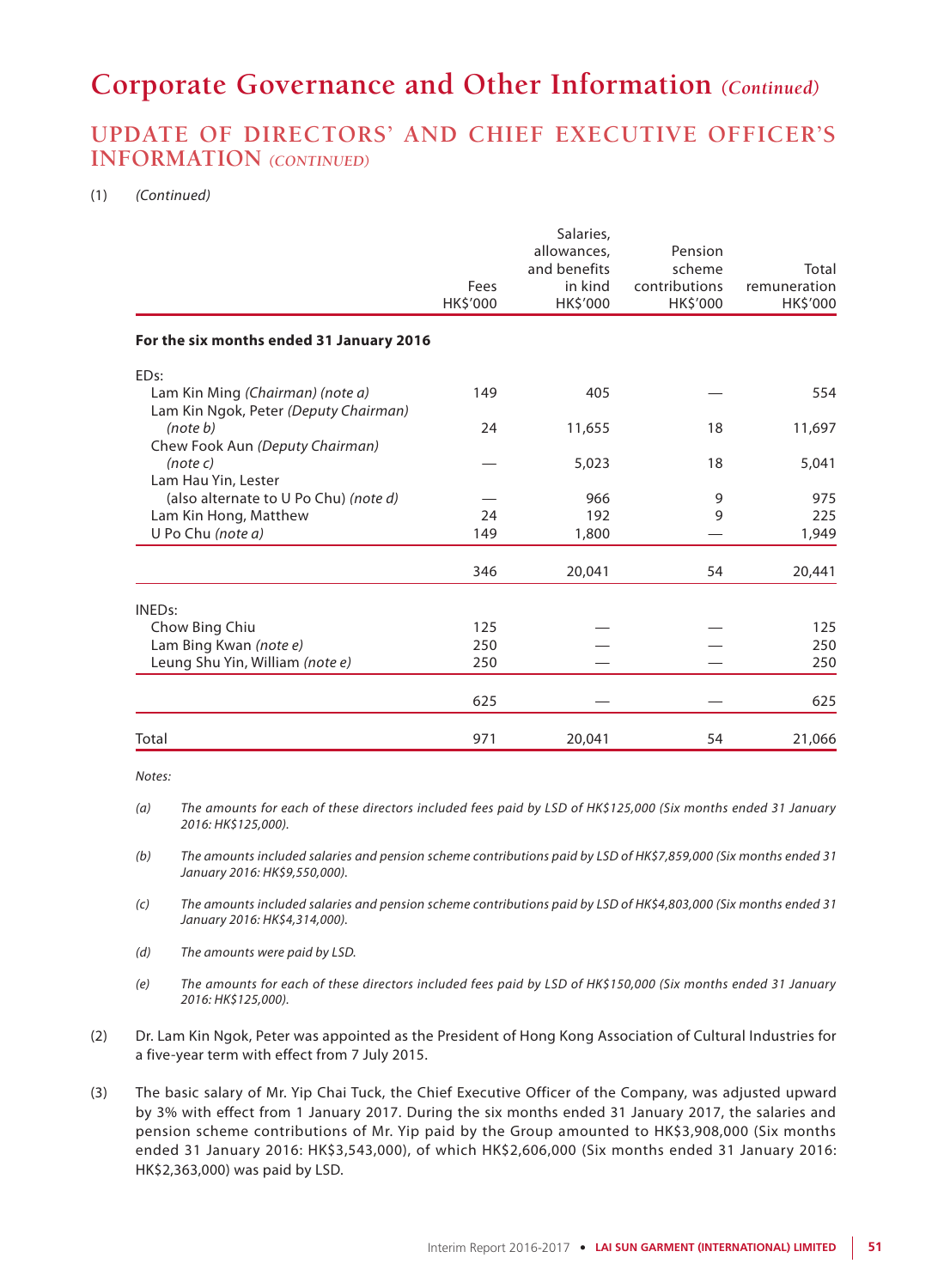### **UPDATE OF DIRECTORS' AND CHIEF EXECUTIVE OFFICER'S INFORMATION** *(CONTINUED)*

#### (1) *(Continued)*

|                                                                           | Fees<br>HK\$'000 | Salaries,<br>allowances,<br>and benefits<br>in kind<br>HK\$'000 | Pension<br>scheme<br>contributions<br>HK\$'000 | Total<br>remuneration<br>HK\$'000 |
|---------------------------------------------------------------------------|------------------|-----------------------------------------------------------------|------------------------------------------------|-----------------------------------|
| For the six months ended 31 January 2016                                  |                  |                                                                 |                                                |                                   |
| ED <sub>s:</sub>                                                          |                  |                                                                 |                                                |                                   |
| Lam Kin Ming (Chairman) (note a)<br>Lam Kin Ngok, Peter (Deputy Chairman) | 149              | 405                                                             |                                                | 554                               |
| (note b)<br>Chew Fook Aun (Deputy Chairman)                               | 24               | 11,655                                                          | 18                                             | 11,697                            |
| (note c)<br>Lam Hau Yin, Lester                                           |                  | 5,023                                                           | 18                                             | 5,041                             |
| (also alternate to U Po Chu) (note d)                                     |                  | 966                                                             | 9                                              | 975                               |
| Lam Kin Hong, Matthew                                                     | 24               | 192                                                             | 9                                              | 225                               |
| U Po Chu (note a)                                                         | 149              | 1,800                                                           |                                                | 1,949                             |
|                                                                           | 346              | 20,041                                                          | 54                                             | 20,441                            |
| <b>INEDs:</b>                                                             |                  |                                                                 |                                                |                                   |
| Chow Bing Chiu                                                            | 125              |                                                                 |                                                | 125                               |
| Lam Bing Kwan (note e)                                                    | 250              |                                                                 |                                                | 250                               |
| Leung Shu Yin, William (note e)                                           | 250              |                                                                 |                                                | 250                               |
|                                                                           | 625              |                                                                 |                                                | 625                               |
| Total                                                                     | 971              | 20,041                                                          | 54                                             | 21,066                            |

*Notes:*

*(a) The amounts for each of these directors included fees paid by LSD of HK\$125,000 (Six months ended 31 January 2016: HK\$125,000).*

*(b) The amounts included salaries and pension scheme contributions paid by LSD of HK\$7,859,000 (Six months ended 31 January 2016: HK\$9,550,000).*

*(c) The amounts included salaries and pension scheme contributions paid by LSD of HK\$4,803,000 (Six months ended 31 January 2016: HK\$4,314,000).*

*(d) The amounts were paid by LSD.*

*(e) The amounts for each of these directors included fees paid by LSD of HK\$150,000 (Six months ended 31 January 2016: HK\$125,000).*

- (2) Dr. Lam Kin Ngok, Peter was appointed as the President of Hong Kong Association of Cultural Industries for a five-year term with effect from 7 July 2015.
- (3) The basic salary of Mr. Yip Chai Tuck, the Chief Executive Officer of the Company, was adjusted upward by 3% with effect from 1 January 2017. During the six months ended 31 January 2017, the salaries and pension scheme contributions of Mr. Yip paid by the Group amounted to HK\$3,908,000 (Six months ended 31 January 2016: HK\$3,543,000), of which HK\$2,606,000 (Six months ended 31 January 2016: HK\$2,363,000) was paid by LSD.